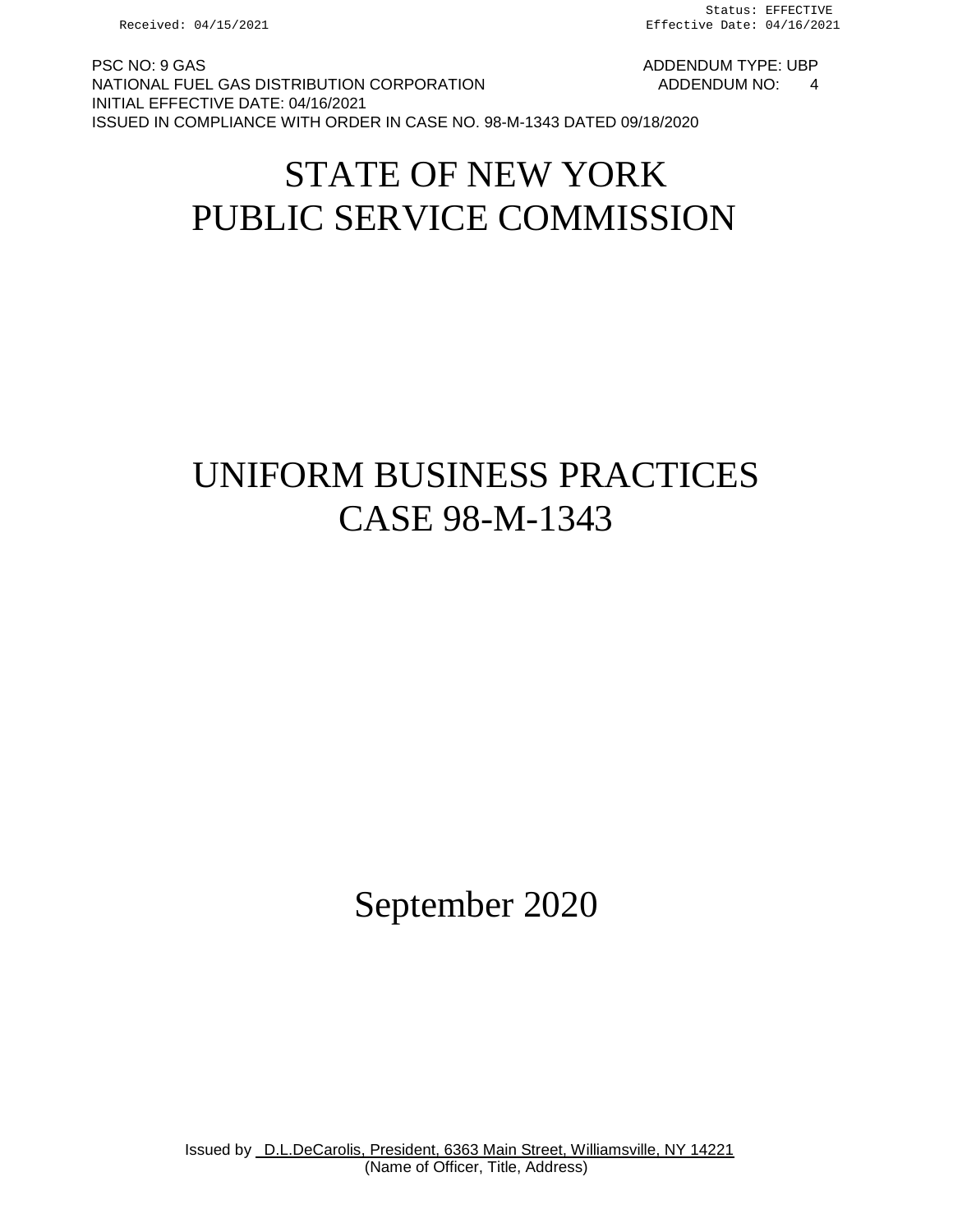PSC NO: 9 GAS ADDENDUM TYPE: UBP NATIONAL FUEL GAS DISTRIBUTION CORPORATION AND ADDENDUM NO: 4 INITIAL EFFECTIVE DATE: 04/16/2021 ISSUED IN COMPLIANCE WITH ORDER IN CASE NO. 98-M-1343 DATED 09/18/2020

# STATE OF NEW YORK PUBLIC SERVICE COMMISSION

# UNIFORM BUSINESS PRACTICES CASE 98-M-1343

September 2020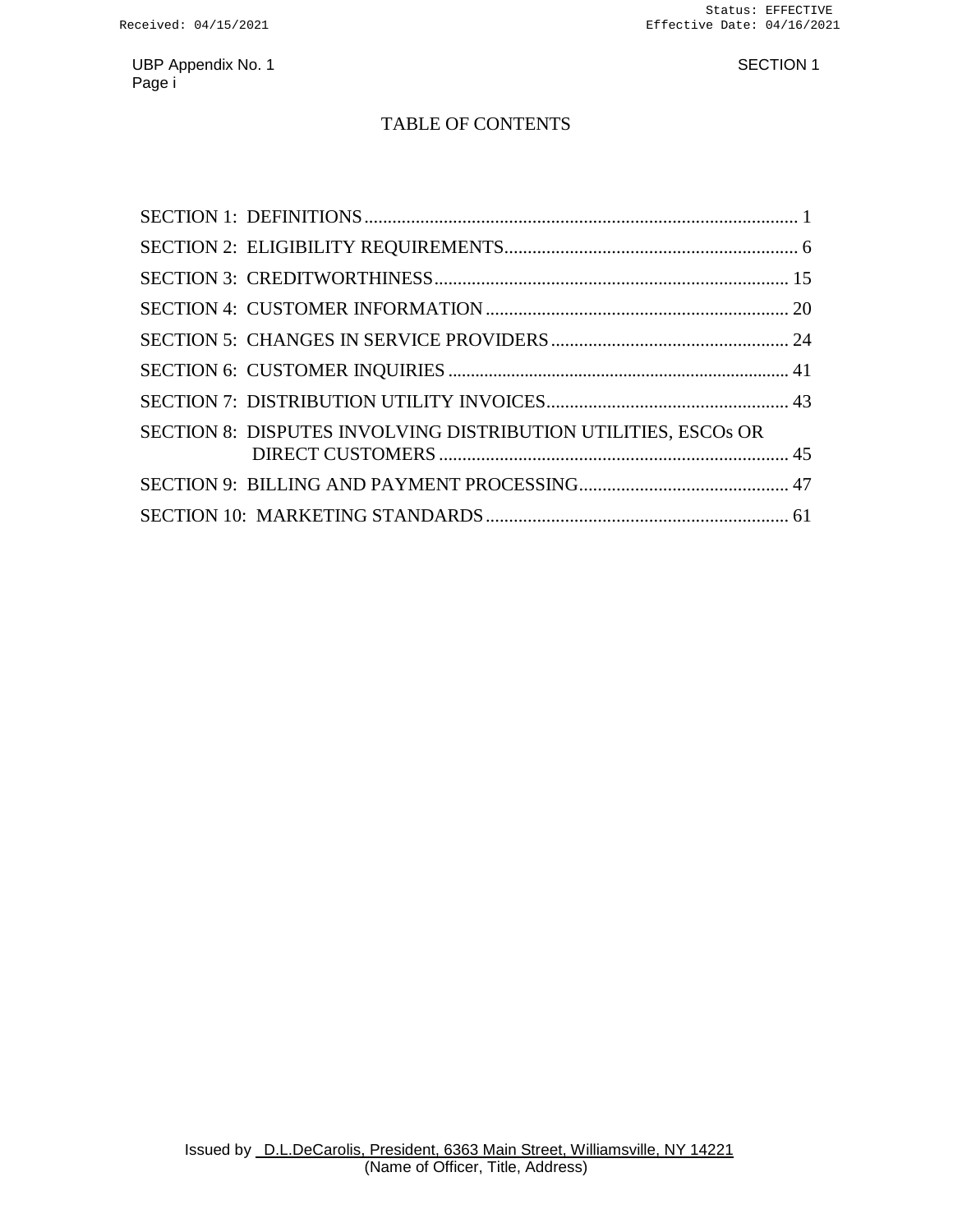### TABLE OF CONTENTS

| SECTION 8: DISPUTES INVOLVING DISTRIBUTION UTILITIES, ESCOS OR |  |
|----------------------------------------------------------------|--|
|                                                                |  |
|                                                                |  |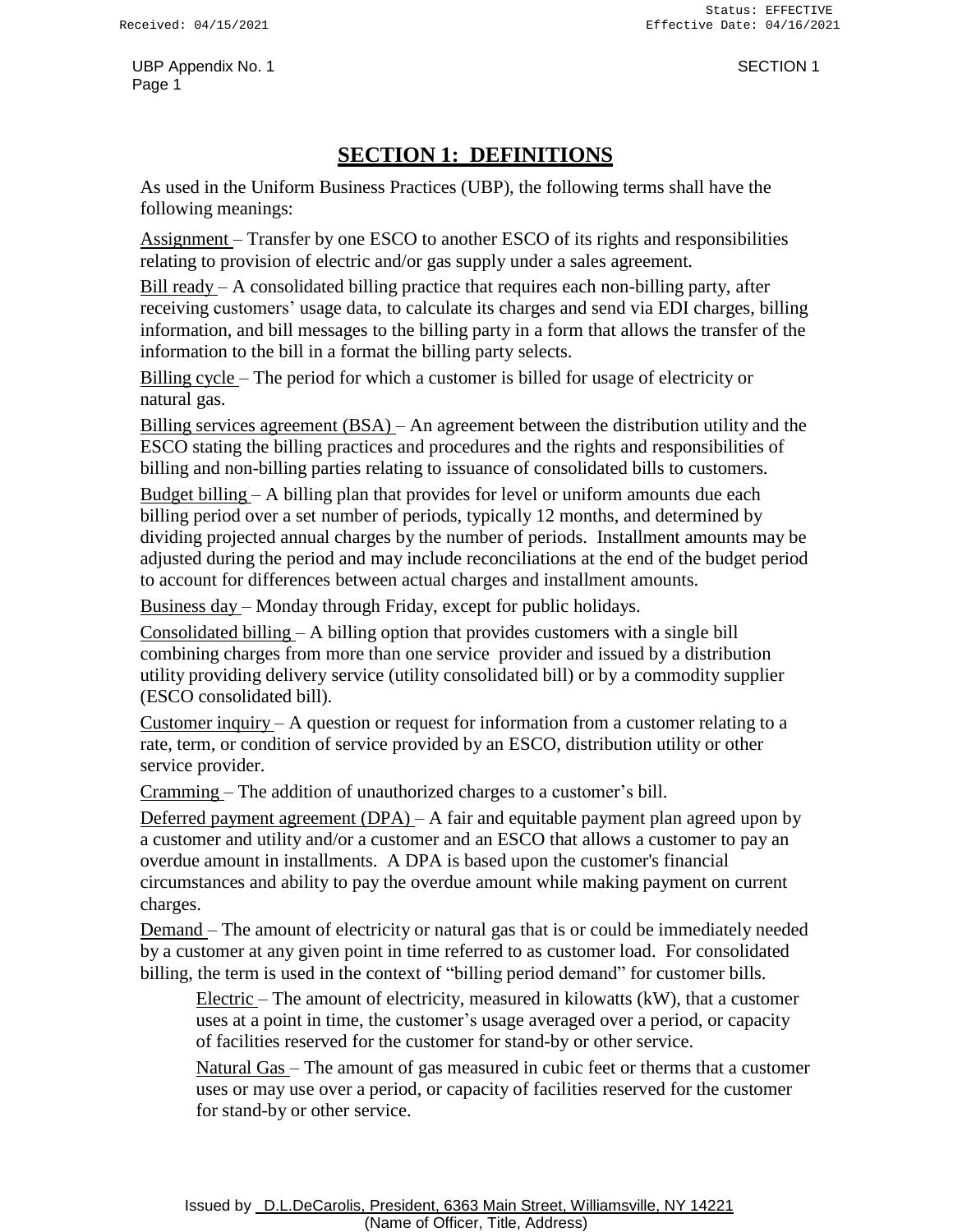# **SECTION 1: DEFINITIONS**

<span id="page-2-0"></span>As used in the Uniform Business Practices (UBP), the following terms shall have the following meanings:

Assignment – Transfer by one ESCO to another ESCO of its rights and responsibilities relating to provision of electric and/or gas supply under a sales agreement.

Bill ready – A consolidated billing practice that requires each non-billing party, after receiving customers' usage data, to calculate its charges and send via EDI charges, billing information, and bill messages to the billing party in a form that allows the transfer of the information to the bill in a format the billing party selects.

Billing cycle – The period for which a customer is billed for usage of electricity or natural gas.

Billing services agreement (BSA) – An agreement between the distribution utility and the ESCO stating the billing practices and procedures and the rights and responsibilities of billing and non-billing parties relating to issuance of consolidated bills to customers.

Budget billing – A billing plan that provides for level or uniform amounts due each billing period over a set number of periods, typically 12 months, and determined by dividing projected annual charges by the number of periods. Installment amounts may be adjusted during the period and may include reconciliations at the end of the budget period to account for differences between actual charges and installment amounts.

Business day – Monday through Friday, except for public holidays.

Consolidated billing – A billing option that provides customers with a single bill combining charges from more than one service provider and issued by a distribution utility providing delivery service (utility consolidated bill) or by a commodity supplier (ESCO consolidated bill).

Customer inquiry – A question or request for information from a customer relating to a rate, term, or condition of service provided by an ESCO, distribution utility or other service provider.

Cramming – The addition of unauthorized charges to a customer's bill.

Deferred payment agreement  $(DPA) - A$  fair and equitable payment plan agreed upon by a customer and utility and/or a customer and an ESCO that allows a customer to pay an overdue amount in installments. A DPA is based upon the customer's financial circumstances and ability to pay the overdue amount while making payment on current charges.

Demand – The amount of electricity or natural gas that is or could be immediately needed by a customer at any given point in time referred to as customer load. For consolidated billing, the term is used in the context of "billing period demand" for customer bills.

Electric – The amount of electricity, measured in kilowatts (kW), that a customer uses at a point in time, the customer's usage averaged over a period, or capacity of facilities reserved for the customer for stand-by or other service.

Natural Gas – The amount of gas measured in cubic feet or therms that a customer uses or may use over a period, or capacity of facilities reserved for the customer for stand-by or other service.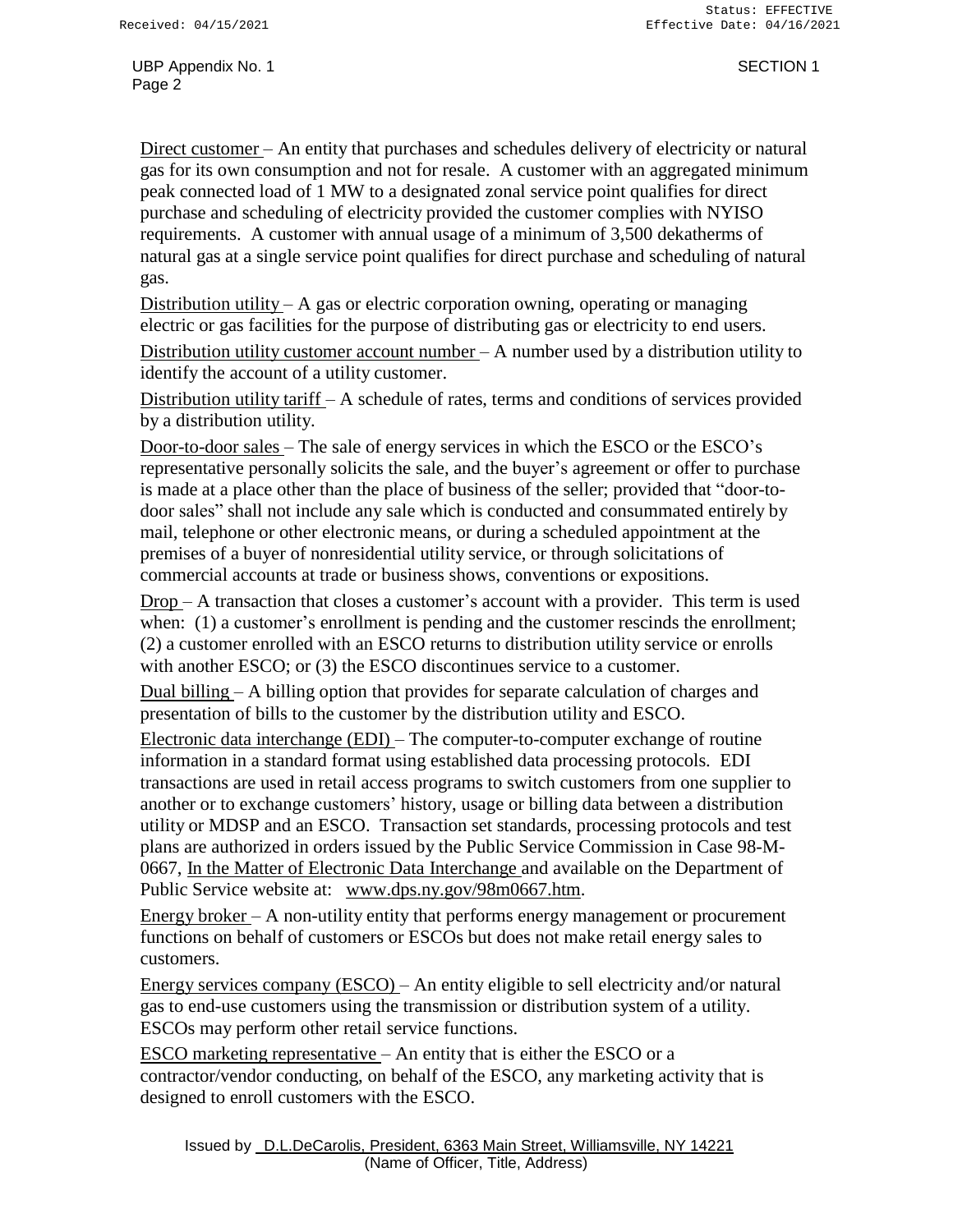Direct customer – An entity that purchases and schedules delivery of electricity or natural gas for its own consumption and not for resale. A customer with an aggregated minimum peak connected load of 1 MW to a designated zonal service point qualifies for direct purchase and scheduling of electricity provided the customer complies with NYISO requirements. A customer with annual usage of a minimum of 3,500 dekatherms of natural gas at a single service point qualifies for direct purchase and scheduling of natural gas.

Distribution utility  $-A$  gas or electric corporation owning, operating or managing electric or gas facilities for the purpose of distributing gas or electricity to end users.

Distribution utility customer account number  $- A$  number used by a distribution utility to identify the account of a utility customer.

Distribution utility tariff – A schedule of rates, terms and conditions of services provided by a distribution utility.

Door-to-door sales – The sale of energy services in which the ESCO or the ESCO's representative personally solicits the sale, and the buyer's agreement or offer to purchase is made at a place other than the place of business of the seller; provided that "door-todoor sales" shall not include any sale which is conducted and consummated entirely by mail, telephone or other electronic means, or during a scheduled appointment at the premises of a buyer of nonresidential utility service, or through solicitations of commercial accounts at trade or business shows, conventions or expositions.

Drop – A transaction that closes a customer's account with a provider. This term is used when: (1) a customer's enrollment is pending and the customer rescinds the enrollment; (2) a customer enrolled with an ESCO returns to distribution utility service or enrolls with another ESCO; or (3) the ESCO discontinues service to a customer.

Dual billing – A billing option that provides for separate calculation of charges and presentation of bills to the customer by the distribution utility and ESCO.

Electronic data interchange (EDI) – The computer-to-computer exchange of routine information in a standard format using established data processing protocols. EDI transactions are used in retail access programs to switch customers from one supplier to another or to exchange customers' history, usage or billing data between a distribution utility or MDSP and an ESCO. Transaction set standards, processing protocols and test plans are authorized in orders issued by the Public Service Commission in Case 98-M-0667, In the Matter of Electronic Data Interchange and available on the Department of Public Service website at: [www.dps.ny.gov/98m0667.htm.](http://www.dps.ny.gov/98m0667.htm)

Energy broker  $-$  A non-utility entity that performs energy management or procurement functions on behalf of customers or ESCOs but does not make retail energy sales to customers.

Energy services company (ESCO) – An entity eligible to sell electricity and/or natural gas to end-use customers using the transmission or distribution system of a utility. ESCOs may perform other retail service functions.

ESCO marketing representative – An entity that is either the ESCO or a contractor/vendor conducting, on behalf of the ESCO, any marketing activity that is designed to enroll customers with the ESCO.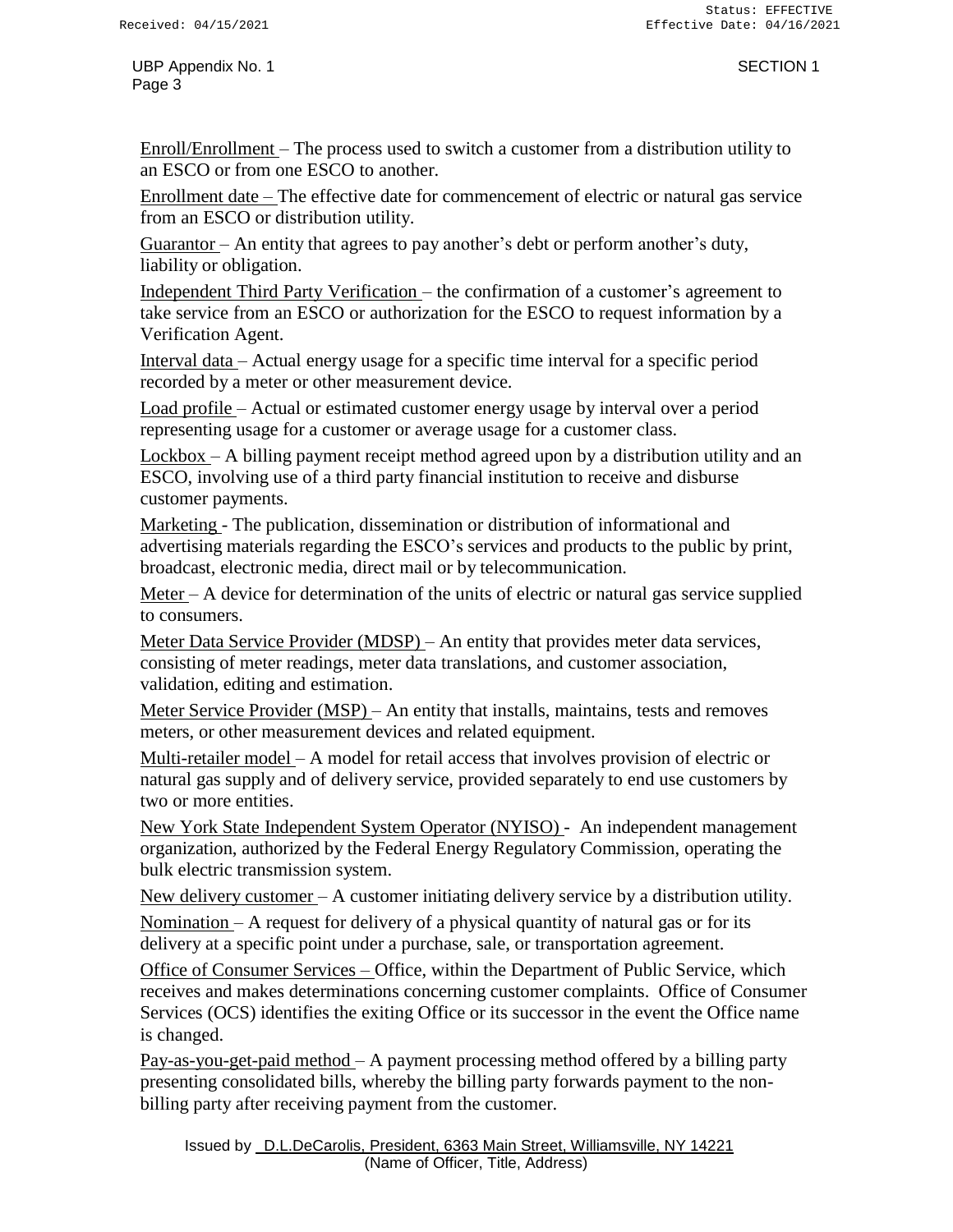Enroll/Enrollment – The process used to switch a customer from a distribution utility to an ESCO or from one ESCO to another.

Enrollment date – The effective date for commencement of electric or natural gas service from an ESCO or distribution utility.

Guarantor – An entity that agrees to pay another's debt or perform another's duty, liability or obligation.

Independent Third Party Verification – the confirmation of a customer's agreement to take service from an ESCO or authorization for the ESCO to request information by a Verification Agent.

Interval data – Actual energy usage for a specific time interval for a specific period recorded by a meter or other measurement device.

Load profile – Actual or estimated customer energy usage by interval over a period representing usage for a customer or average usage for a customer class.

Lockbox – A billing payment receipt method agreed upon by a distribution utility and an ESCO, involving use of a third party financial institution to receive and disburse customer payments.

Marketing - The publication, dissemination or distribution of informational and advertising materials regarding the ESCO's services and products to the public by print, broadcast, electronic media, direct mail or by telecommunication.

Meter – A device for determination of the units of electric or natural gas service supplied to consumers.

Meter Data Service Provider (MDSP) – An entity that provides meter data services, consisting of meter readings, meter data translations, and customer association, validation, editing and estimation.

Meter Service Provider (MSP) – An entity that installs, maintains, tests and removes meters, or other measurement devices and related equipment.

Multi-retailer model – A model for retail access that involves provision of electric or natural gas supply and of delivery service, provided separately to end use customers by two or more entities.

New York State Independent System Operator (NYISO) - An independent management organization, authorized by the Federal Energy Regulatory Commission, operating the bulk electric transmission system.

New delivery customer – A customer initiating delivery service by a distribution utility. Nomination – A request for delivery of a physical quantity of natural gas or for its delivery at a specific point under a purchase, sale, or transportation agreement.

Office of Consumer Services – Office, within the Department of Public Service, which receives and makes determinations concerning customer complaints. Office of Consumer Services (OCS) identifies the exiting Office or its successor in the event the Office name is changed.

Pay-as-you-get-paid method – A payment processing method offered by a billing party presenting consolidated bills, whereby the billing party forwards payment to the nonbilling party after receiving payment from the customer.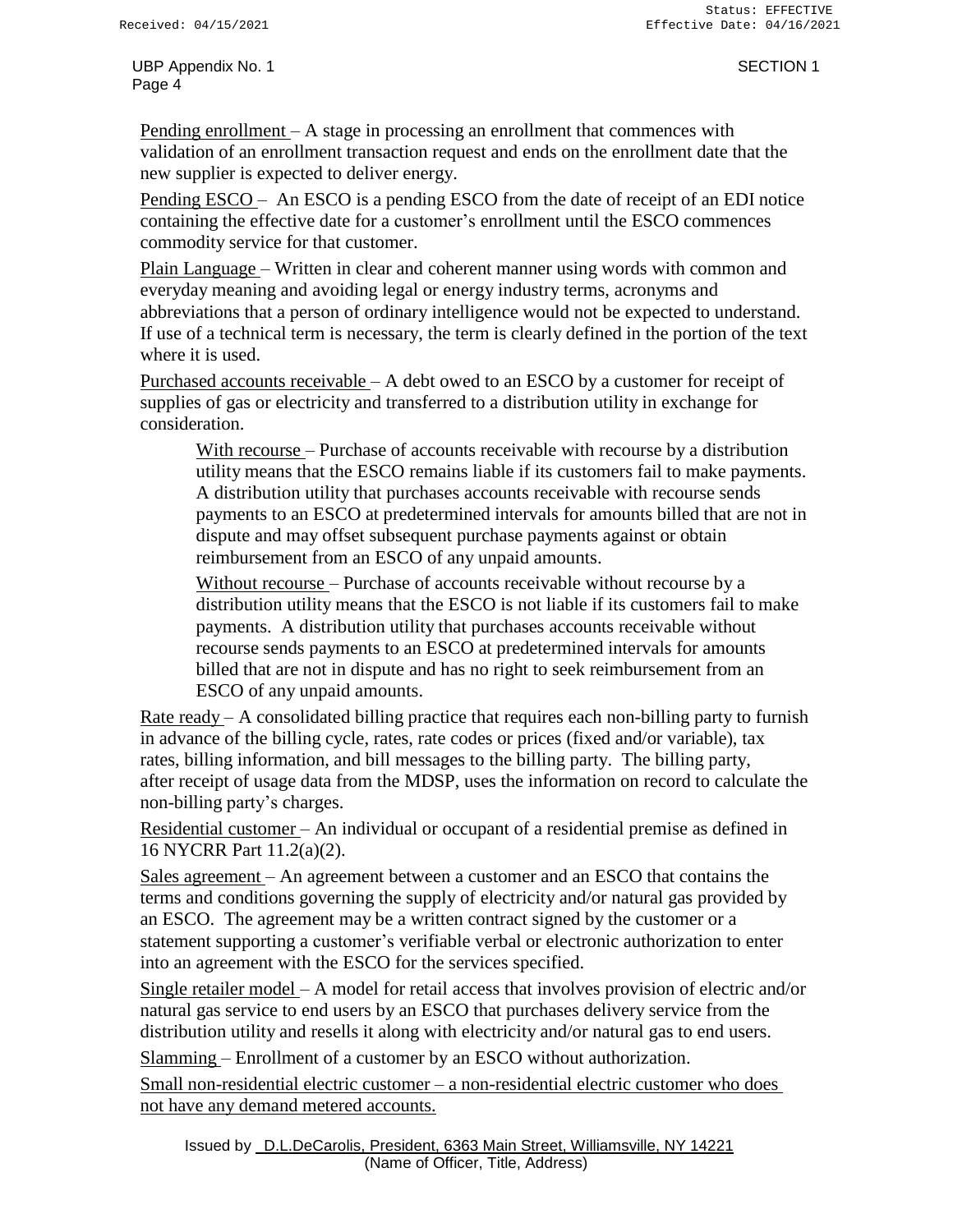Pending enrollment – A stage in processing an enrollment that commences with validation of an enrollment transaction request and ends on the enrollment date that the new supplier is expected to deliver energy.

Pending ESCO – An ESCO is a pending ESCO from the date of receipt of an EDI notice containing the effective date for a customer's enrollment until the ESCO commences commodity service for that customer.

Plain Language – Written in clear and coherent manner using words with common and everyday meaning and avoiding legal or energy industry terms, acronyms and abbreviations that a person of ordinary intelligence would not be expected to understand. If use of a technical term is necessary, the term is clearly defined in the portion of the text where it is used.

Purchased accounts receivable – A debt owed to an ESCO by a customer for receipt of supplies of gas or electricity and transferred to a distribution utility in exchange for consideration.

With recourse – Purchase of accounts receivable with recourse by a distribution utility means that the ESCO remains liable if its customers fail to make payments. A distribution utility that purchases accounts receivable with recourse sends payments to an ESCO at predetermined intervals for amounts billed that are not in dispute and may offset subsequent purchase payments against or obtain reimbursement from an ESCO of any unpaid amounts.

Without recourse – Purchase of accounts receivable without recourse by a distribution utility means that the ESCO is not liable if its customers fail to make payments. A distribution utility that purchases accounts receivable without recourse sends payments to an ESCO at predetermined intervals for amounts billed that are not in dispute and has no right to seek reimbursement from an ESCO of any unpaid amounts.

Rate ready – A consolidated billing practice that requires each non-billing party to furnish in advance of the billing cycle, rates, rate codes or prices (fixed and/or variable), tax rates, billing information, and bill messages to the billing party. The billing party, after receipt of usage data from the MDSP, uses the information on record to calculate the non-billing party's charges.

Residential customer – An individual or occupant of a residential premise as defined in 16 NYCRR Part 11.2(a)(2).

Sales agreement – An agreement between a customer and an ESCO that contains the terms and conditions governing the supply of electricity and/or natural gas provided by an ESCO. The agreement may be a written contract signed by the customer or a statement supporting a customer's verifiable verbal or electronic authorization to enter into an agreement with the ESCO for the services specified.

Single retailer model – A model for retail access that involves provision of electric and/or natural gas service to end users by an ESCO that purchases delivery service from the distribution utility and resells it along with electricity and/or natural gas to end users.

Slamming – Enrollment of a customer by an ESCO without authorization.

Small non-residential electric customer – a non-residential electric customer who does not have any demand metered accounts.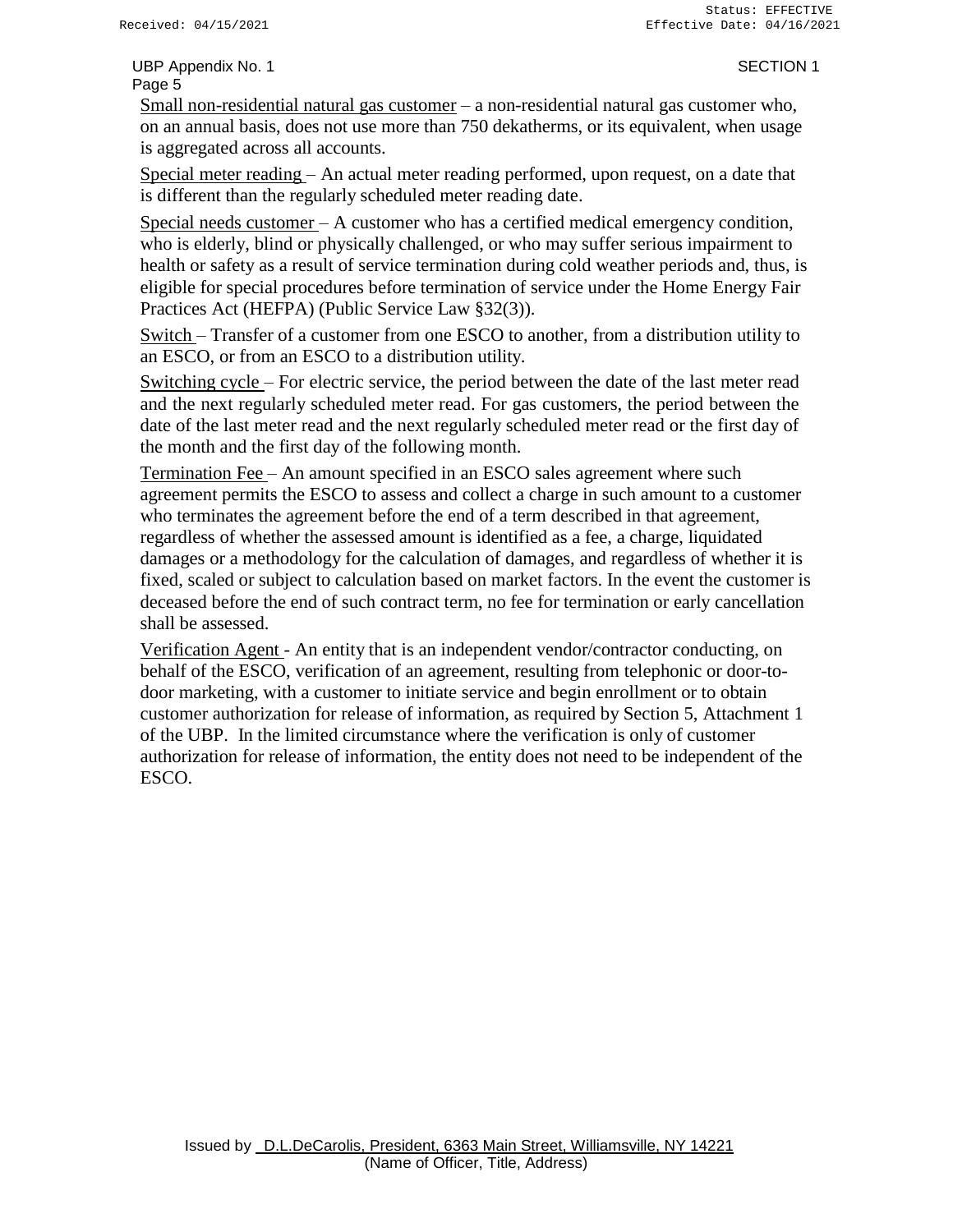Small non-residential natural gas customer – a non-residential natural gas customer who, on an annual basis, does not use more than 750 dekatherms, or its equivalent, when usage is aggregated across all accounts.

Special meter reading – An actual meter reading performed, upon request, on a date that is different than the regularly scheduled meter reading date.

Special needs customer – A customer who has a certified medical emergency condition, who is elderly, blind or physically challenged, or who may suffer serious impairment to health or safety as a result of service termination during cold weather periods and, thus, is eligible for special procedures before termination of service under the Home Energy Fair Practices Act (HEFPA) (Public Service Law §32(3)).

Switch – Transfer of a customer from one ESCO to another, from a distribution utility to an ESCO, or from an ESCO to a distribution utility.

Switching cycle – For electric service, the period between the date of the last meter read and the next regularly scheduled meter read. For gas customers, the period between the date of the last meter read and the next regularly scheduled meter read or the first day of the month and the first day of the following month.

Termination Fee – An amount specified in an ESCO sales agreement where such agreement permits the ESCO to assess and collect a charge in such amount to a customer who terminates the agreement before the end of a term described in that agreement, regardless of whether the assessed amount is identified as a fee, a charge, liquidated damages or a methodology for the calculation of damages, and regardless of whether it is fixed, scaled or subject to calculation based on market factors. In the event the customer is deceased before the end of such contract term, no fee for termination or early cancellation shall be assessed.

Verification Agent - An entity that is an independent vendor/contractor conducting, on behalf of the ESCO, verification of an agreement, resulting from telephonic or door-todoor marketing, with a customer to initiate service and begin enrollment or to obtain customer authorization for release of information, as required by Section 5, Attachment 1 of the UBP. In the limited circumstance where the verification is only of customer authorization for release of information, the entity does not need to be independent of the ESCO.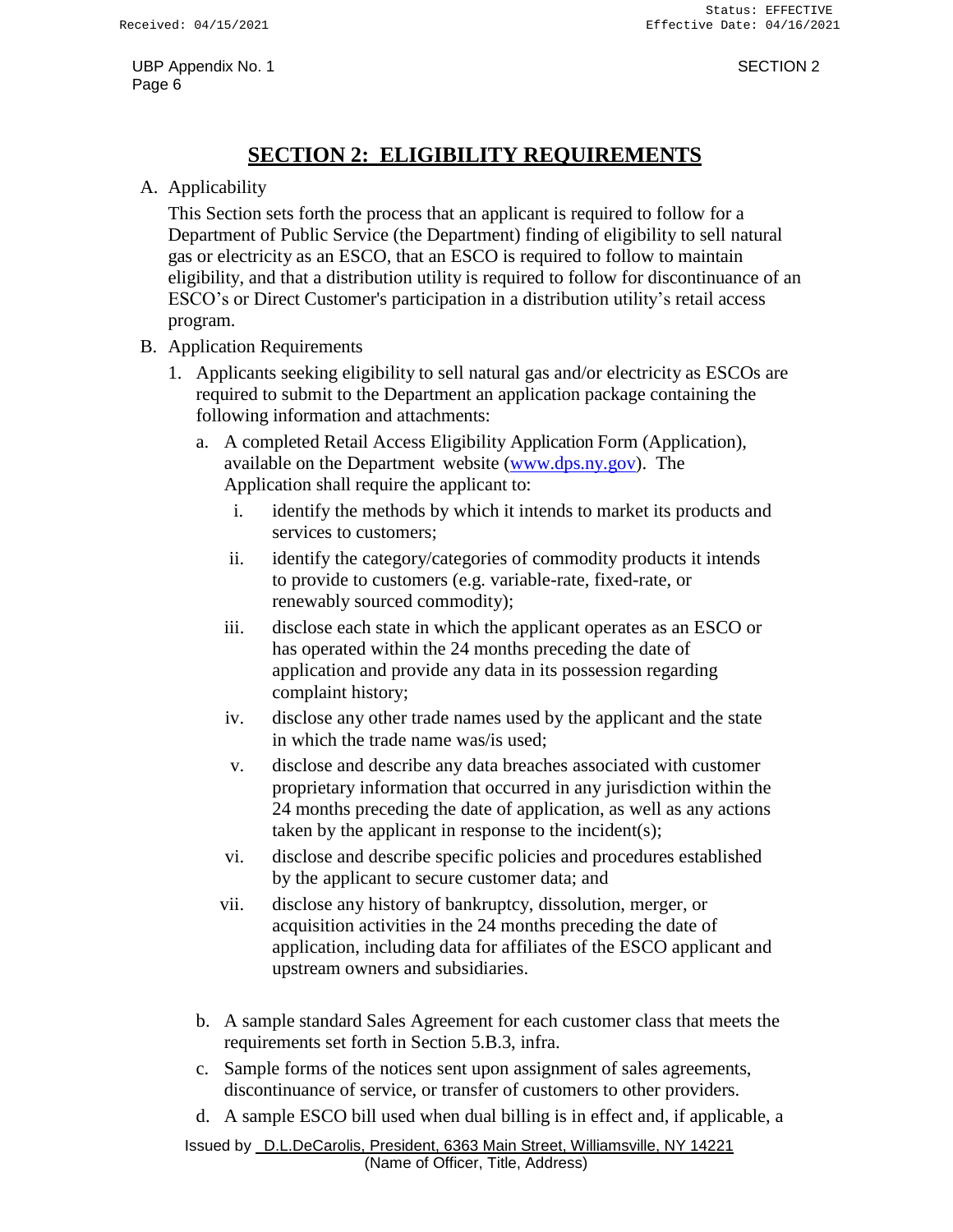### **SECTION 2: ELIGIBILITY REQUIREMENTS**

### <span id="page-7-0"></span>A. Applicability

This Section sets forth the process that an applicant is required to follow for a Department of Public Service (the Department) finding of eligibility to sell natural gas or electricity as an ESCO, that an ESCO is required to follow to maintain eligibility, and that a distribution utility is required to follow for discontinuance of an ESCO's or Direct Customer's participation in a distribution utility's retail access program.

- B. Application Requirements
	- 1. Applicants seeking eligibility to sell natural gas and/or electricity as ESCOs are required to submit to the Department an application package containing the following information and attachments:
		- a. A completed Retail Access Eligibility Application Form (Application), available on the Department website [\(www.dps.ny.gov\)](http://www.dps.ny.gov/). The Application shall require the applicant to:
			- i. identify the methods by which it intends to market its products and services to customers;
			- ii. identify the category/categories of commodity products it intends to provide to customers (e.g. variable-rate, fixed-rate, or renewably sourced commodity);
			- iii. disclose each state in which the applicant operates as an ESCO or has operated within the 24 months preceding the date of application and provide any data in its possession regarding complaint history;
			- iv. disclose any other trade names used by the applicant and the state in which the trade name was/is used;
			- v. disclose and describe any data breaches associated with customer proprietary information that occurred in any jurisdiction within the 24 months preceding the date of application, as well as any actions taken by the applicant in response to the incident(s);
			- vi. disclose and describe specific policies and procedures established by the applicant to secure customer data; and
			- vii. disclose any history of bankruptcy, dissolution, merger, or acquisition activities in the 24 months preceding the date of application, including data for affiliates of the ESCO applicant and upstream owners and subsidiaries.
		- b. A sample standard Sales Agreement for each customer class that meets the requirements set forth in Section 5.B.3, infra.
		- c. Sample forms of the notices sent upon assignment of sales agreements, discontinuance of service, or transfer of customers to other providers.
		- d. A sample ESCO bill used when dual billing is in effect and, if applicable, a

Issued by D.L.DeCarolis, President, 6363 Main Street, Williamsville, NY 14221 (Name of Officer, Title, Address)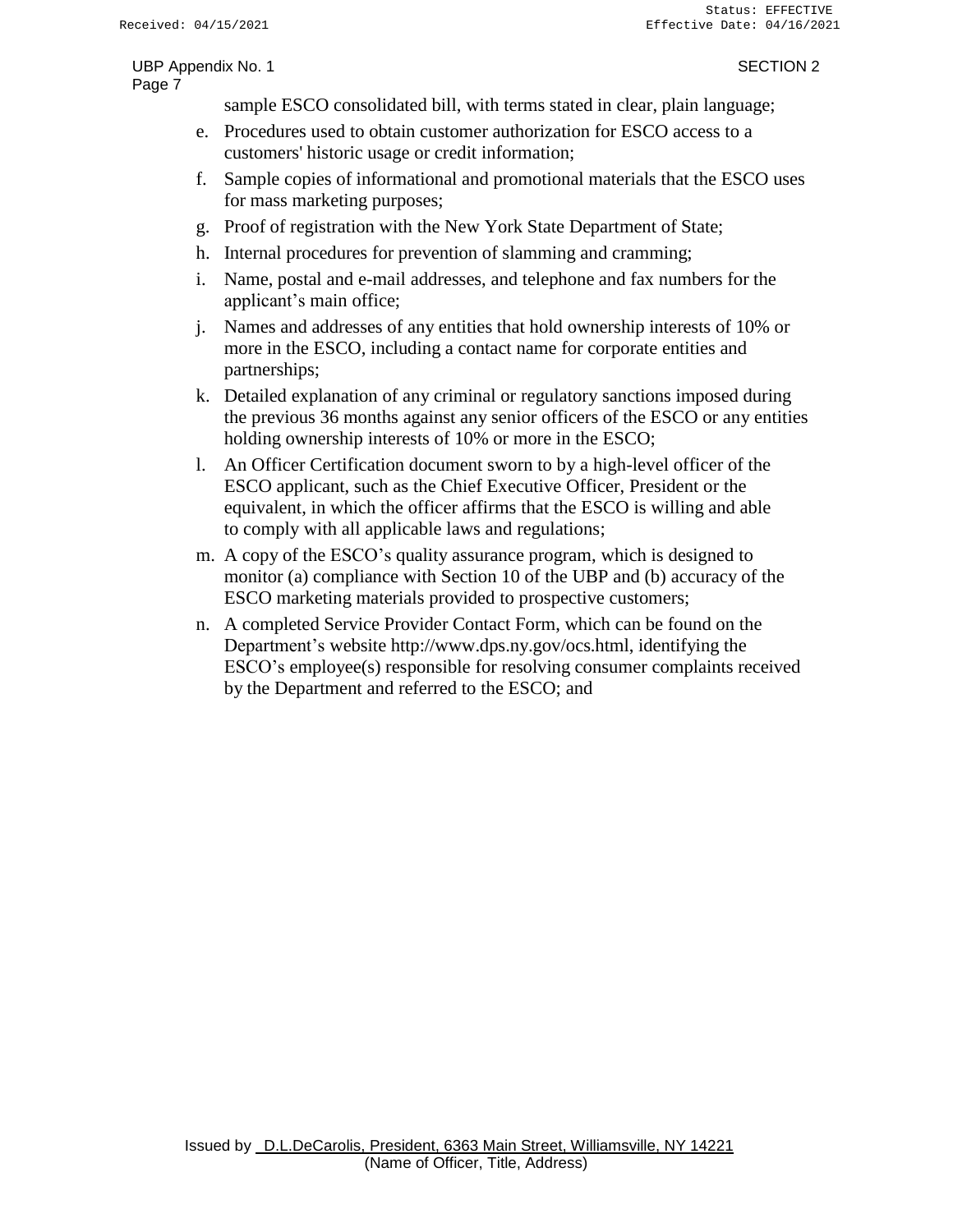sample ESCO consolidated bill, with terms stated in clear, plain language;

- e. Procedures used to obtain customer authorization for ESCO access to a customers' historic usage or credit information;
- f. Sample copies of informational and promotional materials that the ESCO uses for mass marketing purposes;
- g. Proof of registration with the New York State Department of State;
- h. Internal procedures for prevention of slamming and cramming;
- i. Name, postal and e-mail addresses, and telephone and fax numbers for the applicant's main office;
- j. Names and addresses of any entities that hold ownership interests of 10% or more in the ESCO, including a contact name for corporate entities and partnerships;
- k. Detailed explanation of any criminal or regulatory sanctions imposed during the previous 36 months against any senior officers of the ESCO or any entities holding ownership interests of 10% or more in the ESCO;
- l. An Officer Certification document sworn to by a high-level officer of the ESCO applicant, such as the Chief Executive Officer, President or the equivalent, in which the officer affirms that the ESCO is willing and able to comply with all applicable laws and regulations;
- m. A copy of the ESCO's quality assurance program, which is designed to monitor (a) compliance with Section 10 of the UBP and (b) accuracy of the ESCO marketing materials provided to prospective customers;
- n. A completed Service Provider Contact Form, which can be found on the Department's website [http://www.dps.ny.gov/ocs.html,](http://www.dps.ny.gov/ocs.html) identifying the ESCO's employee(s) responsible for resolving consumer complaints received by the Department and referred to the ESCO; and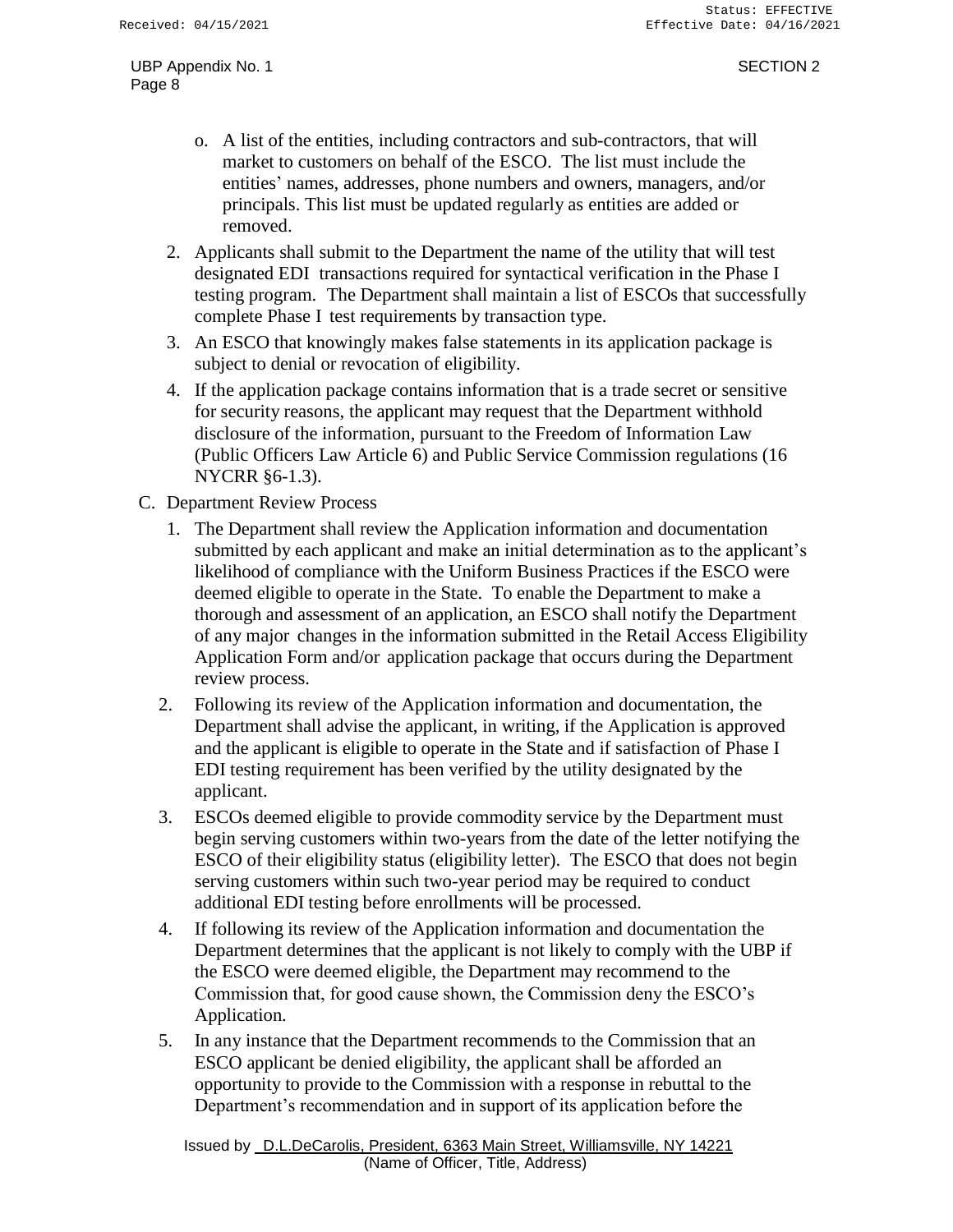- o. A list of the entities, including contractors and sub-contractors, that will market to customers on behalf of the ESCO. The list must include the entities' names, addresses, phone numbers and owners, managers, and/or principals. This list must be updated regularly as entities are added or removed.
- 2. Applicants shall submit to the Department the name of the utility that will test designated EDI transactions required for syntactical verification in the Phase I testing program. The Department shall maintain a list of ESCOs that successfully complete Phase I test requirements by transaction type.
- 3. An ESCO that knowingly makes false statements in its application package is subject to denial or revocation of eligibility.
- 4. If the application package contains information that is a trade secret or sensitive for security reasons, the applicant may request that the Department withhold disclosure of the information, pursuant to the Freedom of Information Law (Public Officers Law Article 6) and Public Service Commission regulations (16 NYCRR §6-1.3).
- C. Department Review Process
	- 1. The Department shall review the Application information and documentation submitted by each applicant and make an initial determination as to the applicant's likelihood of compliance with the Uniform Business Practices if the ESCO were deemed eligible to operate in the State. To enable the Department to make a thorough and assessment of an application, an ESCO shall notify the Department of any major changes in the information submitted in the Retail Access Eligibility Application Form and/or application package that occurs during the Department review process.
	- 2. Following its review of the Application information and documentation, the Department shall advise the applicant, in writing, if the Application is approved and the applicant is eligible to operate in the State and if satisfaction of Phase I EDI testing requirement has been verified by the utility designated by the applicant.
	- 3. ESCOs deemed eligible to provide commodity service by the Department must begin serving customers within two-years from the date of the letter notifying the ESCO of their eligibility status (eligibility letter). The ESCO that does not begin serving customers within such two-year period may be required to conduct additional EDI testing before enrollments will be processed.
	- 4. If following its review of the Application information and documentation the Department determines that the applicant is not likely to comply with the UBP if the ESCO were deemed eligible, the Department may recommend to the Commission that, for good cause shown, the Commission deny the ESCO's Application.
	- 5. In any instance that the Department recommends to the Commission that an ESCO applicant be denied eligibility, the applicant shall be afforded an opportunity to provide to the Commission with a response in rebuttal to the Department's recommendation and in support of its application before the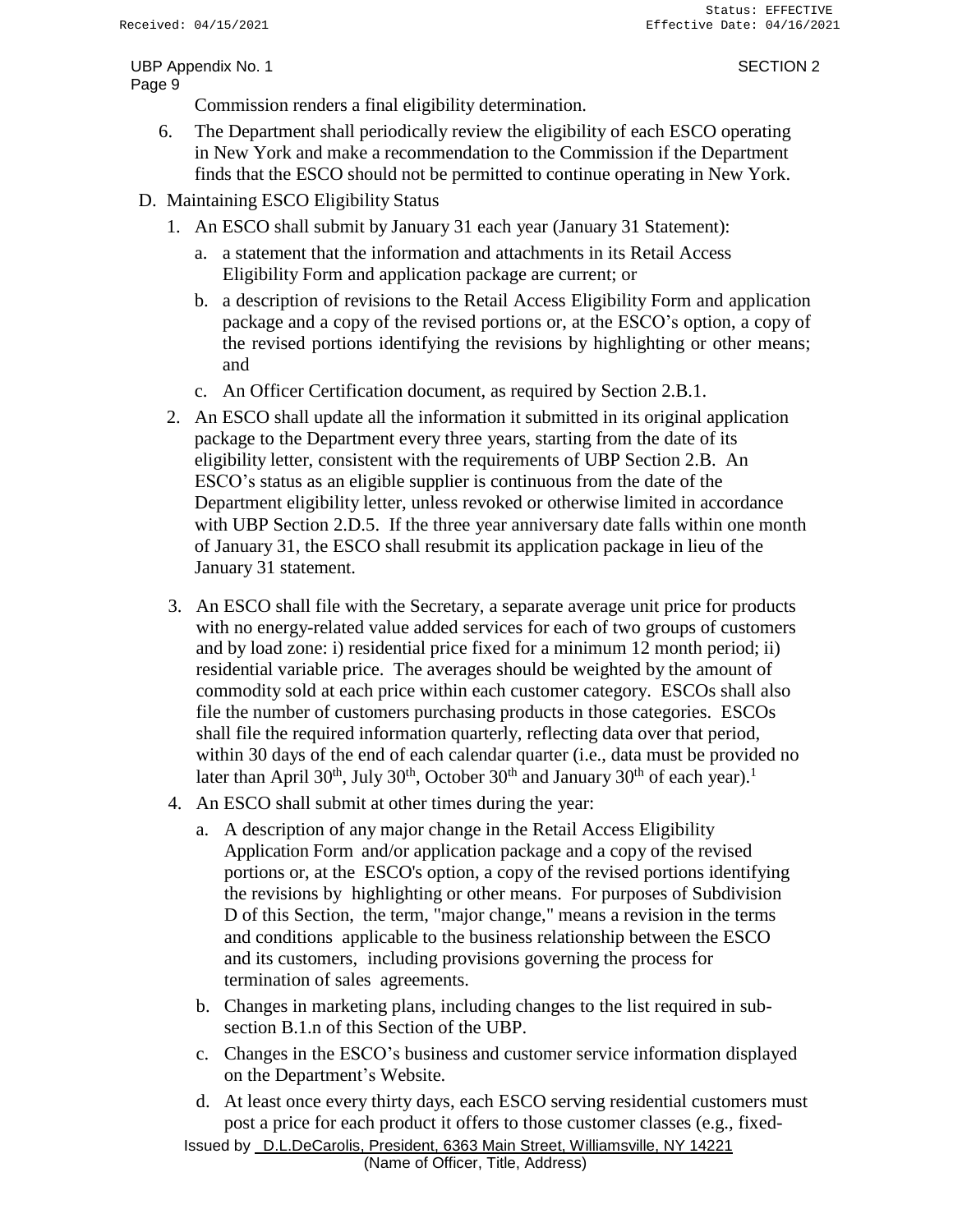Commission renders a final eligibility determination.

- 6. The Department shall periodically review the eligibility of each ESCO operating in New York and make a recommendation to the Commission if the Department finds that the ESCO should not be permitted to continue operating in New York.
- D. Maintaining ESCO Eligibility Status
	- 1. An ESCO shall submit by January 31 each year (January 31 Statement):
		- a. a statement that the information and attachments in its Retail Access Eligibility Form and application package are current; or
		- b. a description of revisions to the Retail Access Eligibility Form and application package and a copy of the revised portions or, at the ESCO's option, a copy of the revised portions identifying the revisions by highlighting or other means; and
		- c. An Officer Certification document, as required by Section 2.B.1.
	- 2. An ESCO shall update all the information it submitted in its original application package to the Department every three years, starting from the date of its eligibility letter, consistent with the requirements of UBP Section 2.B. An ESCO's status as an eligible supplier is continuous from the date of the Department eligibility letter, unless revoked or otherwise limited in accordance with UBP Section 2.D.5. If the three year anniversary date falls within one month of January 31, the ESCO shall resubmit its application package in lieu of the January 31 statement.
	- 3. An ESCO shall file with the Secretary, a separate average unit price for products with no energy-related value added services for each of two groups of customers and by load zone: i) residential price fixed for a minimum 12 month period; ii) residential variable price. The averages should be weighted by the amount of commodity sold at each price within each customer category. ESCOs shall also file the number of customers purchasing products in those categories. ESCOs shall file the required information quarterly, reflecting data over that period, within 30 days of the end of each calendar quarter (i.e., data must be provided no later than April 30<sup>th</sup>, July 30<sup>th</sup>, October 30<sup>th</sup> and January 30<sup>th</sup> of each year).<sup>1</sup>
	- 4. An ESCO shall submit at other times during the year:
		- a. A description of any major change in the Retail Access Eligibility Application Form and/or application package and a copy of the revised portions or, at the ESCO's option, a copy of the revised portions identifying the revisions by highlighting or other means. For purposes of Subdivision D of this Section, the term, "major change," means a revision in the terms and conditions applicable to the business relationship between the ESCO and its customers, including provisions governing the process for termination of sales agreements.
		- b. Changes in marketing plans, including changes to the list required in subsection B.1.n of this Section of the UBP.
		- c. Changes in the ESCO's business and customer service information displayed on the Department's Website.
		- d. At least once every thirty days, each ESCO serving residential customers must post a price for each product it offers to those customer classes (e.g., fixed-

Issued by D.L.DeCarolis, President, 6363 Main Street, Williamsville, NY 14221 (Name of Officer, Title, Address)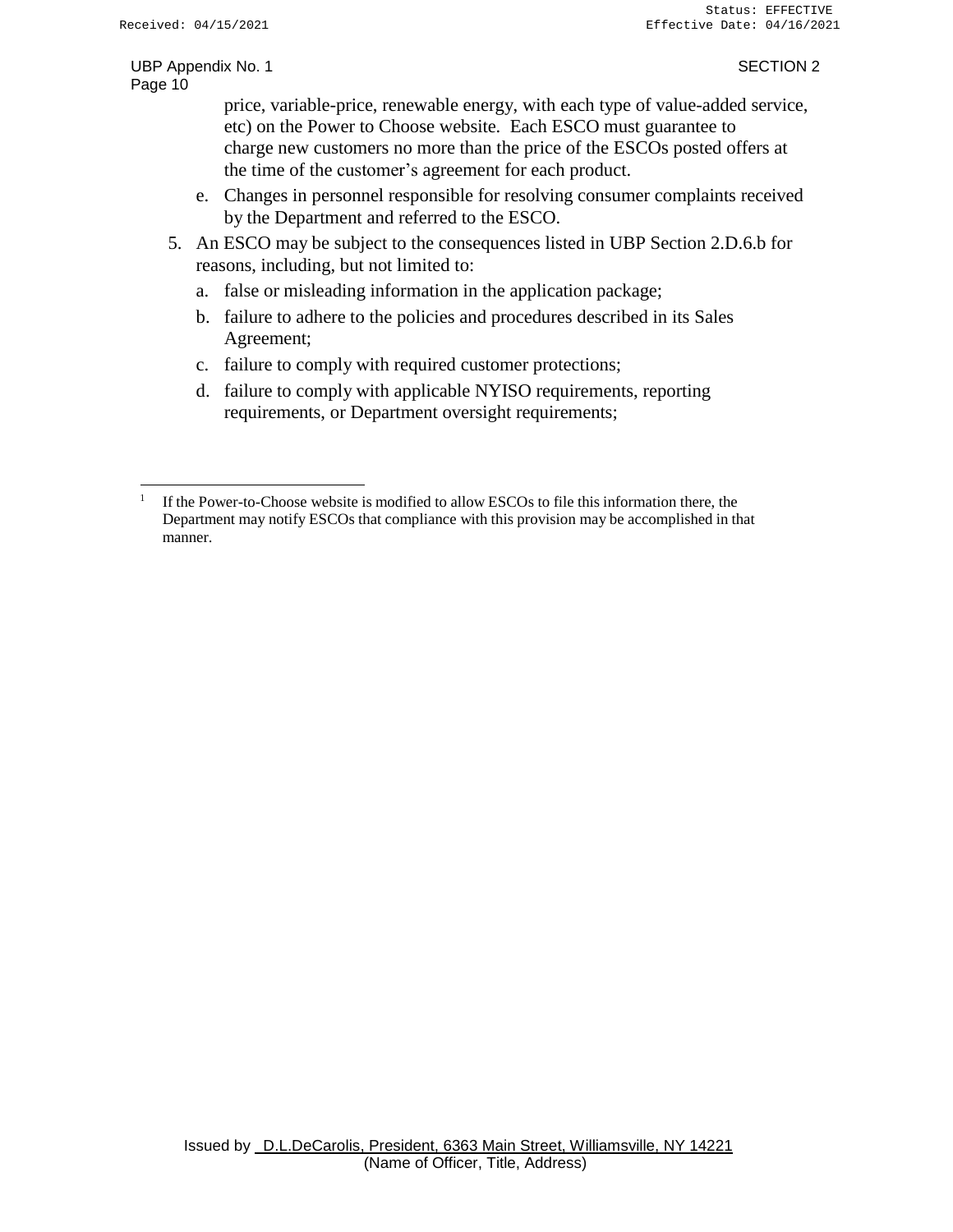price, variable-price, renewable energy, with each type of value-added service, etc) on the Power to Choose website. Each ESCO must guarantee to charge new customers no more than the price of the ESCOs posted offers at the time of the customer's agreement for each product.

- e. Changes in personnel responsible for resolving consumer complaints received by the Department and referred to the ESCO.
- 5. An ESCO may be subject to the consequences listed in UBP Section 2.D.6.b for reasons, including, but not limited to:
	- a. false or misleading information in the application package;
	- b. failure to adhere to the policies and procedures described in its Sales Agreement;
	- c. failure to comply with required customer protections;
	- d. failure to comply with applicable NYISO requirements, reporting requirements, or Department oversight requirements;

<sup>1</sup> If the Power-to-Choose website is modified to allow ESCOs to file this information there, the Department may notify ESCOs that compliance with this provision may be accomplished in that manner.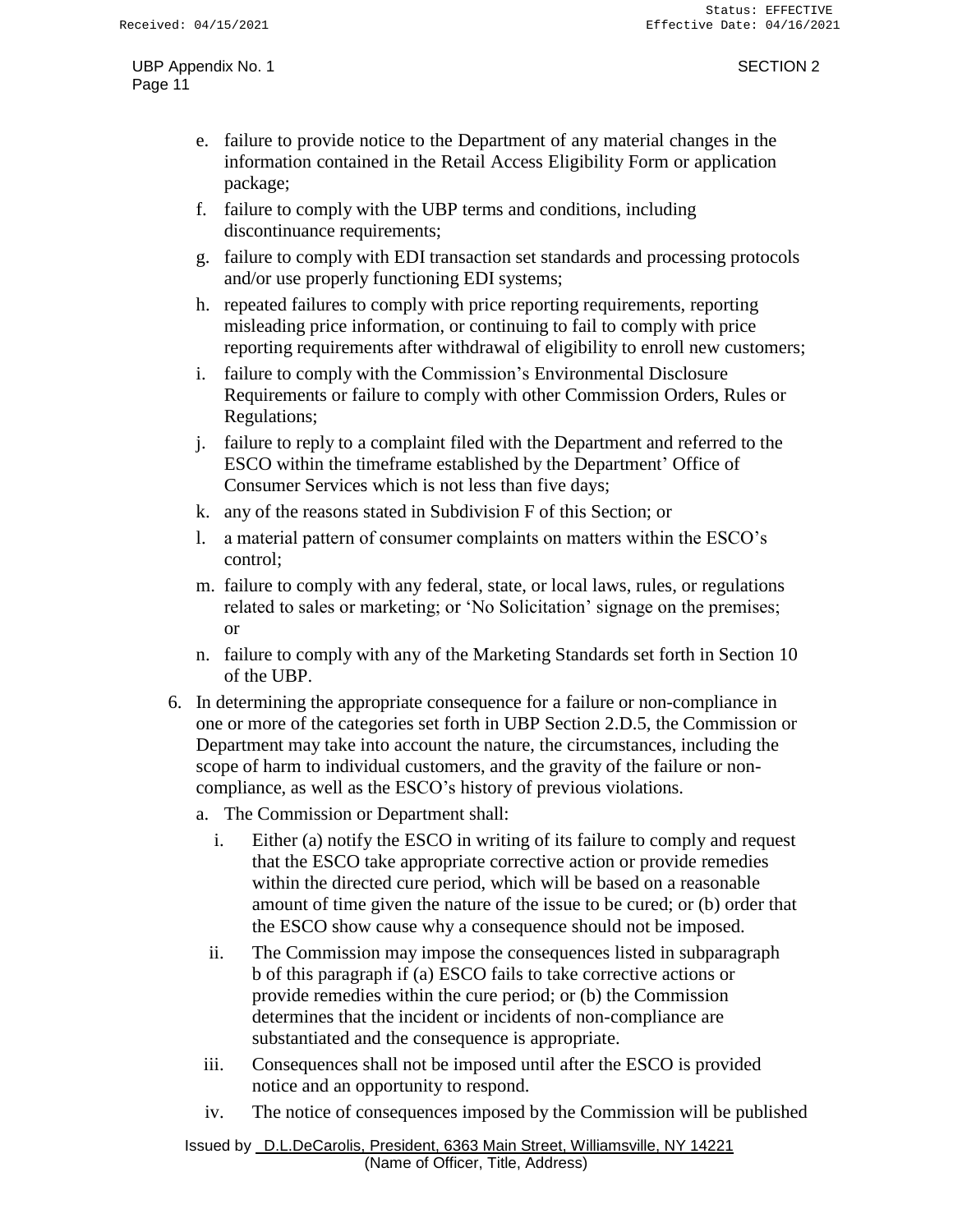- e. failure to provide notice to the Department of any material changes in the information contained in the Retail Access Eligibility Form or application package;
- f. failure to comply with the UBP terms and conditions, including discontinuance requirements;
- g. failure to comply with EDI transaction set standards and processing protocols and/or use properly functioning EDI systems;
- h. repeated failures to comply with price reporting requirements, reporting misleading price information, or continuing to fail to comply with price reporting requirements after withdrawal of eligibility to enroll new customers;
- i. failure to comply with the Commission's Environmental Disclosure Requirements or failure to comply with other Commission Orders, Rules or Regulations;
- j. failure to reply to a complaint filed with the Department and referred to the ESCO within the timeframe established by the Department' Office of Consumer Services which is not less than five days;
- k. any of the reasons stated in Subdivision F of this Section; or
- l. a material pattern of consumer complaints on matters within the ESCO's control;
- m. failure to comply with any federal, state, or local laws, rules, or regulations related to sales or marketing; or 'No Solicitation' signage on the premises; or
- n. failure to comply with any of the Marketing Standards set forth in Section 10 of the UBP.
- 6. In determining the appropriate consequence for a failure or non-compliance in one or more of the categories set forth in UBP Section 2.D.5, the Commission or Department may take into account the nature, the circumstances, including the scope of harm to individual customers, and the gravity of the failure or noncompliance, as well as the ESCO's history of previous violations.
	- a. The Commission or Department shall:
		- i. Either (a) notify the ESCO in writing of its failure to comply and request that the ESCO take appropriate corrective action or provide remedies within the directed cure period, which will be based on a reasonable amount of time given the nature of the issue to be cured; or (b) order that the ESCO show cause why a consequence should not be imposed.
		- ii. The Commission may impose the consequences listed in subparagraph b of this paragraph if (a) ESCO fails to take corrective actions or provide remedies within the cure period; or (b) the Commission determines that the incident or incidents of non-compliance are substantiated and the consequence is appropriate.
	- iii. Consequences shall not be imposed until after the ESCO is provided notice and an opportunity to respond.
	- iv. The notice of consequences imposed by the Commission will be published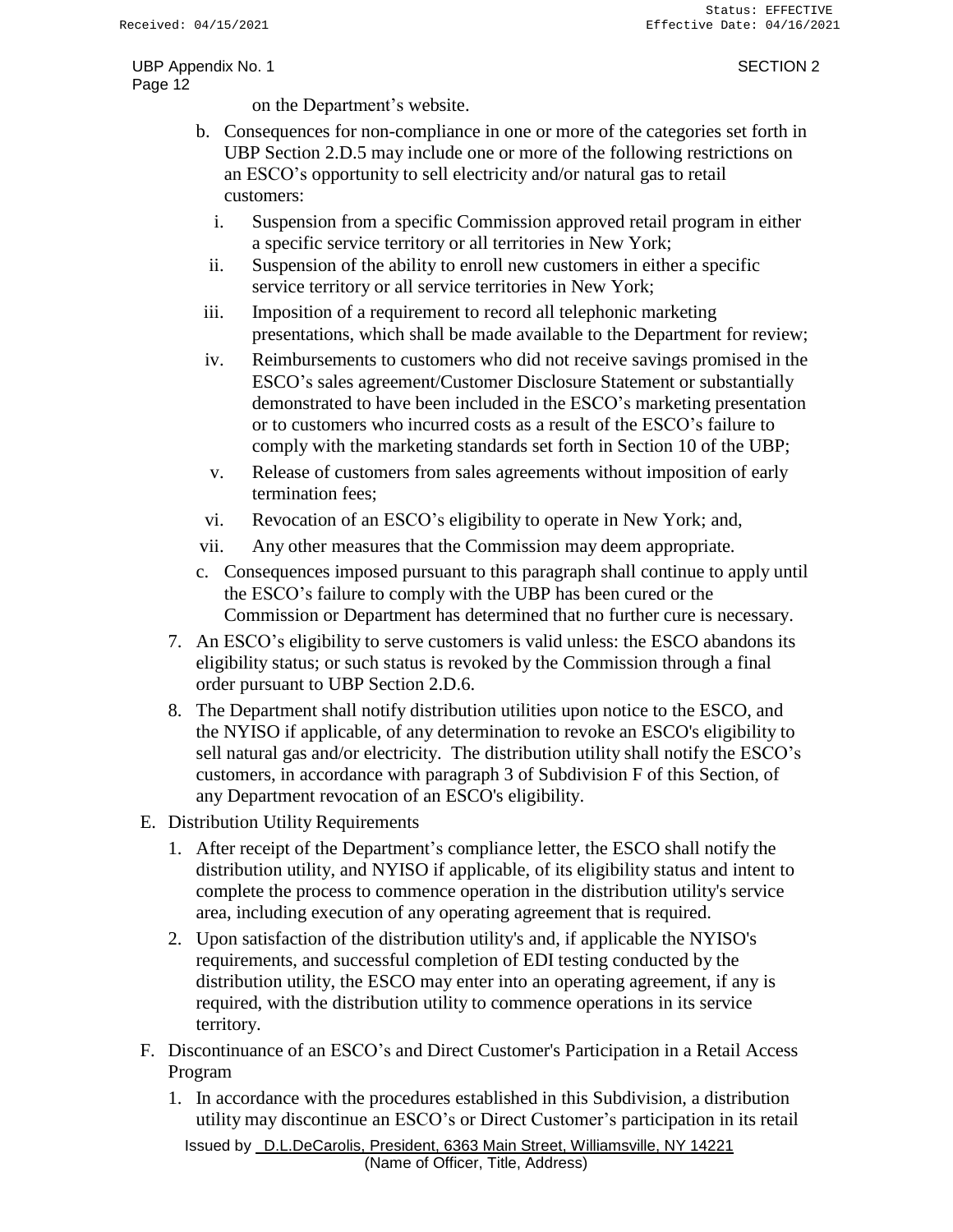on the Department's website.

- b. Consequences for non-compliance in one or more of the categories set forth in UBP Section 2.D.5 may include one or more of the following restrictions on an ESCO's opportunity to sell electricity and/or natural gas to retail customers:
	- i. Suspension from a specific Commission approved retail program in either a specific service territory or all territories in New York;
	- ii. Suspension of the ability to enroll new customers in either a specific service territory or all service territories in New York;
- iii. Imposition of a requirement to record all telephonic marketing presentations, which shall be made available to the Department for review;
- iv. Reimbursements to customers who did not receive savings promised in the ESCO's sales agreement/Customer Disclosure Statement or substantially demonstrated to have been included in the ESCO's marketing presentation or to customers who incurred costs as a result of the ESCO's failure to comply with the marketing standards set forth in Section 10 of the UBP;
- v. Release of customers from sales agreements without imposition of early termination fees;
- vi. Revocation of an ESCO's eligibility to operate in New York; and,
- vii. Any other measures that the Commission may deem appropriate.
- c. Consequences imposed pursuant to this paragraph shall continue to apply until the ESCO's failure to comply with the UBP has been cured or the Commission or Department has determined that no further cure is necessary.
- 7. An ESCO's eligibility to serve customers is valid unless: the ESCO abandons its eligibility status; or such status is revoked by the Commission through a final order pursuant to UBP Section 2.D.6.
- 8. The Department shall notify distribution utilities upon notice to the ESCO, and the NYISO if applicable, of any determination to revoke an ESCO's eligibility to sell natural gas and/or electricity. The distribution utility shall notify the ESCO's customers, in accordance with paragraph 3 of Subdivision F of this Section, of any Department revocation of an ESCO's eligibility.
- E. Distribution Utility Requirements
	- 1. After receipt of the Department's compliance letter, the ESCO shall notify the distribution utility, and NYISO if applicable, of its eligibility status and intent to complete the process to commence operation in the distribution utility's service area, including execution of any operating agreement that is required.
	- 2. Upon satisfaction of the distribution utility's and, if applicable the NYISO's requirements, and successful completion of EDI testing conducted by the distribution utility, the ESCO may enter into an operating agreement, if any is required, with the distribution utility to commence operations in its service territory.
- F. Discontinuance of an ESCO's and Direct Customer's Participation in a Retail Access Program
	- 1. In accordance with the procedures established in this Subdivision, a distribution utility may discontinue an ESCO's or Direct Customer's participation in its retail

Issued by D.L.DeCarolis, President, 6363 Main Street, Williamsville, NY 14221 (Name of Officer, Title, Address)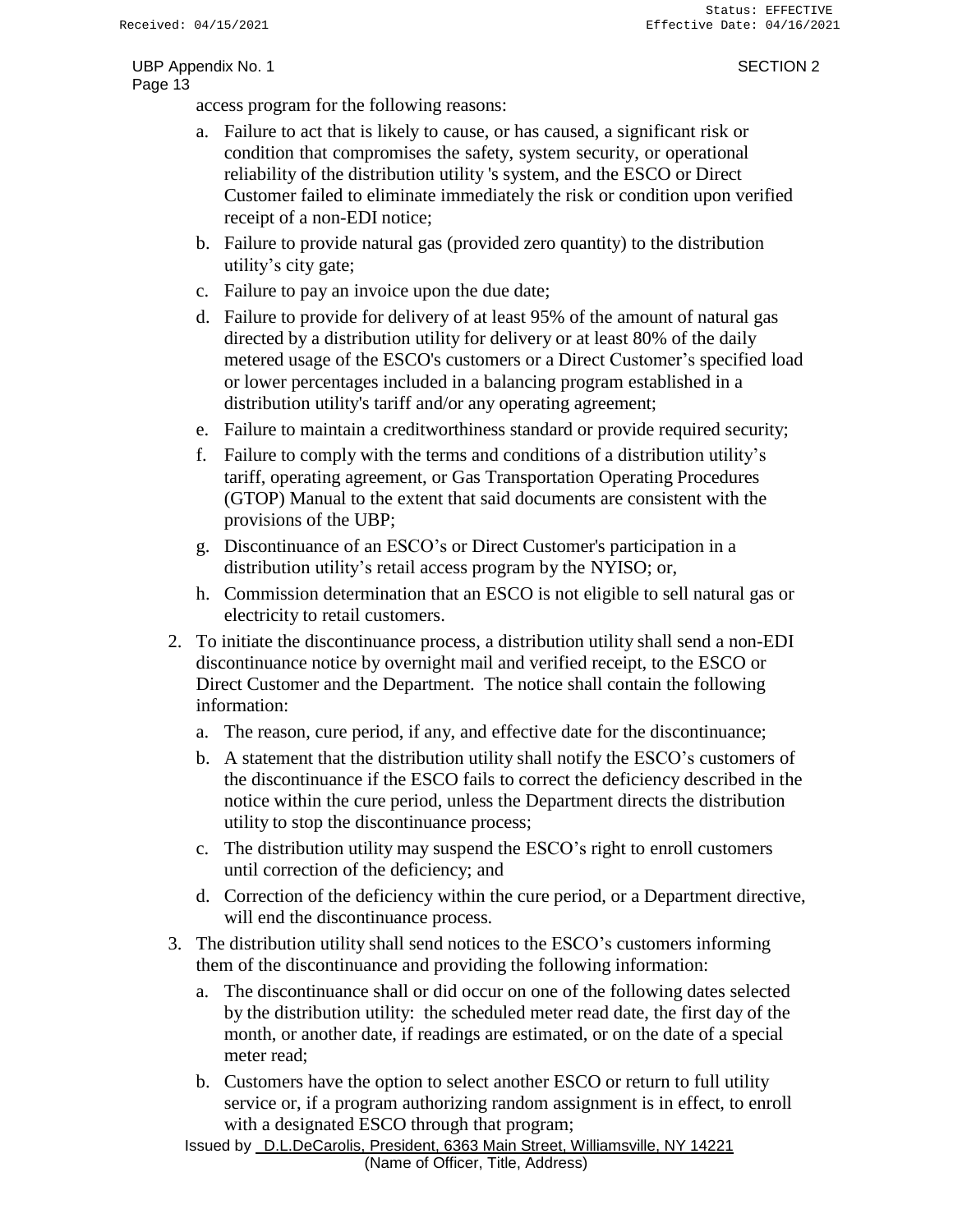access program for the following reasons:

- a. Failure to act that is likely to cause, or has caused, a significant risk or condition that compromises the safety, system security, or operational reliability of the distribution utility 's system, and the ESCO or Direct Customer failed to eliminate immediately the risk or condition upon verified receipt of a non-EDI notice;
- b. Failure to provide natural gas (provided zero quantity) to the distribution utility's city gate;
- c. Failure to pay an invoice upon the due date;
- d. Failure to provide for delivery of at least 95% of the amount of natural gas directed by a distribution utility for delivery or at least 80% of the daily metered usage of the ESCO's customers or a Direct Customer's specified load or lower percentages included in a balancing program established in a distribution utility's tariff and/or any operating agreement;
- e. Failure to maintain a creditworthiness standard or provide required security;
- f. Failure to comply with the terms and conditions of a distribution utility's tariff, operating agreement, or Gas Transportation Operating Procedures (GTOP) Manual to the extent that said documents are consistent with the provisions of the UBP;
- g. Discontinuance of an ESCO's or Direct Customer's participation in a distribution utility's retail access program by the NYISO; or,
- h. Commission determination that an ESCO is not eligible to sell natural gas or electricity to retail customers.
- 2. To initiate the discontinuance process, a distribution utility shall send a non-EDI discontinuance notice by overnight mail and verified receipt, to the ESCO or Direct Customer and the Department. The notice shall contain the following information:
	- a. The reason, cure period, if any, and effective date for the discontinuance;
	- b. A statement that the distribution utility shall notify the ESCO's customers of the discontinuance if the ESCO fails to correct the deficiency described in the notice within the cure period, unless the Department directs the distribution utility to stop the discontinuance process;
	- c. The distribution utility may suspend the ESCO's right to enroll customers until correction of the deficiency; and
	- d. Correction of the deficiency within the cure period, or a Department directive, will end the discontinuance process.
- 3. The distribution utility shall send notices to the ESCO's customers informing them of the discontinuance and providing the following information:
	- a. The discontinuance shall or did occur on one of the following dates selected by the distribution utility: the scheduled meter read date, the first day of the month, or another date, if readings are estimated, or on the date of a special meter read;
	- b. Customers have the option to select another ESCO or return to full utility service or, if a program authorizing random assignment is in effect, to enroll with a designated ESCO through that program;

Issued by D.L.DeCarolis, President, 6363 Main Street, Williamsville, NY 14221 (Name of Officer, Title, Address)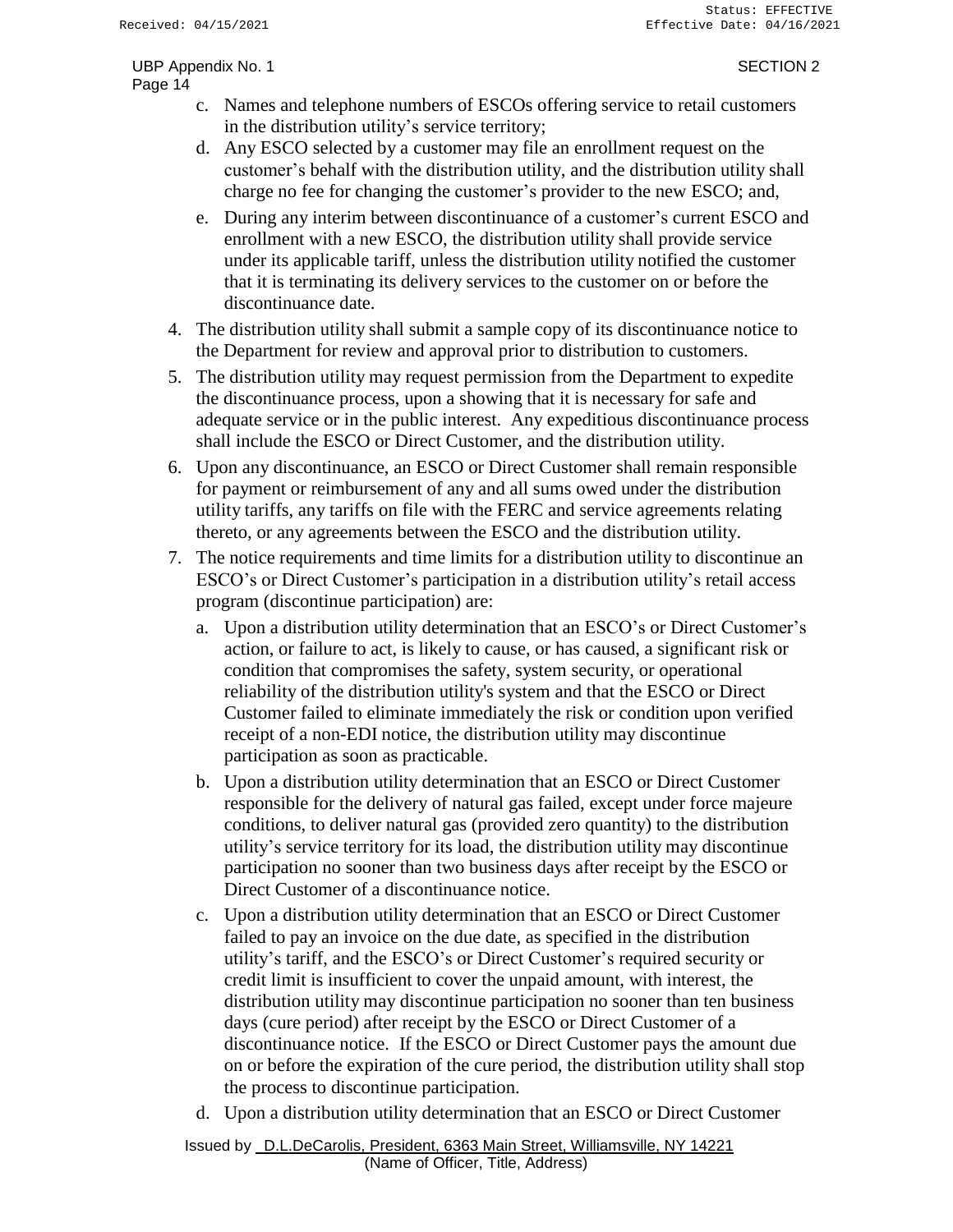- c. Names and telephone numbers of ESCOs offering service to retail customers in the distribution utility's service territory;
- d. Any ESCO selected by a customer may file an enrollment request on the customer's behalf with the distribution utility, and the distribution utility shall charge no fee for changing the customer's provider to the new ESCO; and,
- e. During any interim between discontinuance of a customer's current ESCO and enrollment with a new ESCO, the distribution utility shall provide service under its applicable tariff, unless the distribution utility notified the customer that it is terminating its delivery services to the customer on or before the discontinuance date.
- 4. The distribution utility shall submit a sample copy of its discontinuance notice to the Department for review and approval prior to distribution to customers.
- 5. The distribution utility may request permission from the Department to expedite the discontinuance process, upon a showing that it is necessary for safe and adequate service or in the public interest. Any expeditious discontinuance process shall include the ESCO or Direct Customer, and the distribution utility.
- 6. Upon any discontinuance, an ESCO or Direct Customer shall remain responsible for payment or reimbursement of any and all sums owed under the distribution utility tariffs, any tariffs on file with the FERC and service agreements relating thereto, or any agreements between the ESCO and the distribution utility.
- 7. The notice requirements and time limits for a distribution utility to discontinue an ESCO's or Direct Customer's participation in a distribution utility's retail access program (discontinue participation) are:
	- a. Upon a distribution utility determination that an ESCO's or Direct Customer's action, or failure to act, is likely to cause, or has caused, a significant risk or condition that compromises the safety, system security, or operational reliability of the distribution utility's system and that the ESCO or Direct Customer failed to eliminate immediately the risk or condition upon verified receipt of a non-EDI notice, the distribution utility may discontinue participation as soon as practicable.
	- b. Upon a distribution utility determination that an ESCO or Direct Customer responsible for the delivery of natural gas failed, except under force majeure conditions, to deliver natural gas (provided zero quantity) to the distribution utility's service territory for its load, the distribution utility may discontinue participation no sooner than two business days after receipt by the ESCO or Direct Customer of a discontinuance notice.
	- c. Upon a distribution utility determination that an ESCO or Direct Customer failed to pay an invoice on the due date, as specified in the distribution utility's tariff, and the ESCO's or Direct Customer's required security or credit limit is insufficient to cover the unpaid amount, with interest, the distribution utility may discontinue participation no sooner than ten business days (cure period) after receipt by the ESCO or Direct Customer of a discontinuance notice. If the ESCO or Direct Customer pays the amount due on or before the expiration of the cure period, the distribution utility shall stop the process to discontinue participation.
	- d. Upon a distribution utility determination that an ESCO or Direct Customer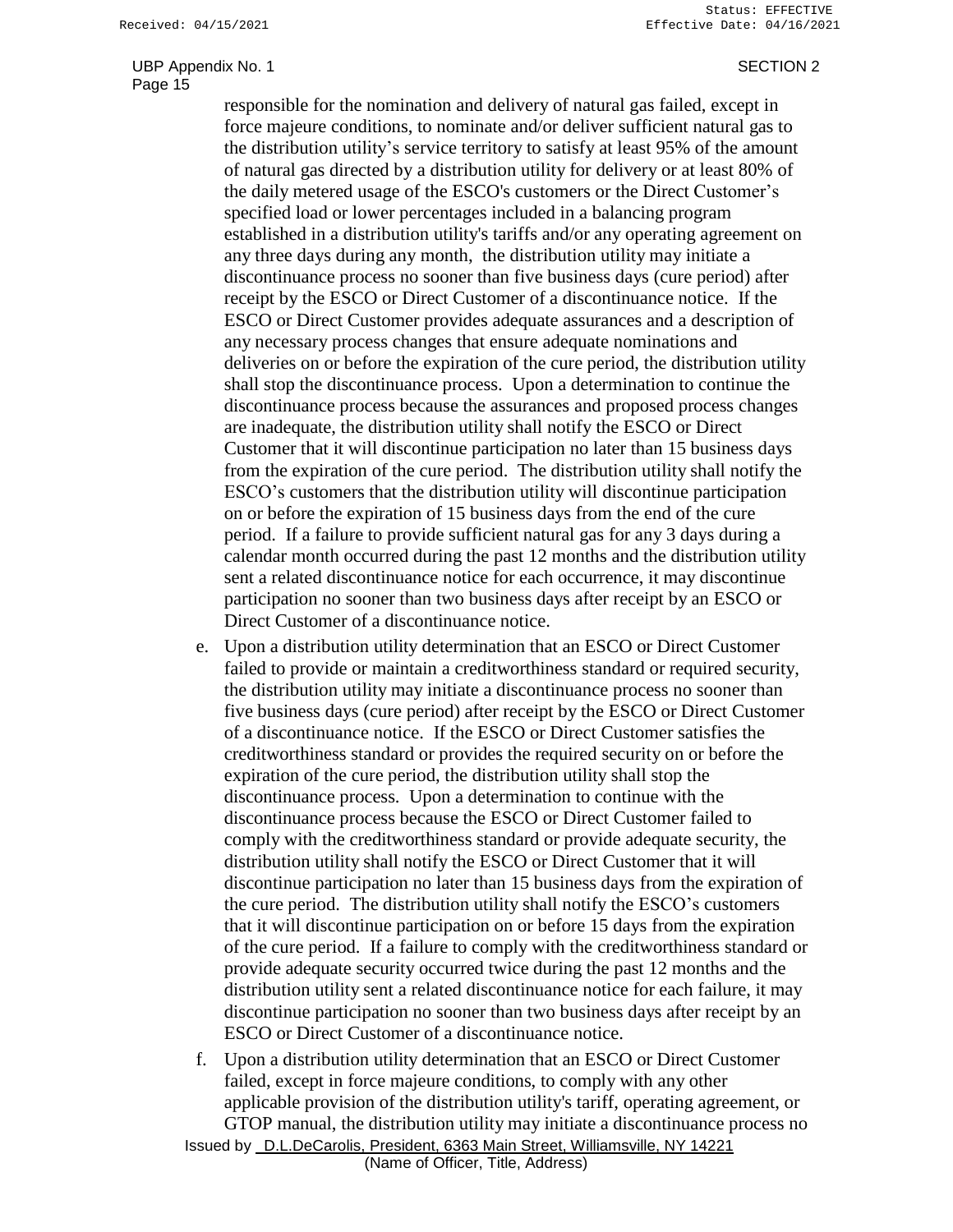responsible for the nomination and delivery of natural gas failed, except in force majeure conditions, to nominate and/or deliver sufficient natural gas to the distribution utility's service territory to satisfy at least 95% of the amount of natural gas directed by a distribution utility for delivery or at least 80% of the daily metered usage of the ESCO's customers or the Direct Customer's specified load or lower percentages included in a balancing program established in a distribution utility's tariffs and/or any operating agreement on any three days during any month, the distribution utility may initiate a discontinuance process no sooner than five business days (cure period) after receipt by the ESCO or Direct Customer of a discontinuance notice. If the ESCO or Direct Customer provides adequate assurances and a description of any necessary process changes that ensure adequate nominations and deliveries on or before the expiration of the cure period, the distribution utility shall stop the discontinuance process. Upon a determination to continue the discontinuance process because the assurances and proposed process changes are inadequate, the distribution utility shall notify the ESCO or Direct Customer that it will discontinue participation no later than 15 business days from the expiration of the cure period. The distribution utility shall notify the ESCO's customers that the distribution utility will discontinue participation on or before the expiration of 15 business days from the end of the cure period. If a failure to provide sufficient natural gas for any 3 days during a calendar month occurred during the past 12 months and the distribution utility sent a related discontinuance notice for each occurrence, it may discontinue participation no sooner than two business days after receipt by an ESCO or Direct Customer of a discontinuance notice.

- e. Upon a distribution utility determination that an ESCO or Direct Customer failed to provide or maintain a creditworthiness standard or required security, the distribution utility may initiate a discontinuance process no sooner than five business days (cure period) after receipt by the ESCO or Direct Customer of a discontinuance notice. If the ESCO or Direct Customer satisfies the creditworthiness standard or provides the required security on or before the expiration of the cure period, the distribution utility shall stop the discontinuance process. Upon a determination to continue with the discontinuance process because the ESCO or Direct Customer failed to comply with the creditworthiness standard or provide adequate security, the distribution utility shall notify the ESCO or Direct Customer that it will discontinue participation no later than 15 business days from the expiration of the cure period. The distribution utility shall notify the ESCO's customers that it will discontinue participation on or before 15 days from the expiration of the cure period. If a failure to comply with the creditworthiness standard or provide adequate security occurred twice during the past 12 months and the distribution utility sent a related discontinuance notice for each failure, it may discontinue participation no sooner than two business days after receipt by an ESCO or Direct Customer of a discontinuance notice.
- Issued by D.L.DeCarolis, President, 6363 Main Street, Williamsville, NY 14221 f. Upon a distribution utility determination that an ESCO or Direct Customer failed, except in force majeure conditions, to comply with any other applicable provision of the distribution utility's tariff, operating agreement, or GTOP manual, the distribution utility may initiate a discontinuance process no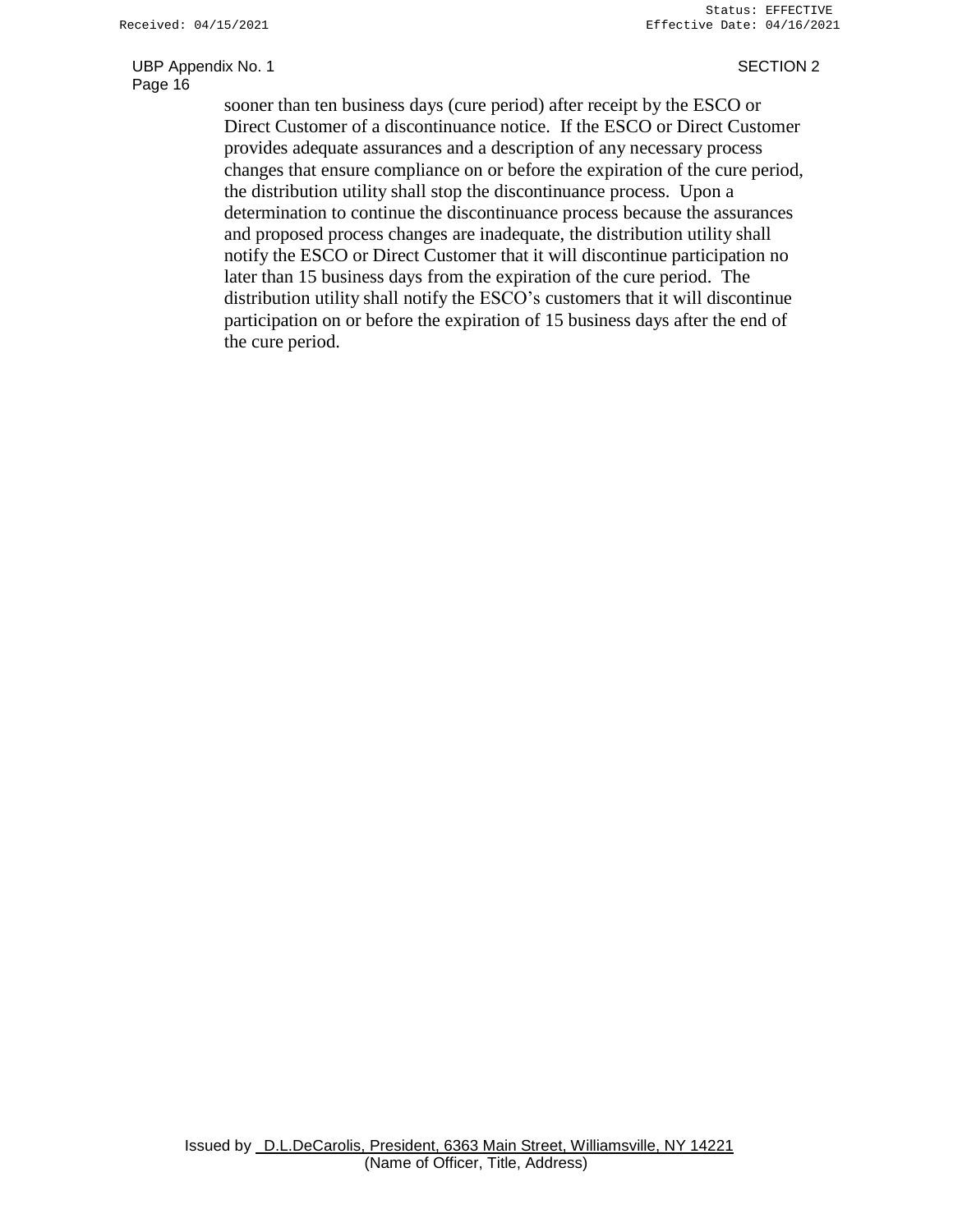sooner than ten business days (cure period) after receipt by the ESCO or Direct Customer of a discontinuance notice. If the ESCO or Direct Customer provides adequate assurances and a description of any necessary process changes that ensure compliance on or before the expiration of the cure period, the distribution utility shall stop the discontinuance process. Upon a determination to continue the discontinuance process because the assurances and proposed process changes are inadequate, the distribution utility shall notify the ESCO or Direct Customer that it will discontinue participation no later than 15 business days from the expiration of the cure period. The distribution utility shall notify the ESCO's customers that it will discontinue participation on or before the expiration of 15 business days after the end of the cure period.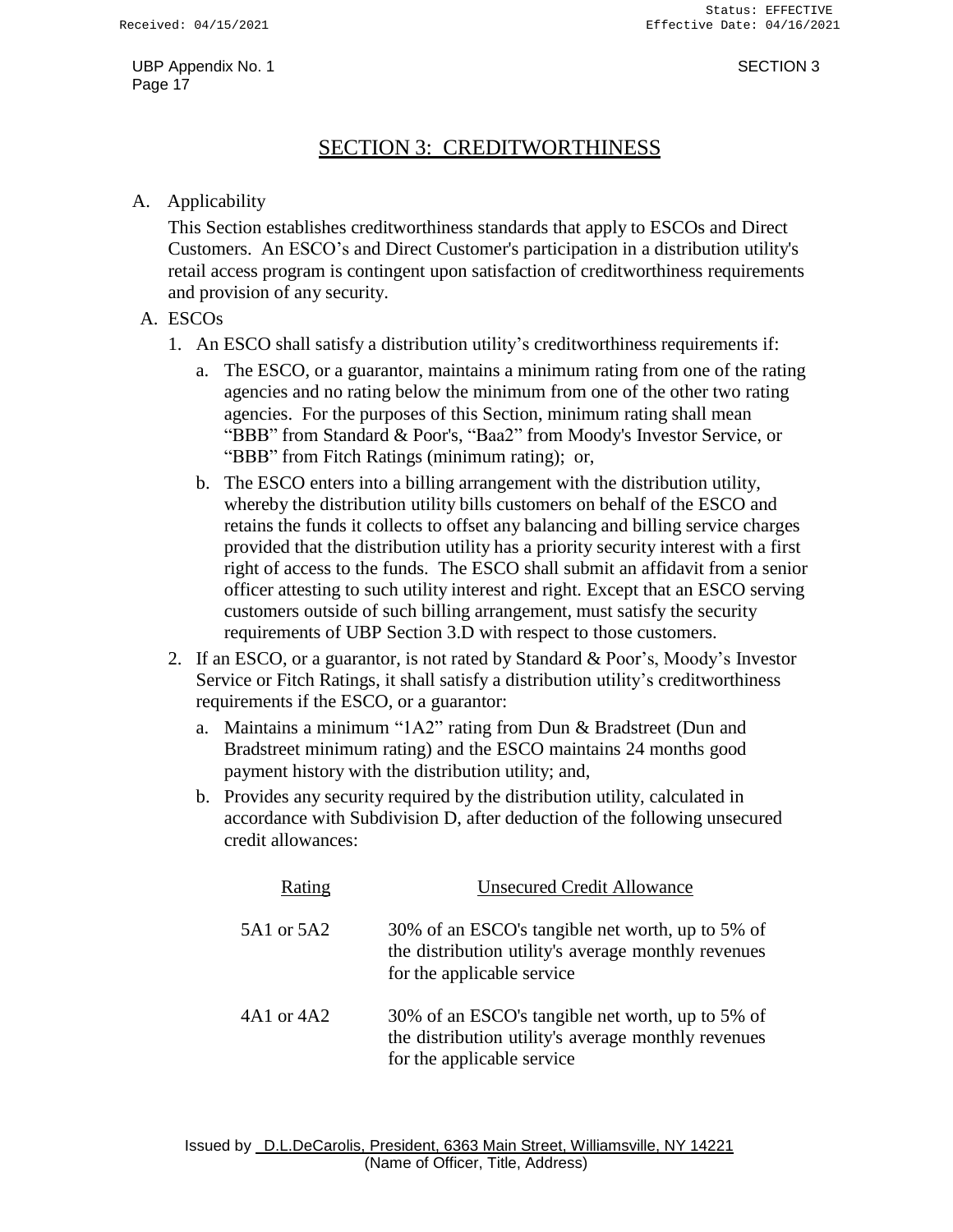## SECTION 3: CREDITWORTHINESS

#### A. Applicability

This Section establishes creditworthiness standards that apply to ESCOs and Direct Customers. An ESCO's and Direct Customer's participation in a distribution utility's retail access program is contingent upon satisfaction of creditworthiness requirements and provision of any security.

#### A. ESCOs

- 1. An ESCO shall satisfy a distribution utility's creditworthiness requirements if:
	- a. The ESCO, or a guarantor, maintains a minimum rating from one of the rating agencies and no rating below the minimum from one of the other two rating agencies. For the purposes of this Section, minimum rating shall mean "BBB" from Standard & Poor's, "Baa2" from Moody's Investor Service, or "BBB" from Fitch Ratings (minimum rating); or,
	- b. The ESCO enters into a billing arrangement with the distribution utility, whereby the distribution utility bills customers on behalf of the ESCO and retains the funds it collects to offset any balancing and billing service charges provided that the distribution utility has a priority security interest with a first right of access to the funds. The ESCO shall submit an affidavit from a senior officer attesting to such utility interest and right. Except that an ESCO serving customers outside of such billing arrangement, must satisfy the security requirements of UBP Section 3.D with respect to those customers.
- 2. If an ESCO, or a guarantor, is not rated by Standard & Poor's, Moody's Investor Service or Fitch Ratings, it shall satisfy a distribution utility's creditworthiness requirements if the ESCO, or a guarantor:
	- a. Maintains a minimum "1A2" rating from Dun & Bradstreet (Dun and Bradstreet minimum rating) and the ESCO maintains 24 months good payment history with the distribution utility; and,
	- b. Provides any security required by the distribution utility, calculated in accordance with Subdivision D, after deduction of the following unsecured credit allowances:

| Rating     | <b>Unsecured Credit Allowance</b>                                                                                                     |  |
|------------|---------------------------------------------------------------------------------------------------------------------------------------|--|
| 5A1 or 5A2 | 30% of an ESCO's tangible net worth, up to 5% of<br>the distribution utility's average monthly revenues<br>for the applicable service |  |
| 4A1 or 4A2 | 30% of an ESCO's tangible net worth, up to 5% of<br>the distribution utility's average monthly revenues<br>for the applicable service |  |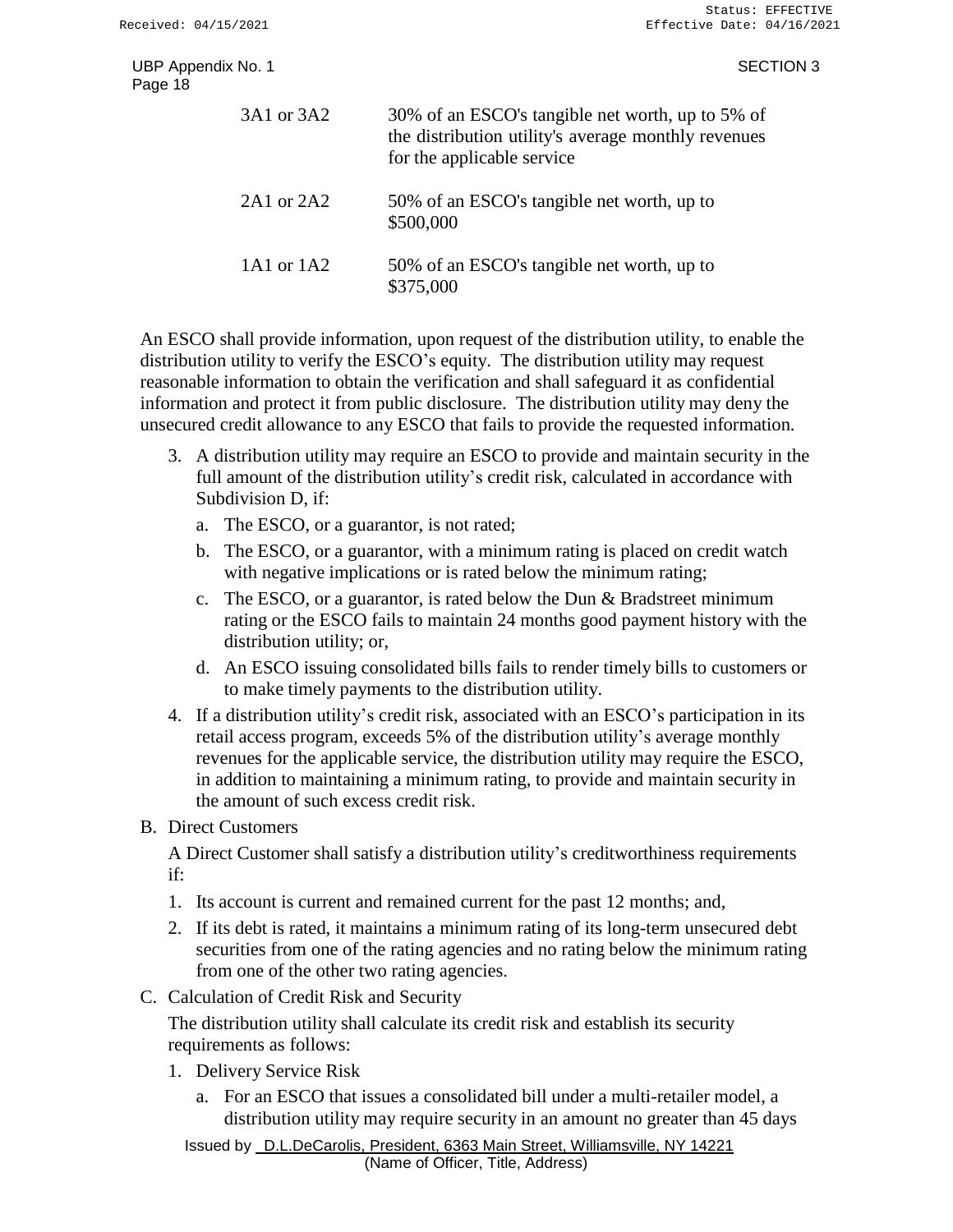SECTION 3

| UBP Appendix No. 1<br>Page 18 |            |                     |
|-------------------------------|------------|---------------------|
|                               | 3A1 or 3A2 | $30\%$ o<br>the die |

| 3A1 or 3A2     | 30% of an ESCO's tangible net worth, up to 5% of<br>the distribution utility's average monthly revenues<br>for the applicable service |
|----------------|---------------------------------------------------------------------------------------------------------------------------------------|
| $2A1$ or $2A2$ | 50% of an ESCO's tangible net worth, up to<br>\$500,000                                                                               |
| 1A1 or $1A2$   | 50% of an ESCO's tangible net worth, up to<br>\$375,000                                                                               |

An ESCO shall provide information, upon request of the distribution utility, to enable the distribution utility to verify the ESCO's equity. The distribution utility may request reasonable information to obtain the verification and shall safeguard it as confidential information and protect it from public disclosure. The distribution utility may deny the unsecured credit allowance to any ESCO that fails to provide the requested information.

- 3. A distribution utility may require an ESCO to provide and maintain security in the full amount of the distribution utility's credit risk, calculated in accordance with Subdivision D, if:
	- a. The ESCO, or a guarantor, is not rated;
	- b. The ESCO, or a guarantor, with a minimum rating is placed on credit watch with negative implications or is rated below the minimum rating;
	- c. The ESCO, or a guarantor, is rated below the Dun & Bradstreet minimum rating or the ESCO fails to maintain 24 months good payment history with the distribution utility; or,
	- d. An ESCO issuing consolidated bills fails to render timely bills to customers or to make timely payments to the distribution utility.
- 4. If a distribution utility's credit risk, associated with an ESCO's participation in its retail access program, exceeds 5% of the distribution utility's average monthly revenues for the applicable service, the distribution utility may require the ESCO, in addition to maintaining a minimum rating, to provide and maintain security in the amount of such excess credit risk.
- B. Direct Customers

A Direct Customer shall satisfy a distribution utility's creditworthiness requirements if:

- 1. Its account is current and remained current for the past 12 months; and,
- 2. If its debt is rated, it maintains a minimum rating of its long-term unsecured debt securities from one of the rating agencies and no rating below the minimum rating from one of the other two rating agencies.
- C. Calculation of Credit Risk and Security

The distribution utility shall calculate its credit risk and establish its security requirements as follows:

- 1. Delivery Service Risk
	- a. For an ESCO that issues a consolidated bill under a multi-retailer model, a distribution utility may require security in an amount no greater than 45 days

Issued by D.L.DeCarolis, President, 6363 Main Street, Williamsville, NY 14221 (Name of Officer, Title, Address)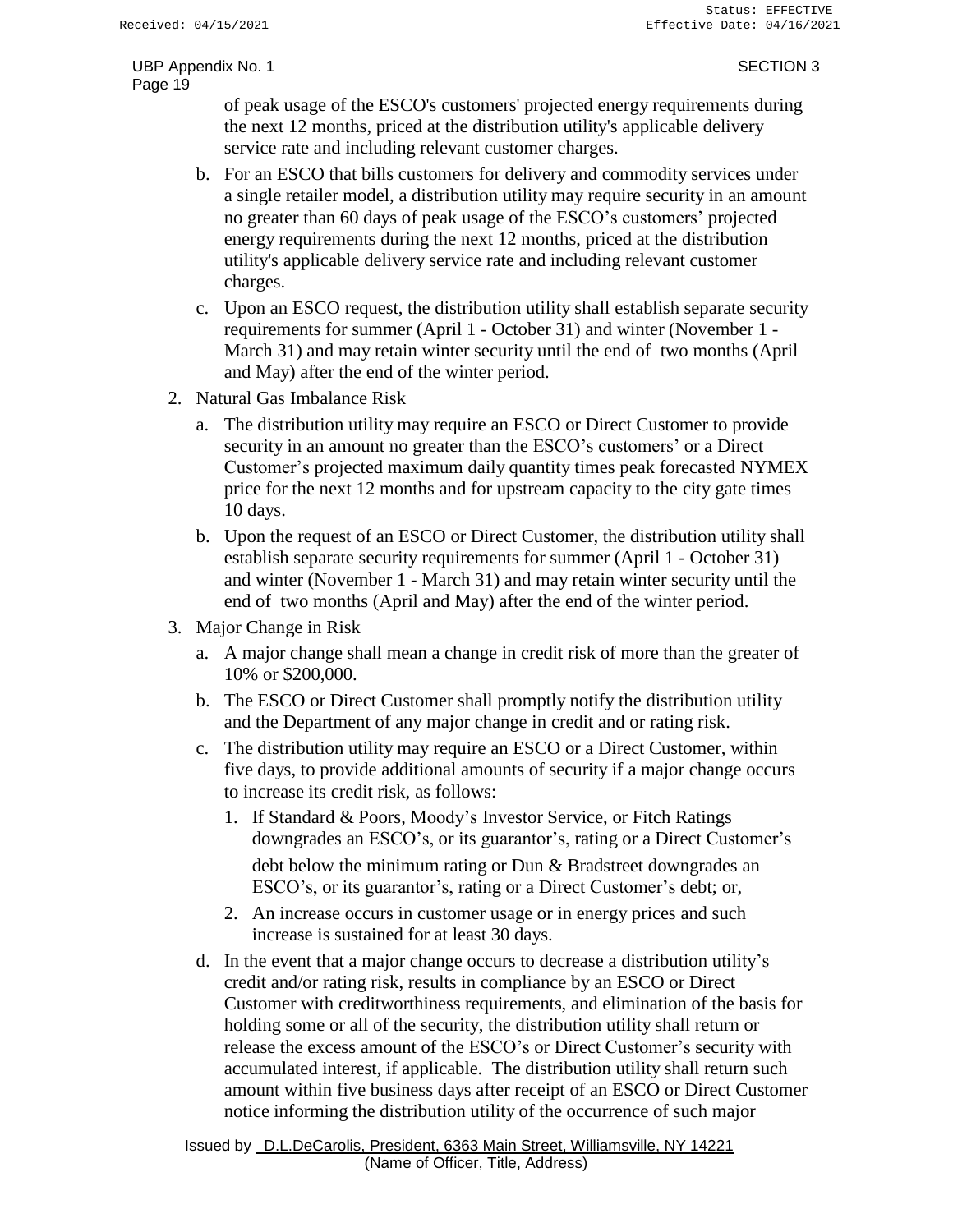of peak usage of the ESCO's customers' projected energy requirements during the next 12 months, priced at the distribution utility's applicable delivery service rate and including relevant customer charges.

- b. For an ESCO that bills customers for delivery and commodity services under a single retailer model, a distribution utility may require security in an amount no greater than 60 days of peak usage of the ESCO's customers' projected energy requirements during the next 12 months, priced at the distribution utility's applicable delivery service rate and including relevant customer charges.
- c. Upon an ESCO request, the distribution utility shall establish separate security requirements for summer (April 1 - October 31) and winter (November 1 - March 31) and may retain winter security until the end of two months (April and May) after the end of the winter period.
- 2. Natural Gas Imbalance Risk
	- a. The distribution utility may require an ESCO or Direct Customer to provide security in an amount no greater than the ESCO's customers' or a Direct Customer's projected maximum daily quantity times peak forecasted NYMEX price for the next 12 months and for upstream capacity to the city gate times 10 days.
	- b. Upon the request of an ESCO or Direct Customer, the distribution utility shall establish separate security requirements for summer (April 1 - October 31) and winter (November 1 - March 31) and may retain winter security until the end of two months (April and May) after the end of the winter period.
- 3. Major Change in Risk
	- a. A major change shall mean a change in credit risk of more than the greater of 10% or \$200,000.
	- b. The ESCO or Direct Customer shall promptly notify the distribution utility and the Department of any major change in credit and or rating risk.
	- c. The distribution utility may require an ESCO or a Direct Customer, within five days, to provide additional amounts of security if a major change occurs to increase its credit risk, as follows:
		- 1. If Standard & Poors, Moody's Investor Service, or Fitch Ratings downgrades an ESCO's, or its guarantor's, rating or a Direct Customer's debt below the minimum rating or Dun & Bradstreet downgrades an ESCO's, or its guarantor's, rating or a Direct Customer's debt; or,
		- 2. An increase occurs in customer usage or in energy prices and such increase is sustained for at least 30 days.
	- d. In the event that a major change occurs to decrease a distribution utility's credit and/or rating risk, results in compliance by an ESCO or Direct Customer with creditworthiness requirements, and elimination of the basis for holding some or all of the security, the distribution utility shall return or release the excess amount of the ESCO's or Direct Customer's security with accumulated interest, if applicable. The distribution utility shall return such amount within five business days after receipt of an ESCO or Direct Customer notice informing the distribution utility of the occurrence of such major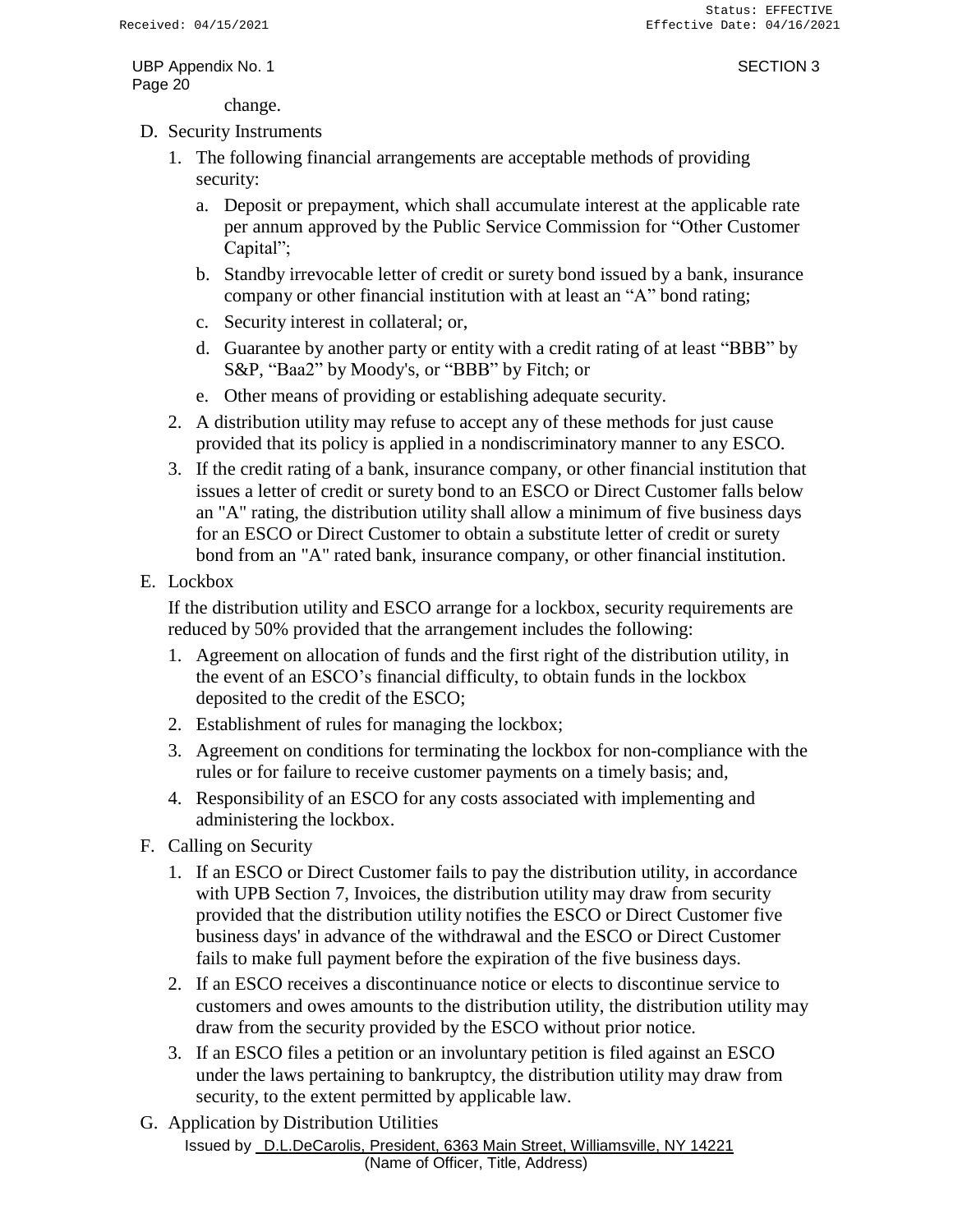change.

- D. Security Instruments
	- 1. The following financial arrangements are acceptable methods of providing security:
		- a. Deposit or prepayment, which shall accumulate interest at the applicable rate per annum approved by the Public Service Commission for "Other Customer Capital";
		- b. Standby irrevocable letter of credit or surety bond issued by a bank, insurance company or other financial institution with at least an "A" bond rating;
		- c. Security interest in collateral; or,
		- d. Guarantee by another party or entity with a credit rating of at least "BBB" by S&P, "Baa2" by Moody's, or "BBB" by Fitch; or
		- e. Other means of providing or establishing adequate security.
	- 2. A distribution utility may refuse to accept any of these methods for just cause provided that its policy is applied in a nondiscriminatory manner to any ESCO.
	- 3. If the credit rating of a bank, insurance company, or other financial institution that issues a letter of credit or surety bond to an ESCO or Direct Customer falls below an "A" rating, the distribution utility shall allow a minimum of five business days for an ESCO or Direct Customer to obtain a substitute letter of credit or surety bond from an "A" rated bank, insurance company, or other financial institution.
- E. Lockbox

If the distribution utility and ESCO arrange for a lockbox, security requirements are reduced by 50% provided that the arrangement includes the following:

- 1. Agreement on allocation of funds and the first right of the distribution utility, in the event of an ESCO's financial difficulty, to obtain funds in the lockbox deposited to the credit of the ESCO;
- 2. Establishment of rules for managing the lockbox;
- 3. Agreement on conditions for terminating the lockbox for non-compliance with the rules or for failure to receive customer payments on a timely basis; and,
- 4. Responsibility of an ESCO for any costs associated with implementing and administering the lockbox.
- F. Calling on Security
	- 1. If an ESCO or Direct Customer fails to pay the distribution utility, in accordance with UPB Section 7, Invoices, the distribution utility may draw from security provided that the distribution utility notifies the ESCO or Direct Customer five business days' in advance of the withdrawal and the ESCO or Direct Customer fails to make full payment before the expiration of the five business days.
	- 2. If an ESCO receives a discontinuance notice or elects to discontinue service to customers and owes amounts to the distribution utility, the distribution utility may draw from the security provided by the ESCO without prior notice.
	- 3. If an ESCO files a petition or an involuntary petition is filed against an ESCO under the laws pertaining to bankruptcy, the distribution utility may draw from security, to the extent permitted by applicable law.
- Issued by D.L.DeCarolis, President, 6363 Main Street, Williamsville, NY 14221 (Name of Officer, Title, Address) G. Application by Distribution Utilities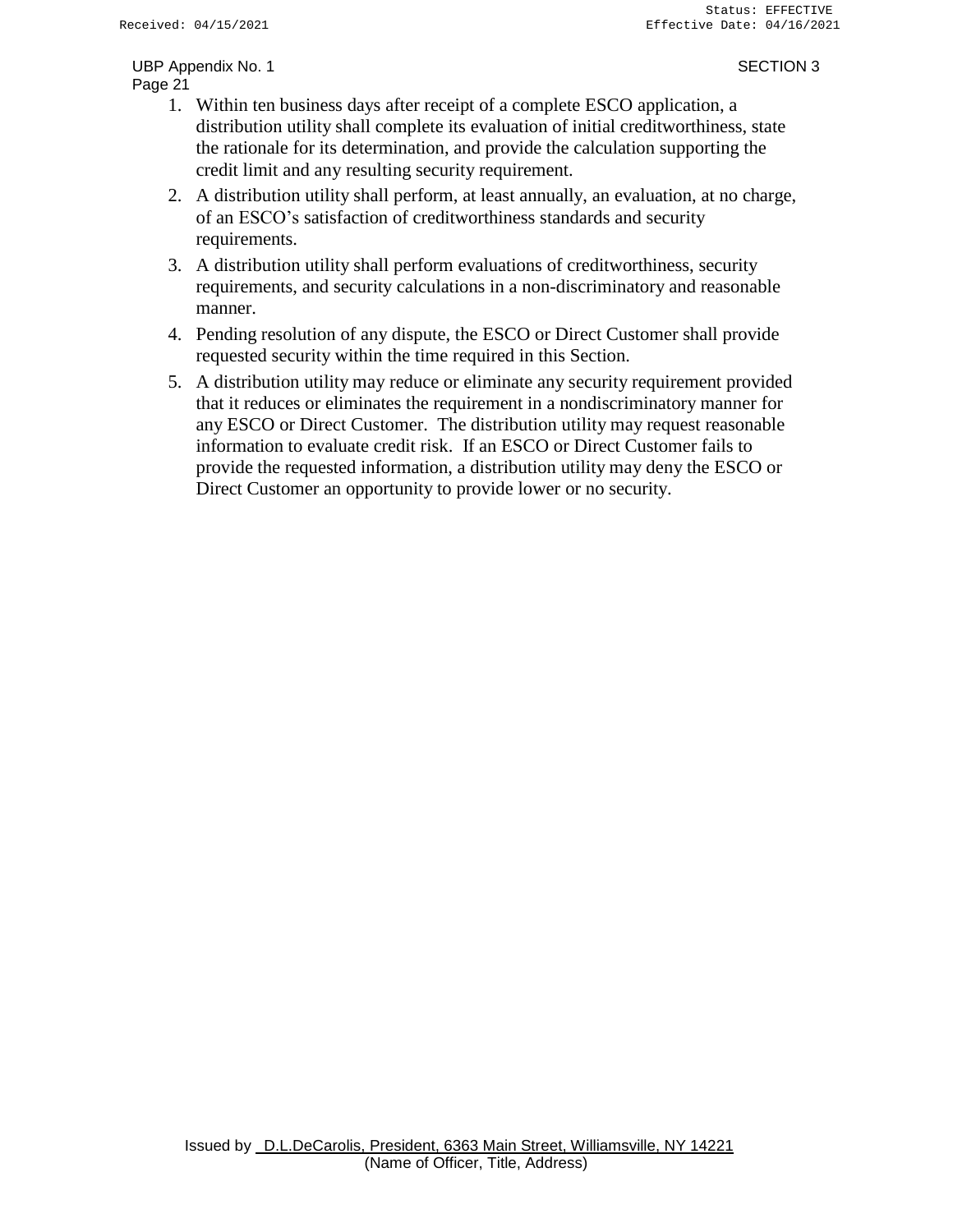- 1. Within ten business days after receipt of a complete ESCO application, a distribution utility shall complete its evaluation of initial creditworthiness, state the rationale for its determination, and provide the calculation supporting the credit limit and any resulting security requirement.
- 2. A distribution utility shall perform, at least annually, an evaluation, at no charge, of an ESCO's satisfaction of creditworthiness standards and security requirements.
- 3. A distribution utility shall perform evaluations of creditworthiness, security requirements, and security calculations in a non-discriminatory and reasonable manner.
- 4. Pending resolution of any dispute, the ESCO or Direct Customer shall provide requested security within the time required in this Section.
- 5. A distribution utility may reduce or eliminate any security requirement provided that it reduces or eliminates the requirement in a nondiscriminatory manner for any ESCO or Direct Customer. The distribution utility may request reasonable information to evaluate credit risk. If an ESCO or Direct Customer fails to provide the requested information, a distribution utility may deny the ESCO or Direct Customer an opportunity to provide lower or no security.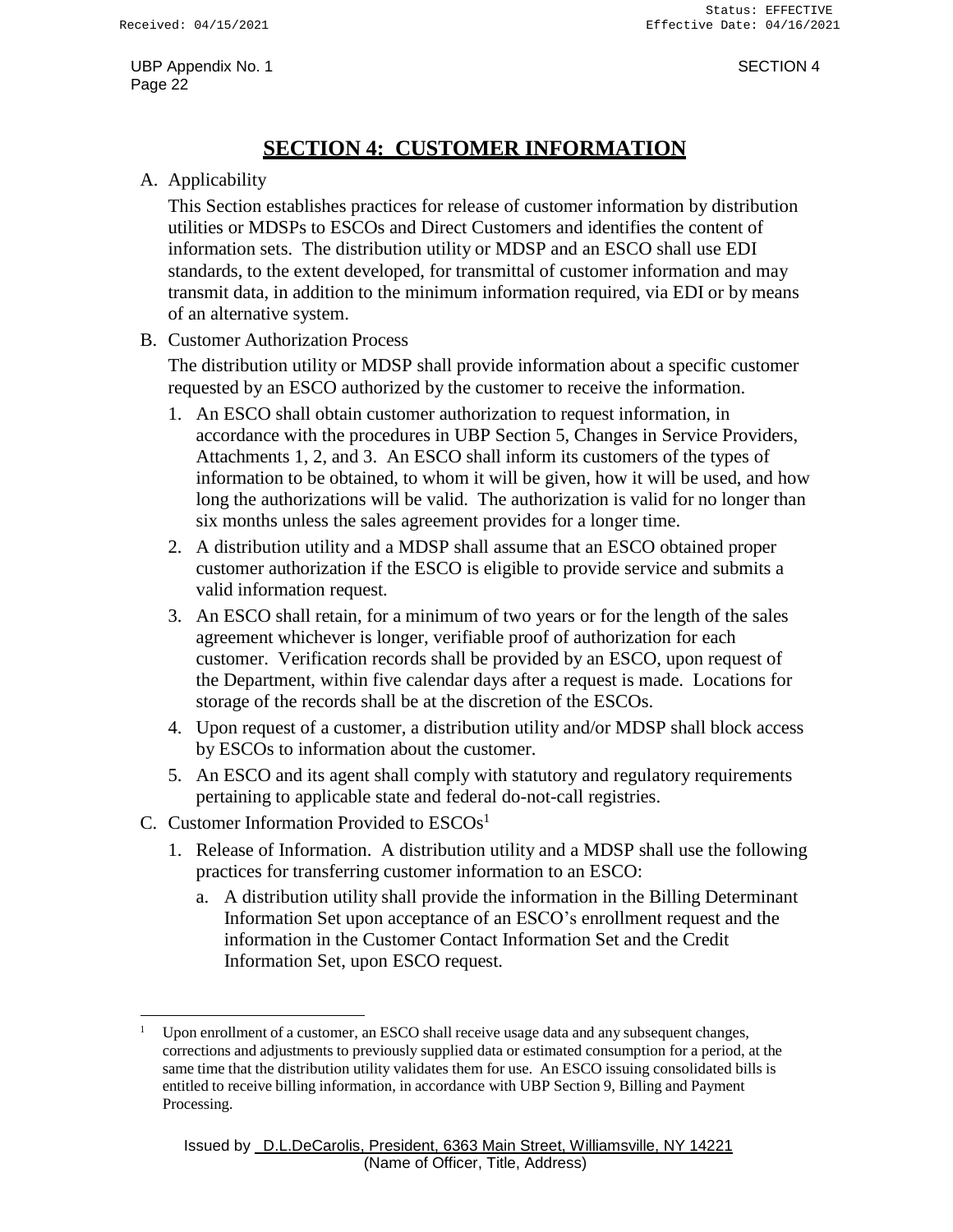## **SECTION 4: CUSTOMER INFORMATION**

#### <span id="page-23-0"></span>A. Applicability

This Section establishes practices for release of customer information by distribution utilities or MDSPs to ESCOs and Direct Customers and identifies the content of information sets. The distribution utility or MDSP and an ESCO shall use EDI standards, to the extent developed, for transmittal of customer information and may transmit data, in addition to the minimum information required, via EDI or by means of an alternative system.

B. Customer Authorization Process

The distribution utility or MDSP shall provide information about a specific customer requested by an ESCO authorized by the customer to receive the information.

- 1. An ESCO shall obtain customer authorization to request information, in accordance with the procedures in UBP Section 5, Changes in Service Providers, Attachments 1, 2, and 3. An ESCO shall inform its customers of the types of information to be obtained, to whom it will be given, how it will be used, and how long the authorizations will be valid. The authorization is valid for no longer than six months unless the sales agreement provides for a longer time.
- 2. A distribution utility and a MDSP shall assume that an ESCO obtained proper customer authorization if the ESCO is eligible to provide service and submits a valid information request.
- 3. An ESCO shall retain, for a minimum of two years or for the length of the sales agreement whichever is longer, verifiable proof of authorization for each customer. Verification records shall be provided by an ESCO, upon request of the Department, within five calendar days after a request is made. Locations for storage of the records shall be at the discretion of the ESCOs.
- 4. Upon request of a customer, a distribution utility and/or MDSP shall block access by ESCOs to information about the customer.
- 5. An ESCO and its agent shall comply with statutory and regulatory requirements pertaining to applicable state and federal do-not-call registries.
- C. Customer Information Provided to  $ESCOs<sup>1</sup>$ 
	- 1. Release of Information. A distribution utility and a MDSP shall use the following practices for transferring customer information to an ESCO:
		- a. A distribution utility shall provide the information in the Billing Determinant Information Set upon acceptance of an ESCO's enrollment request and the information in the Customer Contact Information Set and the Credit Information Set, upon ESCO request.

Upon enrollment of a customer, an ESCO shall receive usage data and any subsequent changes, corrections and adjustments to previously supplied data or estimated consumption for a period, at the same time that the distribution utility validates them for use. An ESCO issuing consolidated bills is entitled to receive billing information, in accordance with UBP Section 9, Billing and Payment Processing.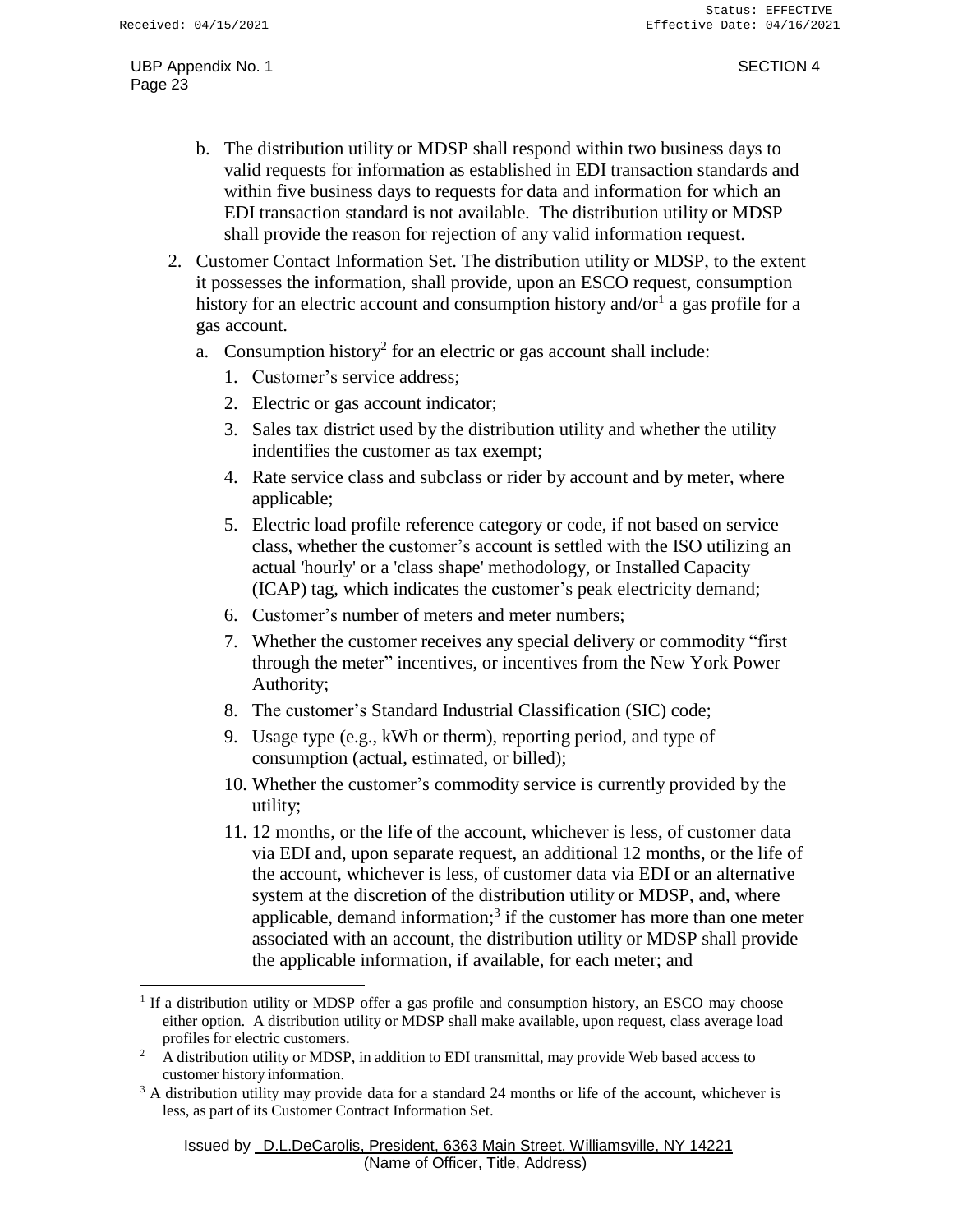- b. The distribution utility or MDSP shall respond within two business days to valid requests for information as established in EDI transaction standards and within five business days to requests for data and information for which an EDI transaction standard is not available. The distribution utility or MDSP shall provide the reason for rejection of any valid information request.
- 2. Customer Contact Information Set. The distribution utility or MDSP, to the extent it possesses the information, shall provide, upon an ESCO request, consumption history for an electric account and consumption history and/or $^1$  a gas profile for a gas account.
	- a. Consumption history<sup>2</sup> for an electric or gas account shall include:
		- 1. Customer's service address;
		- 2. Electric or gas account indicator;
		- 3. Sales tax district used by the distribution utility and whether the utility indentifies the customer as tax exempt;
		- 4. Rate service class and subclass or rider by account and by meter, where applicable;
		- 5. Electric load profile reference category or code, if not based on service class, whether the customer's account is settled with the ISO utilizing an actual 'hourly' or a 'class shape' methodology, or Installed Capacity (ICAP) tag, which indicates the customer's peak electricity demand;
		- 6. Customer's number of meters and meter numbers;
		- 7. Whether the customer receives any special delivery or commodity "first through the meter" incentives, or incentives from the New York Power Authority;
		- 8. The customer's Standard Industrial Classification (SIC) code;
		- 9. Usage type (e.g., kWh or therm), reporting period, and type of consumption (actual, estimated, or billed);
		- 10. Whether the customer's commodity service is currently provided by the utility;
		- 11. 12 months, or the life of the account, whichever is less, of customer data via EDI and, upon separate request, an additional 12 months, or the life of the account, whichever is less, of customer data via EDI or an alternative system at the discretion of the distribution utility or MDSP, and, where applicable, demand information;<sup>3</sup> if the customer has more than one meter associated with an account, the distribution utility or MDSP shall provide the applicable information, if available, for each meter; and

<sup>&</sup>lt;sup>1</sup> If a distribution utility or MDSP offer a gas profile and consumption history, an ESCO may choose either option. A distribution utility or MDSP shall make available, upon request, class average load profiles for electric customers.

<sup>&</sup>lt;sup>2</sup> A distribution utility or MDSP, in addition to EDI transmittal, may provide Web based access to customer history information.

 $3$  A distribution utility may provide data for a standard 24 months or life of the account, whichever is less, as part of its Customer Contract Information Set.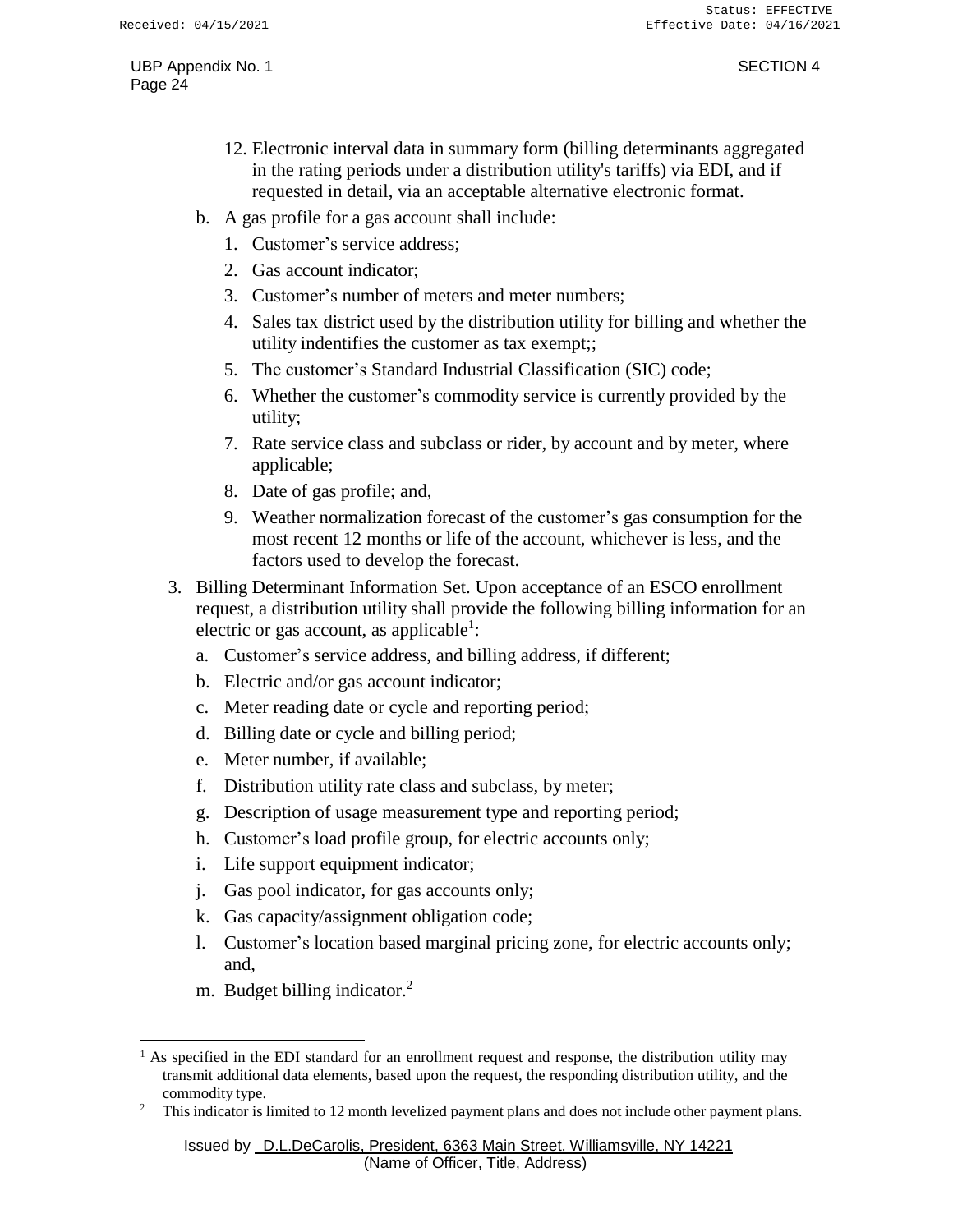- 12. Electronic interval data in summary form (billing determinants aggregated in the rating periods under a distribution utility's tariffs) via EDI, and if requested in detail, via an acceptable alternative electronic format.
- b. A gas profile for a gas account shall include:
	- 1. Customer's service address;
	- 2. Gas account indicator;
	- 3. Customer's number of meters and meter numbers;
	- 4. Sales tax district used by the distribution utility for billing and whether the utility indentifies the customer as tax exempt;;
	- 5. The customer's Standard Industrial Classification (SIC) code;
	- 6. Whether the customer's commodity service is currently provided by the utility;
	- 7. Rate service class and subclass or rider, by account and by meter, where applicable;
	- 8. Date of gas profile; and,
	- 9. Weather normalization forecast of the customer's gas consumption for the most recent 12 months or life of the account, whichever is less, and the factors used to develop the forecast.
- 3. Billing Determinant Information Set. Upon acceptance of an ESCO enrollment request, a distribution utility shall provide the following billing information for an electric or gas account, as applicable<sup>1</sup>:
	- a. Customer's service address, and billing address, if different;
	- b. Electric and/or gas account indicator;
	- c. Meter reading date or cycle and reporting period;
	- d. Billing date or cycle and billing period;
	- e. Meter number, if available;
	- f. Distribution utility rate class and subclass, by meter;
	- g. Description of usage measurement type and reporting period;
	- h. Customer's load profile group, for electric accounts only;
	- i. Life support equipment indicator;
	- j. Gas pool indicator, for gas accounts only;
	- k. Gas capacity/assignment obligation code;
	- l. Customer's location based marginal pricing zone, for electric accounts only; and,
	- m. Budget billing indicator.<sup>2</sup>

 $<sup>1</sup>$  As specified in the EDI standard for an enrollment request and response, the distribution utility may</sup> transmit additional data elements, based upon the request, the responding distribution utility, and the commodity type.

<sup>2</sup> This indicator is limited to 12 month levelized payment plans and does not include other payment plans.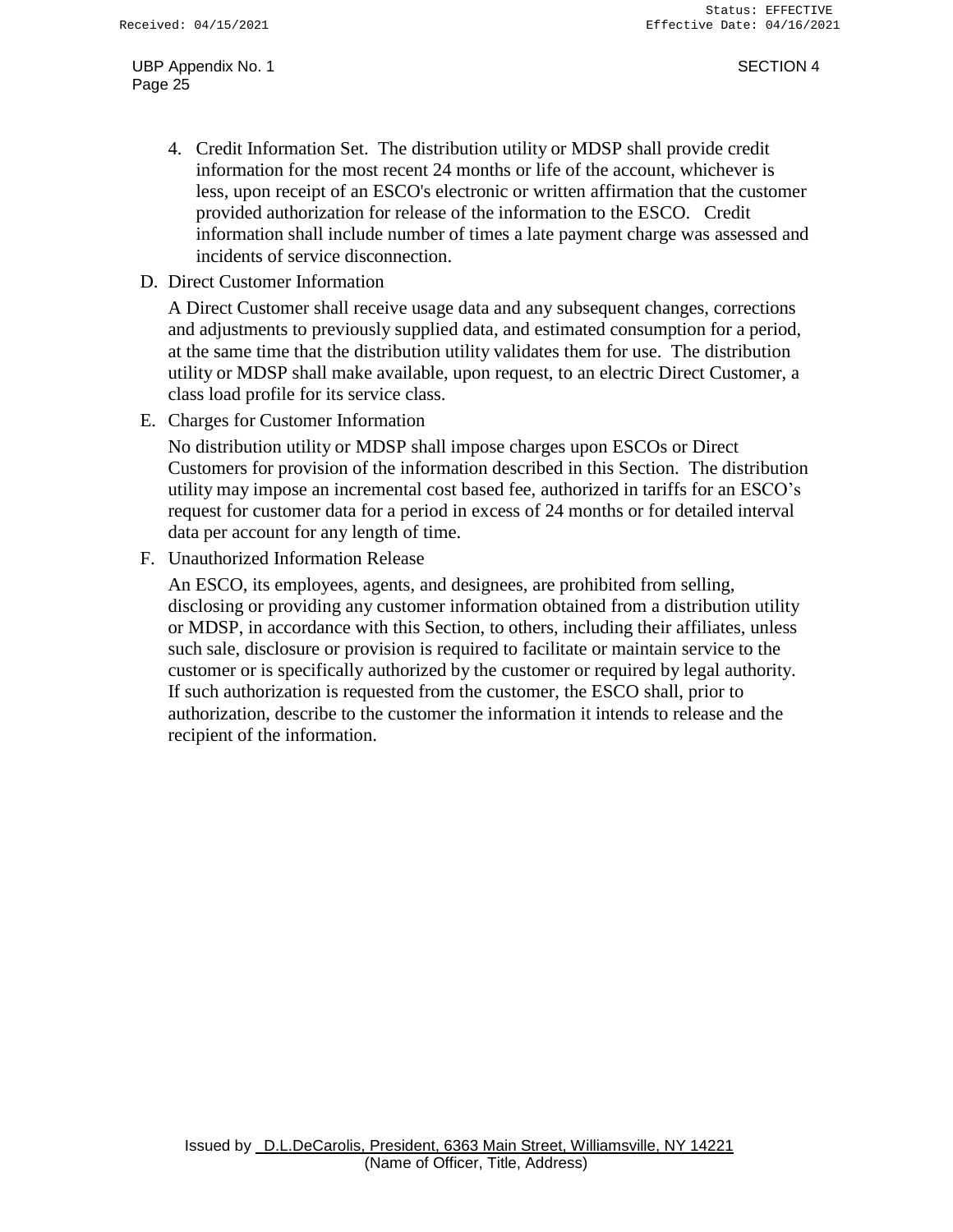- 4. Credit Information Set. The distribution utility or MDSP shall provide credit information for the most recent 24 months or life of the account, whichever is less, upon receipt of an ESCO's electronic or written affirmation that the customer provided authorization for release of the information to the ESCO. Credit information shall include number of times a late payment charge was assessed and incidents of service disconnection.
- D. Direct Customer Information

A Direct Customer shall receive usage data and any subsequent changes, corrections and adjustments to previously supplied data, and estimated consumption for a period, at the same time that the distribution utility validates them for use. The distribution utility or MDSP shall make available, upon request, to an electric Direct Customer, a class load profile for its service class.

E. Charges for Customer Information

No distribution utility or MDSP shall impose charges upon ESCOs or Direct Customers for provision of the information described in this Section. The distribution utility may impose an incremental cost based fee, authorized in tariffs for an ESCO's request for customer data for a period in excess of 24 months or for detailed interval data per account for any length of time.

F. Unauthorized Information Release

An ESCO, its employees, agents, and designees, are prohibited from selling, disclosing or providing any customer information obtained from a distribution utility or MDSP, in accordance with this Section, to others, including their affiliates, unless such sale, disclosure or provision is required to facilitate or maintain service to the customer or is specifically authorized by the customer or required by legal authority. If such authorization is requested from the customer, the ESCO shall, prior to authorization, describe to the customer the information it intends to release and the recipient of the information.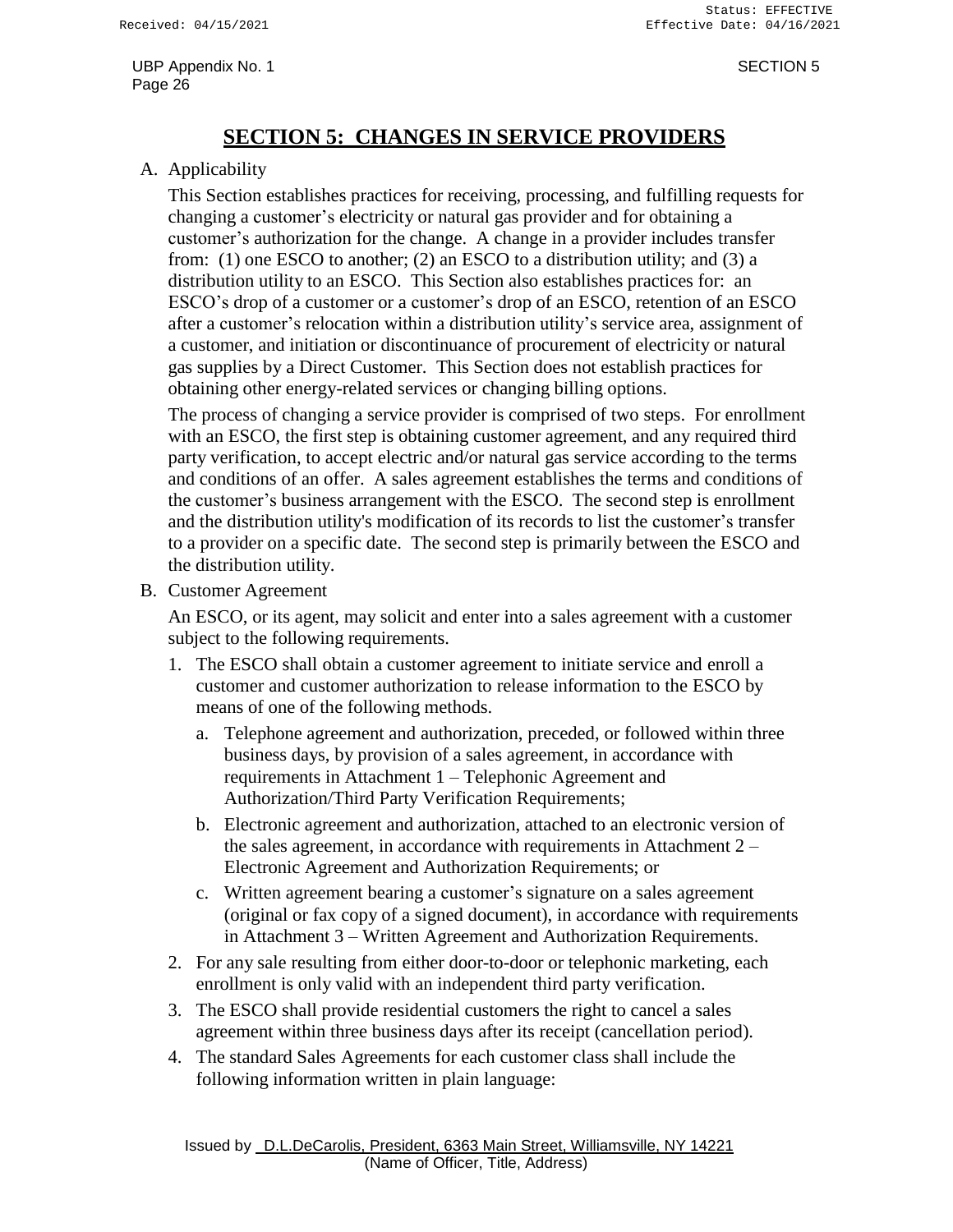# **SECTION 5: CHANGES IN SERVICE PROVIDERS**

### <span id="page-27-0"></span>A. Applicability

This Section establishes practices for receiving, processing, and fulfilling requests for changing a customer's electricity or natural gas provider and for obtaining a customer's authorization for the change. A change in a provider includes transfer from: (1) one ESCO to another; (2) an ESCO to a distribution utility; and (3) a distribution utility to an ESCO. This Section also establishes practices for: an ESCO's drop of a customer or a customer's drop of an ESCO, retention of an ESCO after a customer's relocation within a distribution utility's service area, assignment of a customer, and initiation or discontinuance of procurement of electricity or natural gas supplies by a Direct Customer. This Section does not establish practices for obtaining other energy-related services or changing billing options.

The process of changing a service provider is comprised of two steps. For enrollment with an ESCO, the first step is obtaining customer agreement, and any required third party verification, to accept electric and/or natural gas service according to the terms and conditions of an offer. A sales agreement establishes the terms and conditions of the customer's business arrangement with the ESCO. The second step is enrollment and the distribution utility's modification of its records to list the customer's transfer to a provider on a specific date. The second step is primarily between the ESCO and the distribution utility.

B. Customer Agreement

An ESCO, or its agent, may solicit and enter into a sales agreement with a customer subject to the following requirements.

- 1. The ESCO shall obtain a customer agreement to initiate service and enroll a customer and customer authorization to release information to the ESCO by means of one of the following methods.
	- a. Telephone agreement and authorization, preceded, or followed within three business days, by provision of a sales agreement, in accordance with requirements in Attachment 1 – Telephonic Agreement and Authorization/Third Party Verification Requirements;
	- b. Electronic agreement and authorization, attached to an electronic version of the sales agreement, in accordance with requirements in Attachment 2 – Electronic Agreement and Authorization Requirements; or
	- c. Written agreement bearing a customer's signature on a sales agreement (original or fax copy of a signed document), in accordance with requirements in Attachment 3 – Written Agreement and Authorization Requirements.
- 2. For any sale resulting from either door-to-door or telephonic marketing, each enrollment is only valid with an independent third party verification.
- 3. The ESCO shall provide residential customers the right to cancel a sales agreement within three business days after its receipt (cancellation period).
- 4. The standard Sales Agreements for each customer class shall include the following information written in plain language: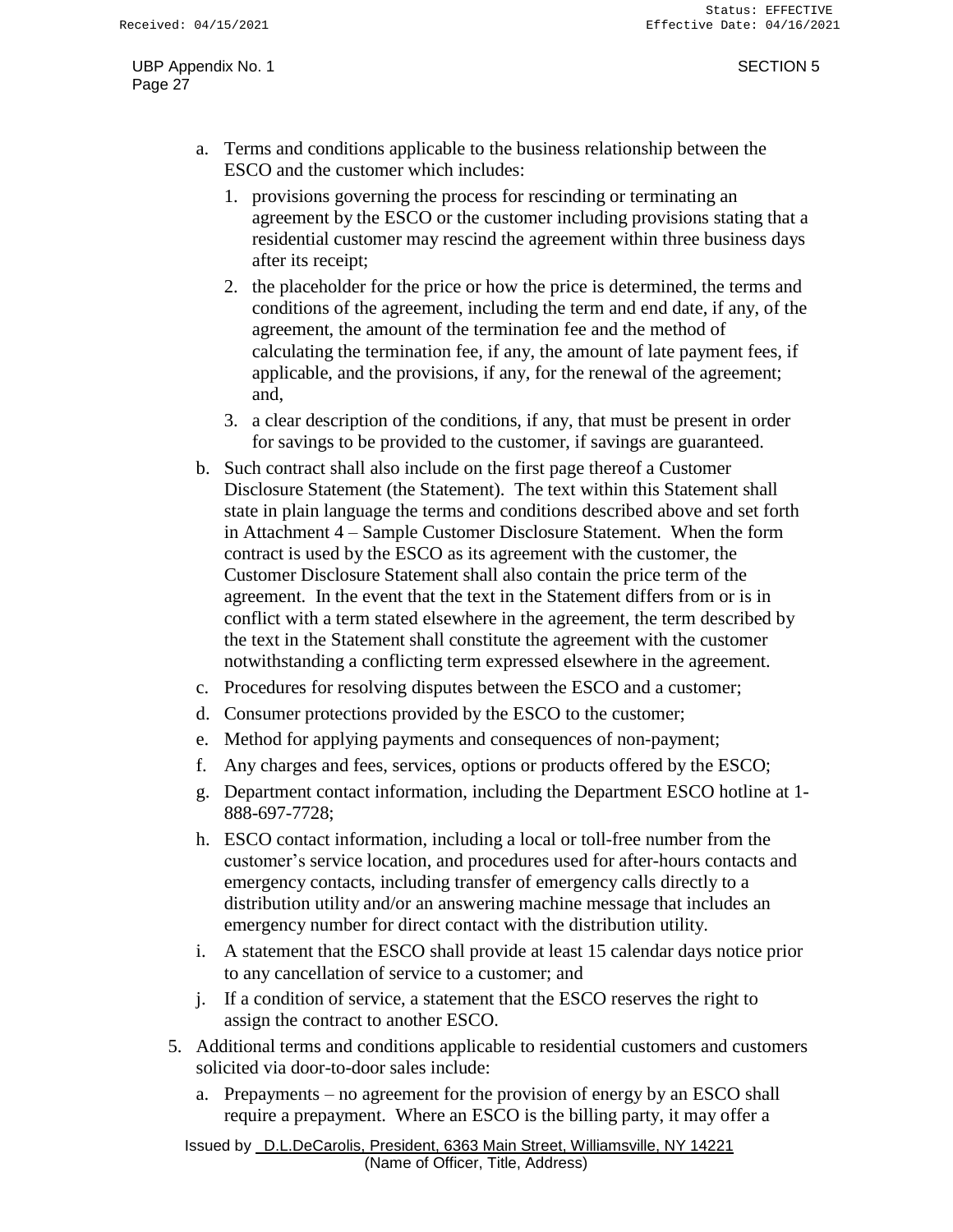- a. Terms and conditions applicable to the business relationship between the ESCO and the customer which includes:
	- 1. provisions governing the process for rescinding or terminating an agreement by the ESCO or the customer including provisions stating that a residential customer may rescind the agreement within three business days after its receipt;
	- 2. the placeholder for the price or how the price is determined, the terms and conditions of the agreement, including the term and end date, if any, of the agreement, the amount of the termination fee and the method of calculating the termination fee, if any, the amount of late payment fees, if applicable, and the provisions, if any, for the renewal of the agreement; and,
	- 3. a clear description of the conditions, if any, that must be present in order for savings to be provided to the customer, if savings are guaranteed.
- b. Such contract shall also include on the first page thereof a Customer Disclosure Statement (the Statement). The text within this Statement shall state in plain language the terms and conditions described above and set forth in Attachment 4 – Sample Customer Disclosure Statement. When the form contract is used by the ESCO as its agreement with the customer, the Customer Disclosure Statement shall also contain the price term of the agreement. In the event that the text in the Statement differs from or is in conflict with a term stated elsewhere in the agreement, the term described by the text in the Statement shall constitute the agreement with the customer notwithstanding a conflicting term expressed elsewhere in the agreement.
- c. Procedures for resolving disputes between the ESCO and a customer;
- d. Consumer protections provided by the ESCO to the customer;
- e. Method for applying payments and consequences of non-payment;
- f. Any charges and fees, services, options or products offered by the ESCO;
- g. Department contact information, including the Department ESCO hotline at 1- 888-697-7728;
- h. ESCO contact information, including a local or toll-free number from the customer's service location, and procedures used for after-hours contacts and emergency contacts, including transfer of emergency calls directly to a distribution utility and/or an answering machine message that includes an emergency number for direct contact with the distribution utility.
- i. A statement that the ESCO shall provide at least 15 calendar days notice prior to any cancellation of service to a customer; and
- j. If a condition of service, a statement that the ESCO reserves the right to assign the contract to another ESCO.
- 5. Additional terms and conditions applicable to residential customers and customers solicited via door-to-door sales include:
	- a. Prepayments no agreement for the provision of energy by an ESCO shall require a prepayment. Where an ESCO is the billing party, it may offer a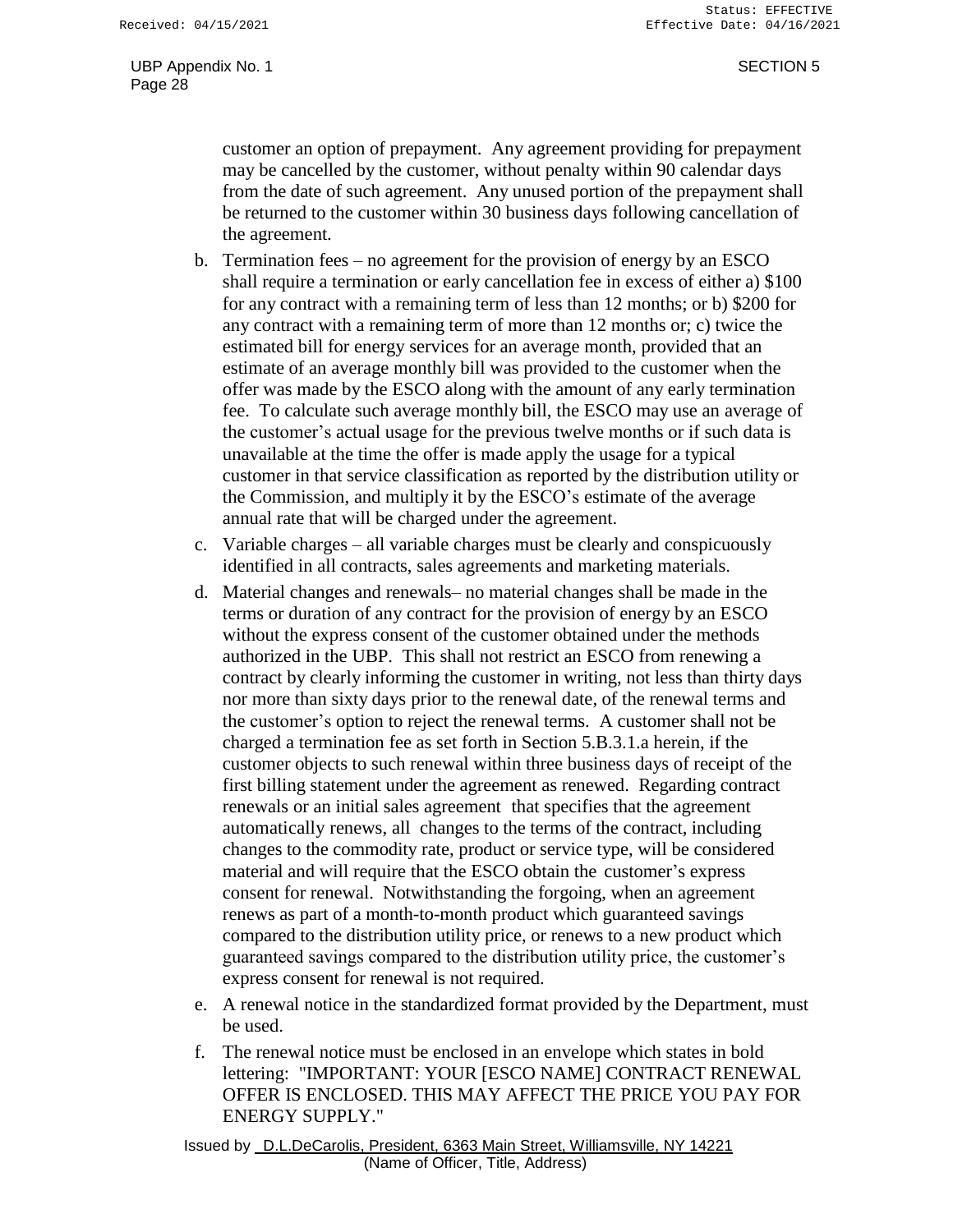customer an option of prepayment. Any agreement providing for prepayment may be cancelled by the customer, without penalty within 90 calendar days from the date of such agreement. Any unused portion of the prepayment shall be returned to the customer within 30 business days following cancellation of the agreement.

- b. Termination fees no agreement for the provision of energy by an ESCO shall require a termination or early cancellation fee in excess of either a) \$100 for any contract with a remaining term of less than 12 months; or b) \$200 for any contract with a remaining term of more than 12 months or; c) twice the estimated bill for energy services for an average month, provided that an estimate of an average monthly bill was provided to the customer when the offer was made by the ESCO along with the amount of any early termination fee. To calculate such average monthly bill, the ESCO may use an average of the customer's actual usage for the previous twelve months or if such data is unavailable at the time the offer is made apply the usage for a typical customer in that service classification as reported by the distribution utility or the Commission, and multiply it by the ESCO's estimate of the average annual rate that will be charged under the agreement.
- c. Variable charges all variable charges must be clearly and conspicuously identified in all contracts, sales agreements and marketing materials.
- d. Material changes and renewals– no material changes shall be made in the terms or duration of any contract for the provision of energy by an ESCO without the express consent of the customer obtained under the methods authorized in the UBP. This shall not restrict an ESCO from renewing a contract by clearly informing the customer in writing, not less than thirty days nor more than sixty days prior to the renewal date, of the renewal terms and the customer's option to reject the renewal terms. A customer shall not be charged a termination fee as set forth in Section 5.B.3.1.a herein, if the customer objects to such renewal within three business days of receipt of the first billing statement under the agreement as renewed. Regarding contract renewals or an initial sales agreement that specifies that the agreement automatically renews, all changes to the terms of the contract, including changes to the commodity rate, product or service type, will be considered material and will require that the ESCO obtain the customer's express consent for renewal. Notwithstanding the forgoing, when an agreement renews as part of a month-to-month product which guaranteed savings compared to the distribution utility price, or renews to a new product which guaranteed savings compared to the distribution utility price, the customer's express consent for renewal is not required.
- e. A renewal notice in the standardized format provided by the Department, must be used.
- f. The renewal notice must be enclosed in an envelope which states in bold lettering: "IMPORTANT: YOUR [ESCO NAME] CONTRACT RENEWAL OFFER IS ENCLOSED. THIS MAY AFFECT THE PRICE YOU PAY FOR ENERGY SUPPLY."

Issued by D.L.DeCarolis, President, 6363 Main Street, Williamsville, NY 14221 (Name of Officer, Title, Address)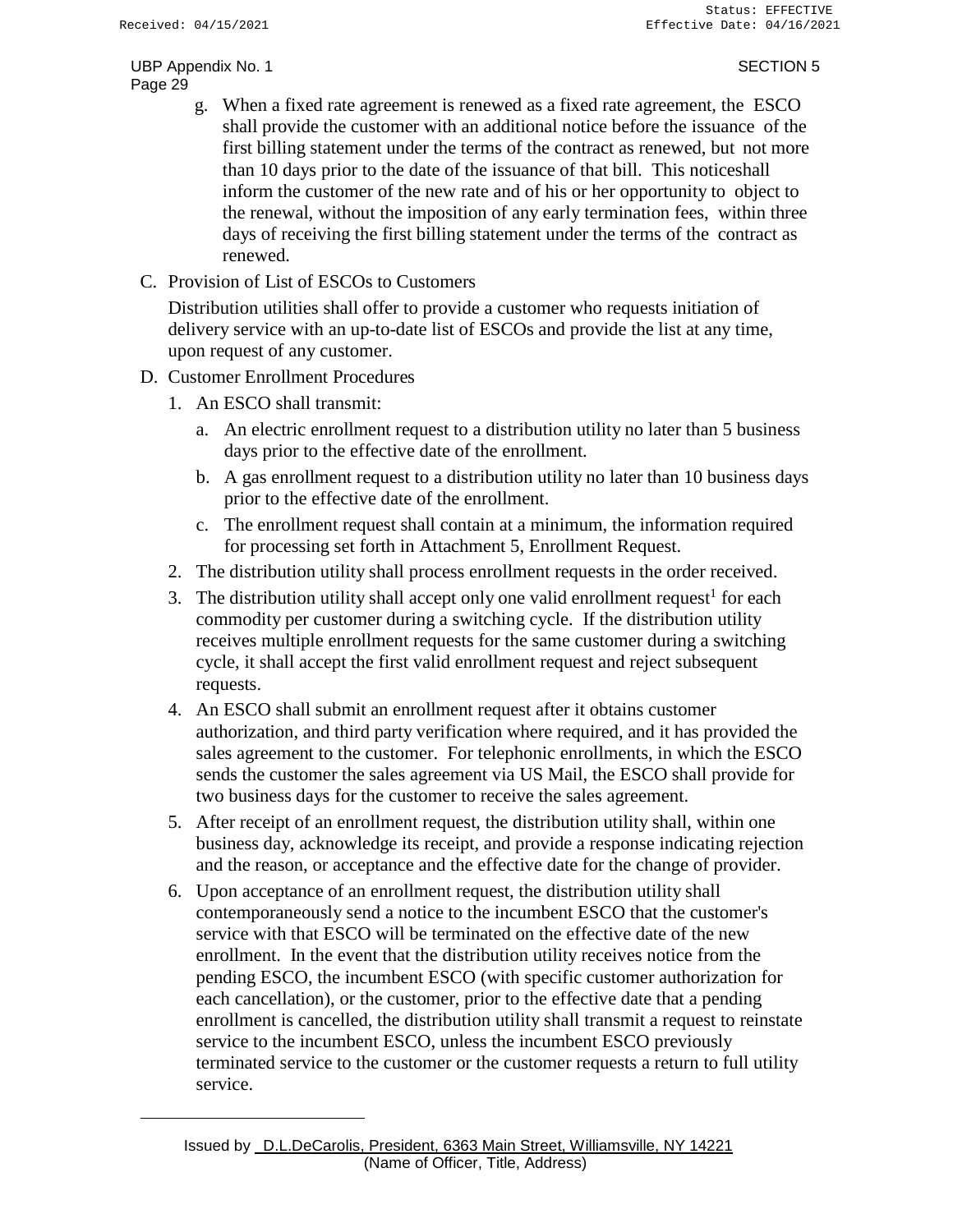- g. When a fixed rate agreement is renewed as a fixed rate agreement, the ESCO shall provide the customer with an additional notice before the issuance of the first billing statement under the terms of the contract as renewed, but not more than 10 days prior to the date of the issuance of that bill. This noticeshall inform the customer of the new rate and of his or her opportunity to object to the renewal, without the imposition of any early termination fees, within three days of receiving the first billing statement under the terms of the contract as renewed.
- C. Provision of List of ESCOs to Customers

Distribution utilities shall offer to provide a customer who requests initiation of delivery service with an up-to-date list of ESCOs and provide the list at any time, upon request of any customer.

- D. Customer Enrollment Procedures
	- 1. An ESCO shall transmit:
		- a. An electric enrollment request to a distribution utility no later than 5 business days prior to the effective date of the enrollment.
		- b. A gas enrollment request to a distribution utility no later than 10 business days prior to the effective date of the enrollment.
		- c. The enrollment request shall contain at a minimum, the information required for processing set forth in Attachment 5, Enrollment Request.
	- 2. The distribution utility shall process enrollment requests in the order received.
	- 3. The distribution utility shall accept only one valid enrollment request<sup>1</sup> for each commodity per customer during a switching cycle. If the distribution utility receives multiple enrollment requests for the same customer during a switching cycle, it shall accept the first valid enrollment request and reject subsequent requests.
	- 4. An ESCO shall submit an enrollment request after it obtains customer authorization, and third party verification where required, and it has provided the sales agreement to the customer. For telephonic enrollments, in which the ESCO sends the customer the sales agreement via US Mail, the ESCO shall provide for two business days for the customer to receive the sales agreement.
	- 5. After receipt of an enrollment request, the distribution utility shall, within one business day, acknowledge its receipt, and provide a response indicating rejection and the reason, or acceptance and the effective date for the change of provider.
	- 6. Upon acceptance of an enrollment request, the distribution utility shall contemporaneously send a notice to the incumbent ESCO that the customer's service with that ESCO will be terminated on the effective date of the new enrollment. In the event that the distribution utility receives notice from the pending ESCO, the incumbent ESCO (with specific customer authorization for each cancellation), or the customer, prior to the effective date that a pending enrollment is cancelled, the distribution utility shall transmit a request to reinstate service to the incumbent ESCO, unless the incumbent ESCO previously terminated service to the customer or the customer requests a return to full utility service.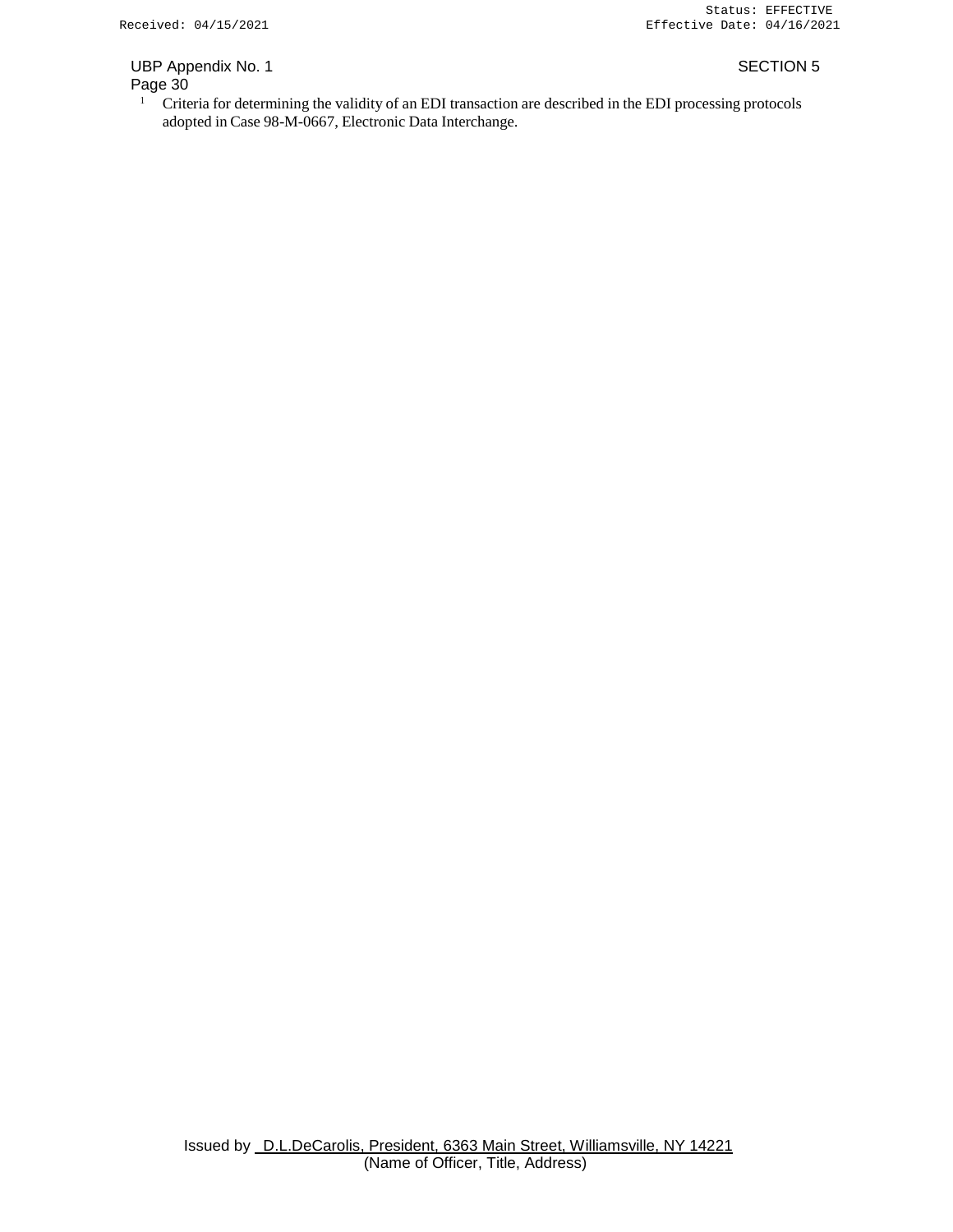# UBP Appendix No. 1 SECTION 5

### Page 30

<sup>1</sup> Criteria for determining the validity of an EDI transaction are described in the EDI processing protocols adopted in Case 98-M-0667, Electronic Data Interchange.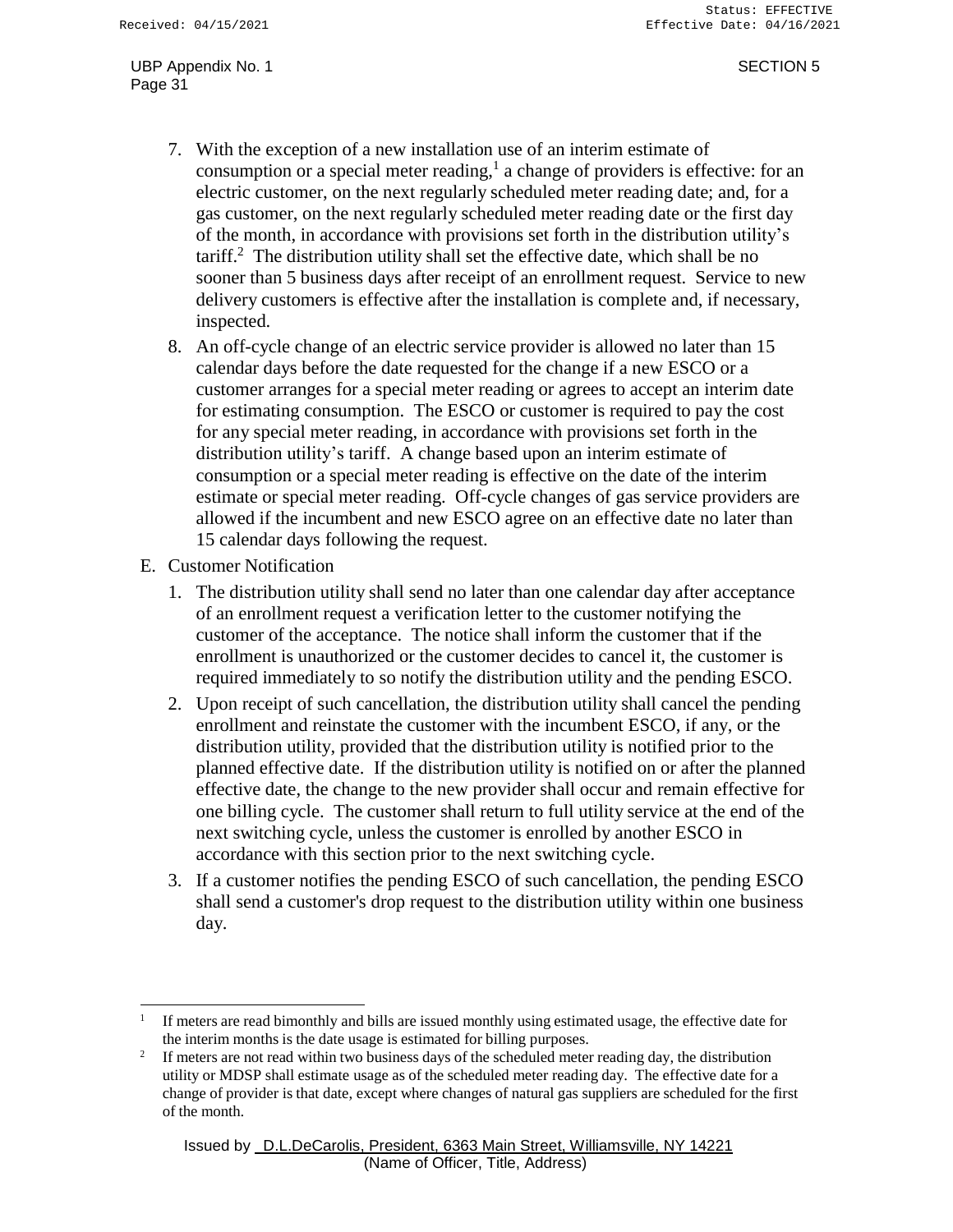- 7. With the exception of a new installation use of an interim estimate of consumption or a special meter reading, $<sup>1</sup>$  a change of providers is effective: for an</sup> electric customer, on the next regularly scheduled meter reading date; and, for a gas customer, on the next regularly scheduled meter reading date or the first day of the month, in accordance with provisions set forth in the distribution utility's  $\arcsin^{2}$  The distribution utility shall set the effective date, which shall be no sooner than 5 business days after receipt of an enrollment request. Service to new delivery customers is effective after the installation is complete and, if necessary, inspected.
- 8. An off-cycle change of an electric service provider is allowed no later than 15 calendar days before the date requested for the change if a new ESCO or a customer arranges for a special meter reading or agrees to accept an interim date for estimating consumption. The ESCO or customer is required to pay the cost for any special meter reading, in accordance with provisions set forth in the distribution utility's tariff. A change based upon an interim estimate of consumption or a special meter reading is effective on the date of the interim estimate or special meter reading. Off-cycle changes of gas service providers are allowed if the incumbent and new ESCO agree on an effective date no later than 15 calendar days following the request.
- E. Customer Notification
	- 1. The distribution utility shall send no later than one calendar day after acceptance of an enrollment request a verification letter to the customer notifying the customer of the acceptance. The notice shall inform the customer that if the enrollment is unauthorized or the customer decides to cancel it, the customer is required immediately to so notify the distribution utility and the pending ESCO.
	- 2. Upon receipt of such cancellation, the distribution utility shall cancel the pending enrollment and reinstate the customer with the incumbent ESCO, if any, or the distribution utility, provided that the distribution utility is notified prior to the planned effective date. If the distribution utility is notified on or after the planned effective date, the change to the new provider shall occur and remain effective for one billing cycle. The customer shall return to full utility service at the end of the next switching cycle, unless the customer is enrolled by another ESCO in accordance with this section prior to the next switching cycle.
	- 3. If a customer notifies the pending ESCO of such cancellation, the pending ESCO shall send a customer's drop request to the distribution utility within one business day.

<sup>1</sup> If meters are read bimonthly and bills are issued monthly using estimated usage, the effective date for the interim months is the date usage is estimated for billing purposes.

<sup>2</sup> If meters are not read within two business days of the scheduled meter reading day, the distribution utility or MDSP shall estimate usage as of the scheduled meter reading day. The effective date for a change of provider is that date, except where changes of natural gas suppliers are scheduled for the first of the month.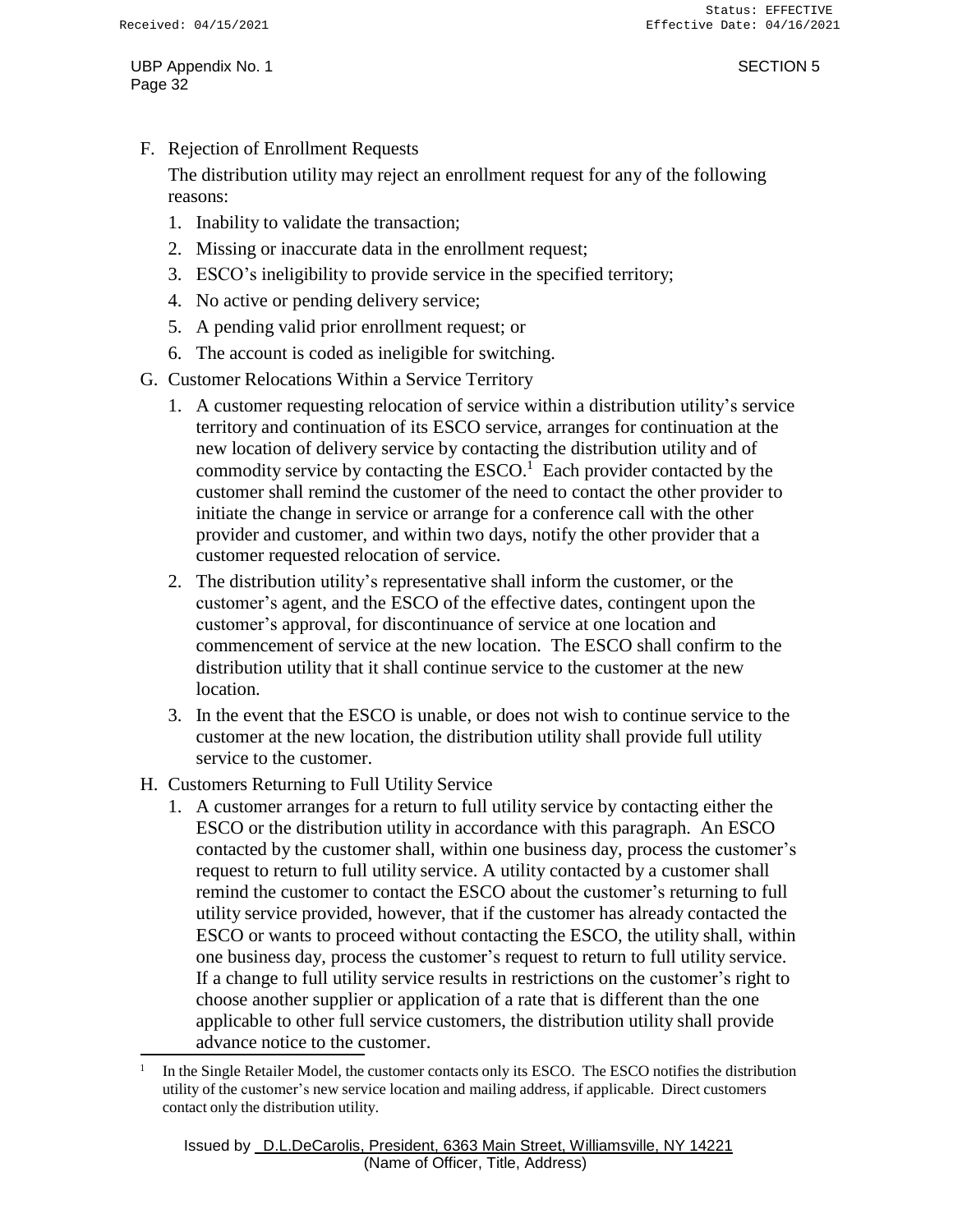F. Rejection of Enrollment Requests

The distribution utility may reject an enrollment request for any of the following reasons:

- 1. Inability to validate the transaction;
- 2. Missing or inaccurate data in the enrollment request;
- 3. ESCO's ineligibility to provide service in the specified territory;
- 4. No active or pending delivery service;
- 5. A pending valid prior enrollment request; or
- 6. The account is coded as ineligible for switching.
- G. Customer Relocations Within a Service Territory
	- 1. A customer requesting relocation of service within a distribution utility's service territory and continuation of its ESCO service, arranges for continuation at the new location of delivery service by contacting the distribution utility and of commodity service by contacting the  $ESCO<sup>1</sup>$  Each provider contacted by the customer shall remind the customer of the need to contact the other provider to initiate the change in service or arrange for a conference call with the other provider and customer, and within two days, notify the other provider that a customer requested relocation of service.
	- 2. The distribution utility's representative shall inform the customer, or the customer's agent, and the ESCO of the effective dates, contingent upon the customer's approval, for discontinuance of service at one location and commencement of service at the new location. The ESCO shall confirm to the distribution utility that it shall continue service to the customer at the new location.
	- 3. In the event that the ESCO is unable, or does not wish to continue service to the customer at the new location, the distribution utility shall provide full utility service to the customer.
- H. Customers Returning to Full Utility Service
	- 1. A customer arranges for a return to full utility service by contacting either the ESCO or the distribution utility in accordance with this paragraph. An ESCO contacted by the customer shall, within one business day, process the customer's request to return to full utility service. A utility contacted by a customer shall remind the customer to contact the ESCO about the customer's returning to full utility service provided, however, that if the customer has already contacted the ESCO or wants to proceed without contacting the ESCO, the utility shall, within one business day, process the customer's request to return to full utility service. If a change to full utility service results in restrictions on the customer's right to choose another supplier or application of a rate that is different than the one applicable to other full service customers, the distribution utility shall provide advance notice to the customer.

<sup>1</sup> In the Single Retailer Model, the customer contacts only its ESCO. The ESCO notifies the distribution utility of the customer's new service location and mailing address, if applicable. Direct customers contact only the distribution utility.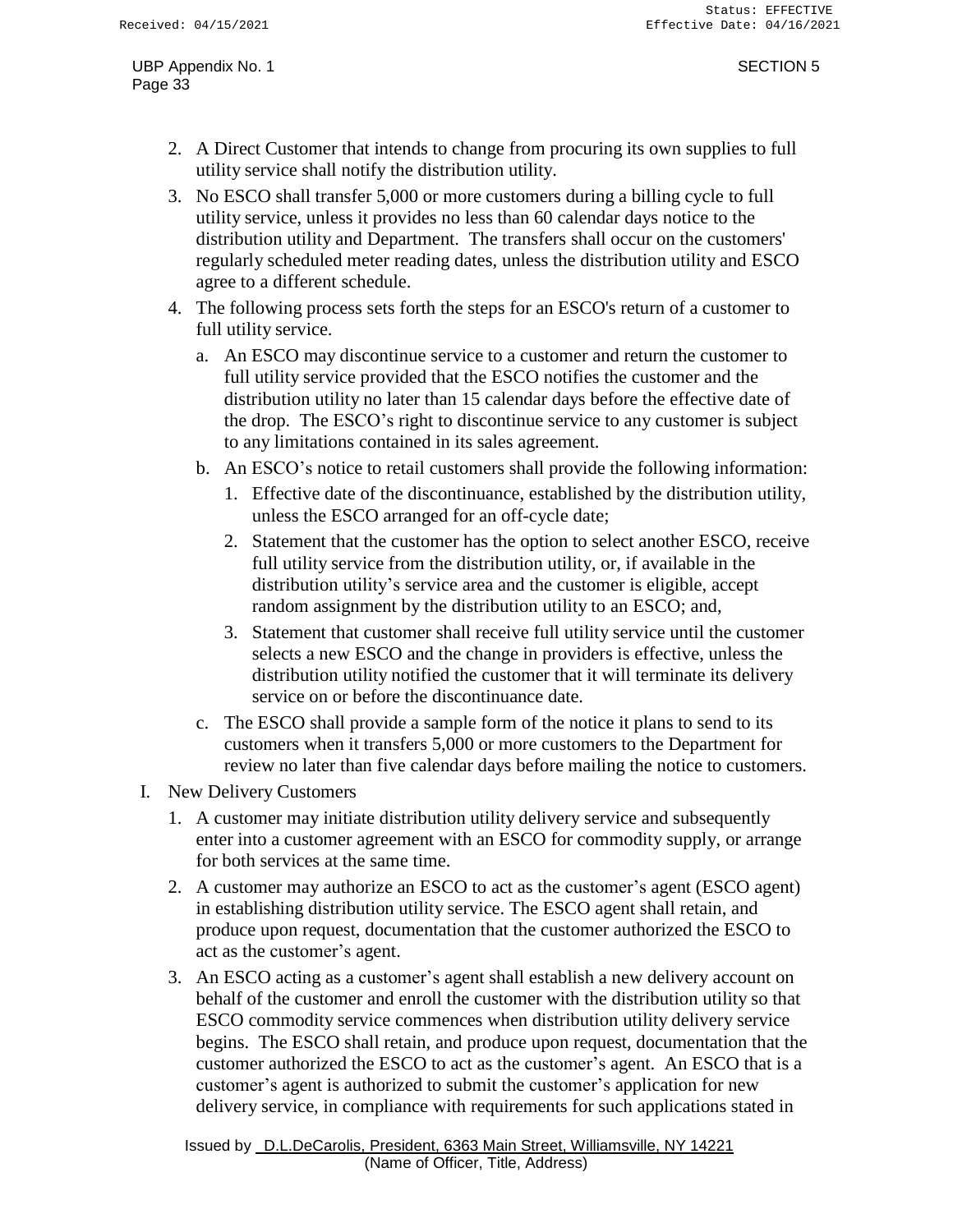- 2. A Direct Customer that intends to change from procuring its own supplies to full utility service shall notify the distribution utility.
- 3. No ESCO shall transfer 5,000 or more customers during a billing cycle to full utility service, unless it provides no less than 60 calendar days notice to the distribution utility and Department. The transfers shall occur on the customers' regularly scheduled meter reading dates, unless the distribution utility and ESCO agree to a different schedule.
- 4. The following process sets forth the steps for an ESCO's return of a customer to full utility service.
	- a. An ESCO may discontinue service to a customer and return the customer to full utility service provided that the ESCO notifies the customer and the distribution utility no later than 15 calendar days before the effective date of the drop. The ESCO's right to discontinue service to any customer is subject to any limitations contained in its sales agreement.
	- b. An ESCO's notice to retail customers shall provide the following information:
		- 1. Effective date of the discontinuance, established by the distribution utility, unless the ESCO arranged for an off-cycle date;
		- 2. Statement that the customer has the option to select another ESCO, receive full utility service from the distribution utility, or, if available in the distribution utility's service area and the customer is eligible, accept random assignment by the distribution utility to an ESCO; and,
		- 3. Statement that customer shall receive full utility service until the customer selects a new ESCO and the change in providers is effective, unless the distribution utility notified the customer that it will terminate its delivery service on or before the discontinuance date.
	- c. The ESCO shall provide a sample form of the notice it plans to send to its customers when it transfers 5,000 or more customers to the Department for review no later than five calendar days before mailing the notice to customers.
- I. New Delivery Customers
	- 1. A customer may initiate distribution utility delivery service and subsequently enter into a customer agreement with an ESCO for commodity supply, or arrange for both services at the same time.
	- 2. A customer may authorize an ESCO to act as the customer's agent (ESCO agent) in establishing distribution utility service. The ESCO agent shall retain, and produce upon request, documentation that the customer authorized the ESCO to act as the customer's agent.
	- 3. An ESCO acting as a customer's agent shall establish a new delivery account on behalf of the customer and enroll the customer with the distribution utility so that ESCO commodity service commences when distribution utility delivery service begins. The ESCO shall retain, and produce upon request, documentation that the customer authorized the ESCO to act as the customer's agent. An ESCO that is a customer's agent is authorized to submit the customer's application for new delivery service, in compliance with requirements for such applications stated in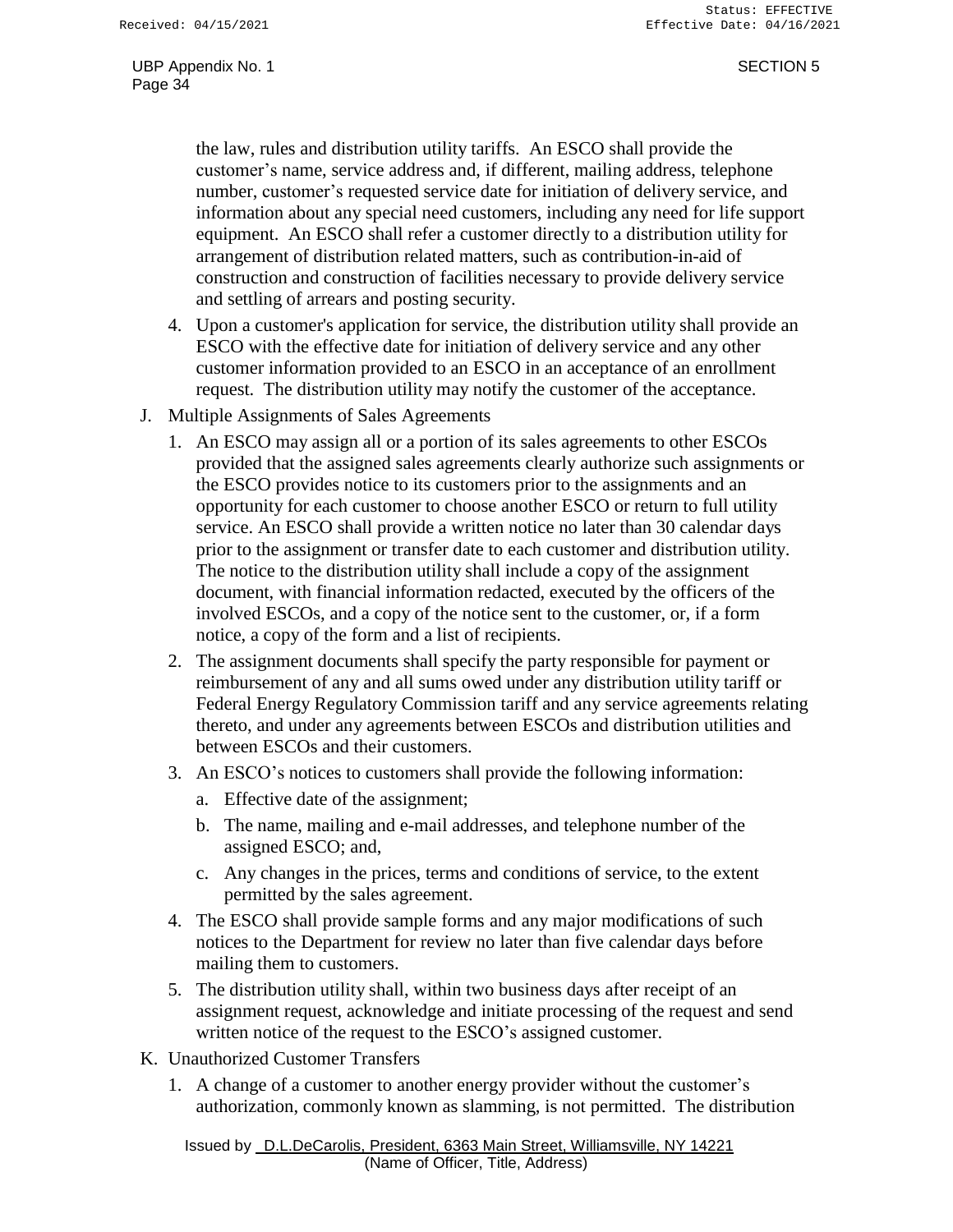the law, rules and distribution utility tariffs. An ESCO shall provide the customer's name, service address and, if different, mailing address, telephone number, customer's requested service date for initiation of delivery service, and information about any special need customers, including any need for life support equipment. An ESCO shall refer a customer directly to a distribution utility for arrangement of distribution related matters, such as contribution-in-aid of construction and construction of facilities necessary to provide delivery service and settling of arrears and posting security.

- 4. Upon a customer's application for service, the distribution utility shall provide an ESCO with the effective date for initiation of delivery service and any other customer information provided to an ESCO in an acceptance of an enrollment request. The distribution utility may notify the customer of the acceptance.
- J. Multiple Assignments of Sales Agreements
	- 1. An ESCO may assign all or a portion of its sales agreements to other ESCOs provided that the assigned sales agreements clearly authorize such assignments or the ESCO provides notice to its customers prior to the assignments and an opportunity for each customer to choose another ESCO or return to full utility service. An ESCO shall provide a written notice no later than 30 calendar days prior to the assignment or transfer date to each customer and distribution utility. The notice to the distribution utility shall include a copy of the assignment document, with financial information redacted, executed by the officers of the involved ESCOs, and a copy of the notice sent to the customer, or, if a form notice, a copy of the form and a list of recipients.
	- 2. The assignment documents shall specify the party responsible for payment or reimbursement of any and all sums owed under any distribution utility tariff or Federal Energy Regulatory Commission tariff and any service agreements relating thereto, and under any agreements between ESCOs and distribution utilities and between ESCOs and their customers.
	- 3. An ESCO's notices to customers shall provide the following information:
		- a. Effective date of the assignment;
		- b. The name, mailing and e-mail addresses, and telephone number of the assigned ESCO; and,
		- c. Any changes in the prices, terms and conditions of service, to the extent permitted by the sales agreement.
	- 4. The ESCO shall provide sample forms and any major modifications of such notices to the Department for review no later than five calendar days before mailing them to customers.
	- 5. The distribution utility shall, within two business days after receipt of an assignment request, acknowledge and initiate processing of the request and send written notice of the request to the ESCO's assigned customer.
- K. Unauthorized Customer Transfers
	- 1. A change of a customer to another energy provider without the customer's authorization, commonly known as slamming, is not permitted. The distribution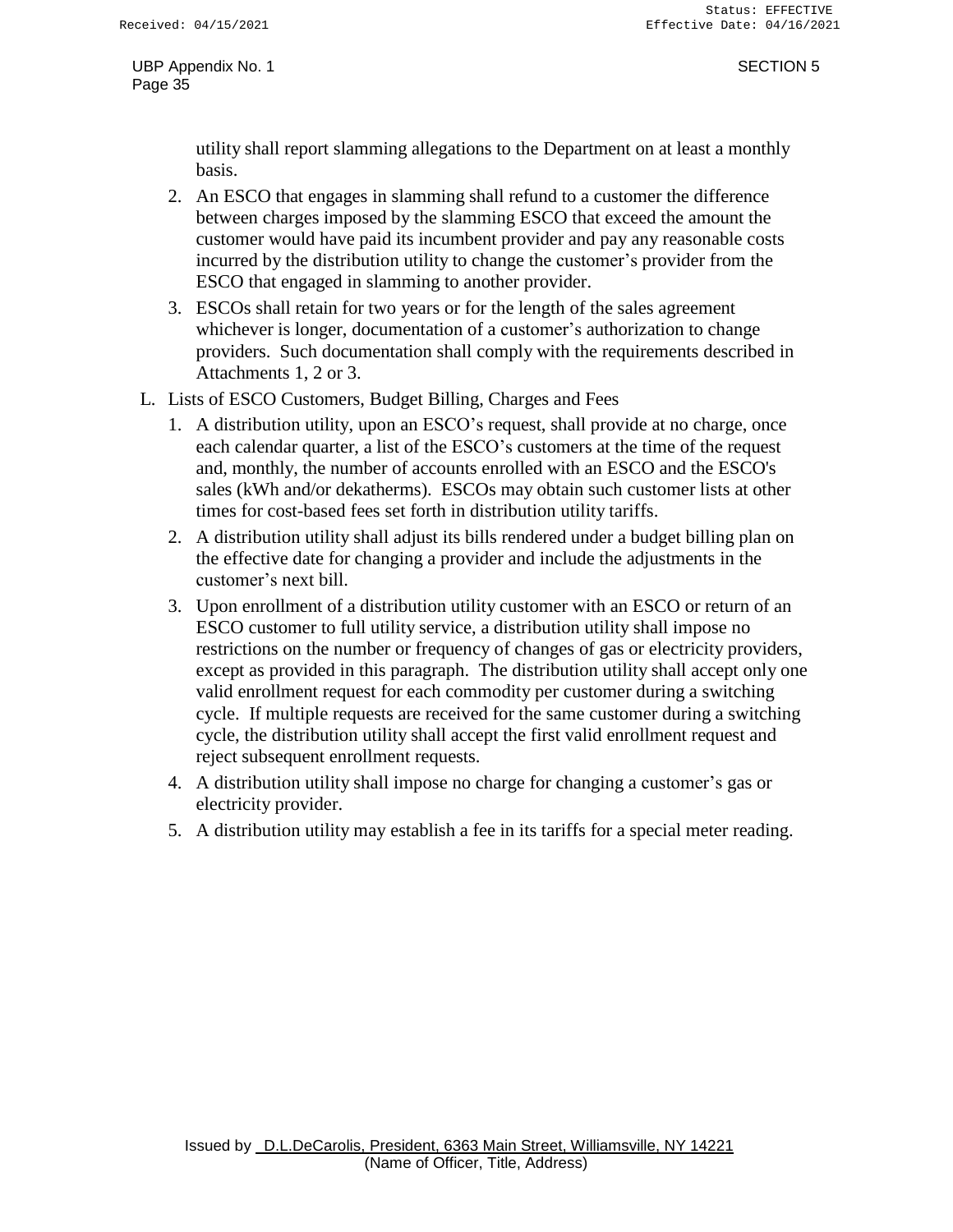utility shall report slamming allegations to the Department on at least a monthly basis.

- 2. An ESCO that engages in slamming shall refund to a customer the difference between charges imposed by the slamming ESCO that exceed the amount the customer would have paid its incumbent provider and pay any reasonable costs incurred by the distribution utility to change the customer's provider from the ESCO that engaged in slamming to another provider.
- 3. ESCOs shall retain for two years or for the length of the sales agreement whichever is longer, documentation of a customer's authorization to change providers. Such documentation shall comply with the requirements described in Attachments 1, 2 or 3.
- L. Lists of ESCO Customers, Budget Billing, Charges and Fees
	- 1. A distribution utility, upon an ESCO's request, shall provide at no charge, once each calendar quarter, a list of the ESCO's customers at the time of the request and, monthly, the number of accounts enrolled with an ESCO and the ESCO's sales (kWh and/or dekatherms). ESCOs may obtain such customer lists at other times for cost-based fees set forth in distribution utility tariffs.
	- 2. A distribution utility shall adjust its bills rendered under a budget billing plan on the effective date for changing a provider and include the adjustments in the customer's next bill.
	- 3. Upon enrollment of a distribution utility customer with an ESCO or return of an ESCO customer to full utility service, a distribution utility shall impose no restrictions on the number or frequency of changes of gas or electricity providers, except as provided in this paragraph. The distribution utility shall accept only one valid enrollment request for each commodity per customer during a switching cycle. If multiple requests are received for the same customer during a switching cycle, the distribution utility shall accept the first valid enrollment request and reject subsequent enrollment requests.
	- 4. A distribution utility shall impose no charge for changing a customer's gas or electricity provider.
	- 5. A distribution utility may establish a fee in its tariffs for a special meter reading.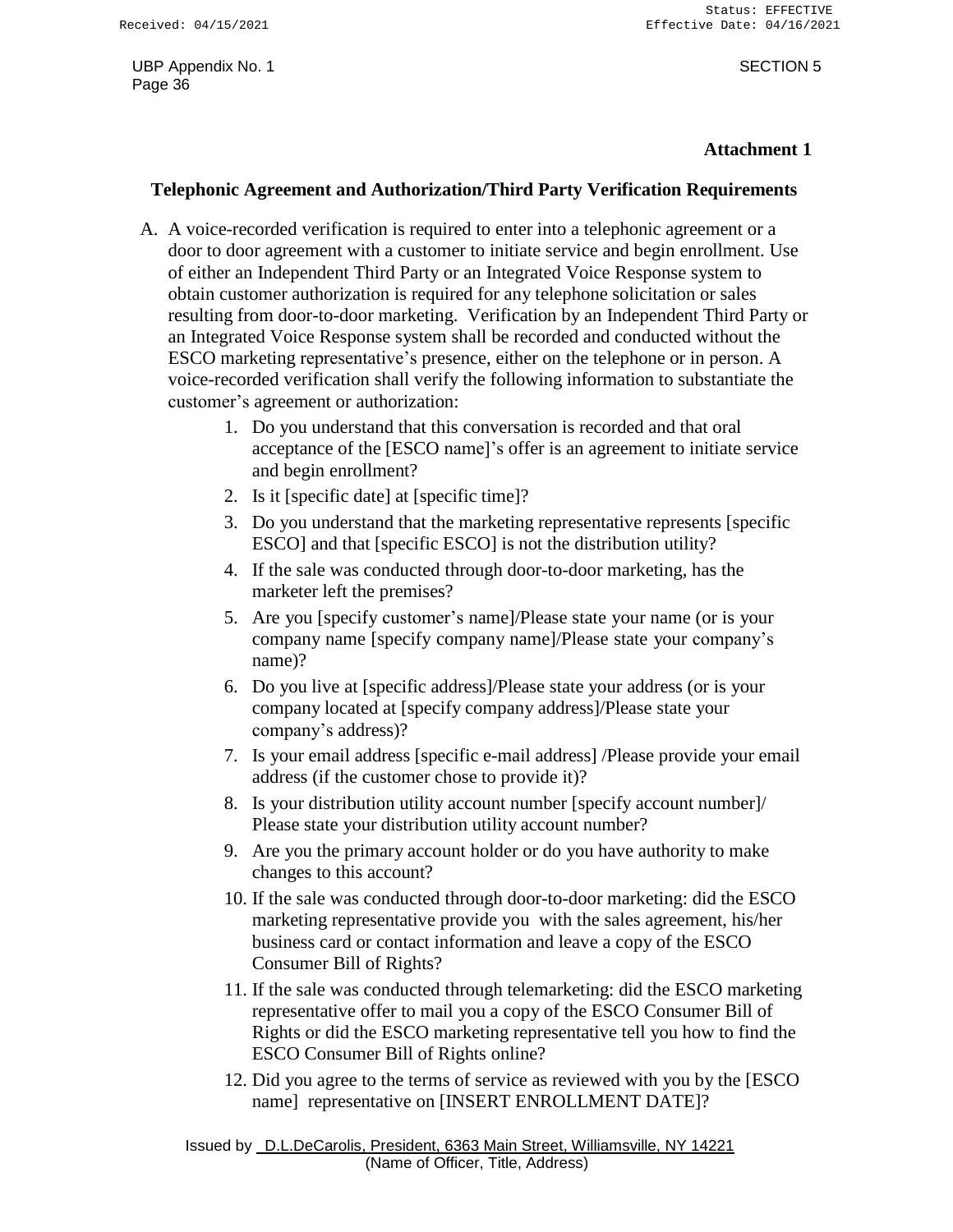### **Attachment 1**

### **Telephonic Agreement and Authorization/Third Party Verification Requirements**

- A. A voice-recorded verification is required to enter into a telephonic agreement or a door to door agreement with a customer to initiate service and begin enrollment. Use of either an Independent Third Party or an Integrated Voice Response system to obtain customer authorization is required for any telephone solicitation or sales resulting from door-to-door marketing. Verification by an Independent Third Party or an Integrated Voice Response system shall be recorded and conducted without the ESCO marketing representative's presence, either on the telephone or in person. A voice-recorded verification shall verify the following information to substantiate the customer's agreement or authorization:
	- 1. Do you understand that this conversation is recorded and that oral acceptance of the [ESCO name]'s offer is an agreement to initiate service and begin enrollment?
	- 2. Is it [specific date] at [specific time]?
	- 3. Do you understand that the marketing representative represents [specific ESCO] and that [specific ESCO] is not the distribution utility?
	- 4. If the sale was conducted through door-to-door marketing, has the marketer left the premises?
	- 5. Are you [specify customer's name]/Please state your name (or is your company name [specify company name]/Please state your company's name)?
	- 6. Do you live at [specific address]/Please state your address (or is your company located at [specify company address]/Please state your company's address)?
	- 7. Is your email address [specific e-mail address] /Please provide your email address (if the customer chose to provide it)?
	- 8. Is your distribution utility account number [specify account number]/ Please state your distribution utility account number?
	- 9. Are you the primary account holder or do you have authority to make changes to this account?
	- 10. If the sale was conducted through door-to-door marketing: did the ESCO marketing representative provide you with the sales agreement, his/her business card or contact information and leave a copy of the ESCO Consumer Bill of Rights?
	- 11. If the sale was conducted through telemarketing: did the ESCO marketing representative offer to mail you a copy of the ESCO Consumer Bill of Rights or did the ESCO marketing representative tell you how to find the ESCO Consumer Bill of Rights online?
	- 12. Did you agree to the terms of service as reviewed with you by the [ESCO name] representative on [INSERT ENROLLMENT DATE]?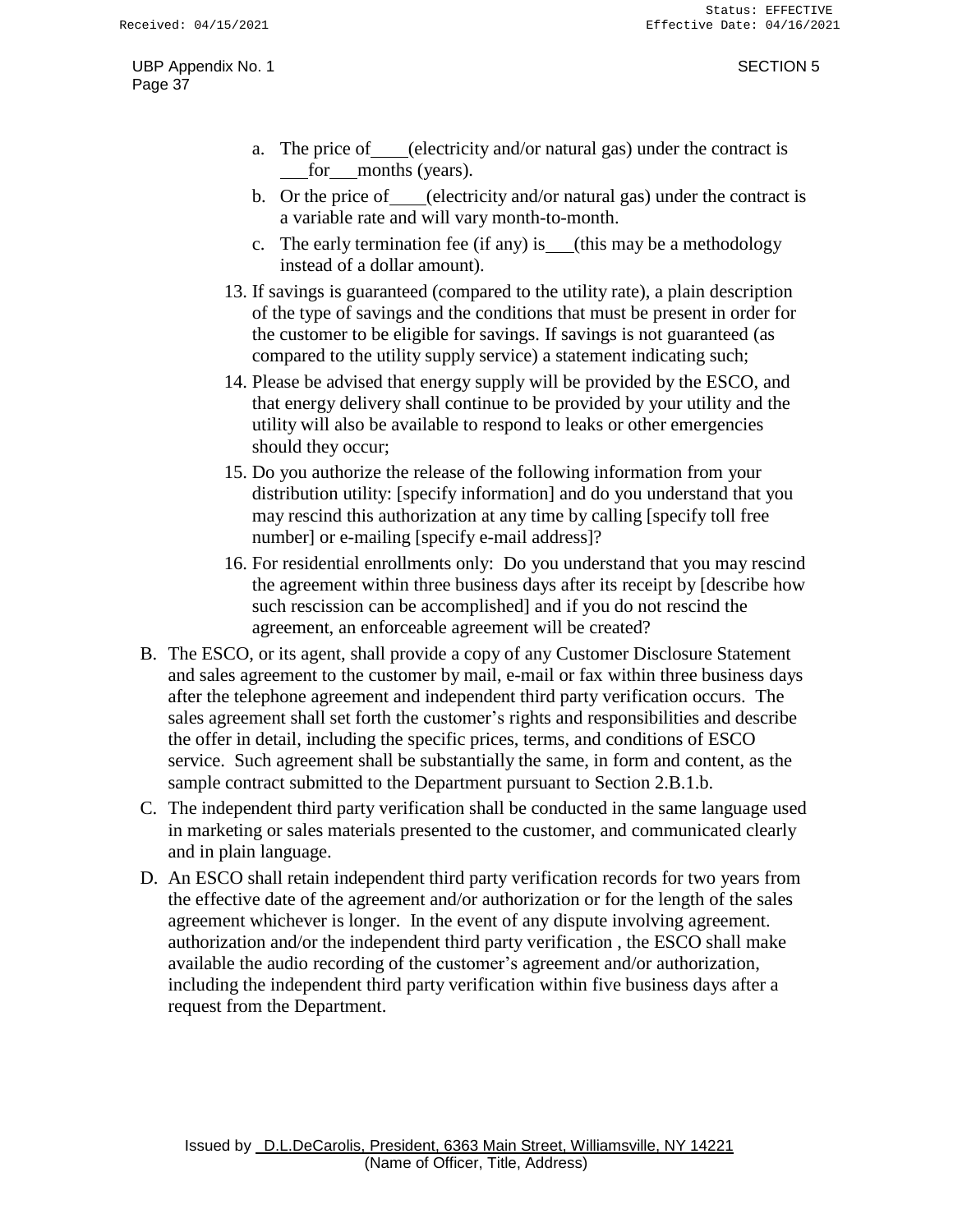- a. The price of (electricity and/or natural gas) under the contract is for months (years).
- b. Or the price of (electricity and/or natural gas) under the contract is a variable rate and will vary month-to-month.
- c. The early termination fee (if any) is (this may be a methodology instead of a dollar amount).
- 13. If savings is guaranteed (compared to the utility rate), a plain description of the type of savings and the conditions that must be present in order for the customer to be eligible for savings. If savings is not guaranteed (as compared to the utility supply service) a statement indicating such;
- 14. Please be advised that energy supply will be provided by the ESCO, and that energy delivery shall continue to be provided by your utility and the utility will also be available to respond to leaks or other emergencies should they occur;
- 15. Do you authorize the release of the following information from your distribution utility: [specify information] and do you understand that you may rescind this authorization at any time by calling [specify toll free number] or e-mailing [specify e-mail address]?
- 16. For residential enrollments only: Do you understand that you may rescind the agreement within three business days after its receipt by [describe how such rescission can be accomplished] and if you do not rescind the agreement, an enforceable agreement will be created?
- B. The ESCO, or its agent, shall provide a copy of any Customer Disclosure Statement and sales agreement to the customer by mail, e-mail or fax within three business days after the telephone agreement and independent third party verification occurs. The sales agreement shall set forth the customer's rights and responsibilities and describe the offer in detail, including the specific prices, terms, and conditions of ESCO service. Such agreement shall be substantially the same, in form and content, as the sample contract submitted to the Department pursuant to Section 2.B.1.b.
- C. The independent third party verification shall be conducted in the same language used in marketing or sales materials presented to the customer, and communicated clearly and in plain language.
- D. An ESCO shall retain independent third party verification records for two years from the effective date of the agreement and/or authorization or for the length of the sales agreement whichever is longer. In the event of any dispute involving agreement. authorization and/or the independent third party verification , the ESCO shall make available the audio recording of the customer's agreement and/or authorization, including the independent third party verification within five business days after a request from the Department.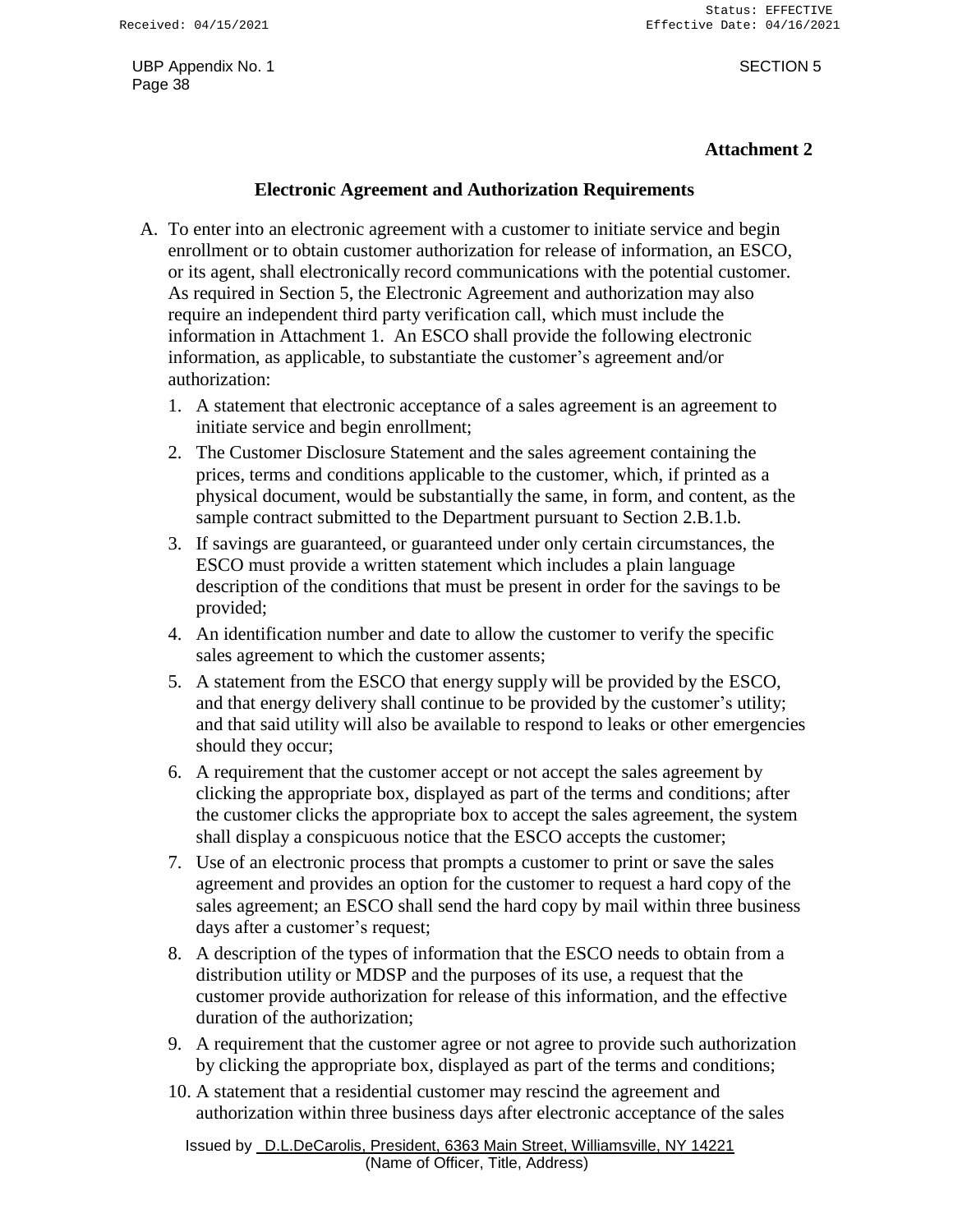#### **Attachment 2**

### **Electronic Agreement and Authorization Requirements**

- A. To enter into an electronic agreement with a customer to initiate service and begin enrollment or to obtain customer authorization for release of information, an ESCO, or its agent, shall electronically record communications with the potential customer. As required in Section 5, the Electronic Agreement and authorization may also require an independent third party verification call, which must include the information in Attachment 1. An ESCO shall provide the following electronic information, as applicable, to substantiate the customer's agreement and/or authorization:
	- 1. A statement that electronic acceptance of a sales agreement is an agreement to initiate service and begin enrollment;
	- 2. The Customer Disclosure Statement and the sales agreement containing the prices, terms and conditions applicable to the customer, which, if printed as a physical document, would be substantially the same, in form, and content, as the sample contract submitted to the Department pursuant to Section 2.B.1.b.
	- 3. If savings are guaranteed, or guaranteed under only certain circumstances, the ESCO must provide a written statement which includes a plain language description of the conditions that must be present in order for the savings to be provided;
	- 4. An identification number and date to allow the customer to verify the specific sales agreement to which the customer assents;
	- 5. A statement from the ESCO that energy supply will be provided by the ESCO, and that energy delivery shall continue to be provided by the customer's utility; and that said utility will also be available to respond to leaks or other emergencies should they occur;
	- 6. A requirement that the customer accept or not accept the sales agreement by clicking the appropriate box, displayed as part of the terms and conditions; after the customer clicks the appropriate box to accept the sales agreement, the system shall display a conspicuous notice that the ESCO accepts the customer;
	- 7. Use of an electronic process that prompts a customer to print or save the sales agreement and provides an option for the customer to request a hard copy of the sales agreement; an ESCO shall send the hard copy by mail within three business days after a customer's request;
	- 8. A description of the types of information that the ESCO needs to obtain from a distribution utility or MDSP and the purposes of its use, a request that the customer provide authorization for release of this information, and the effective duration of the authorization;
	- 9. A requirement that the customer agree or not agree to provide such authorization by clicking the appropriate box, displayed as part of the terms and conditions;
	- 10. A statement that a residential customer may rescind the agreement and authorization within three business days after electronic acceptance of the sales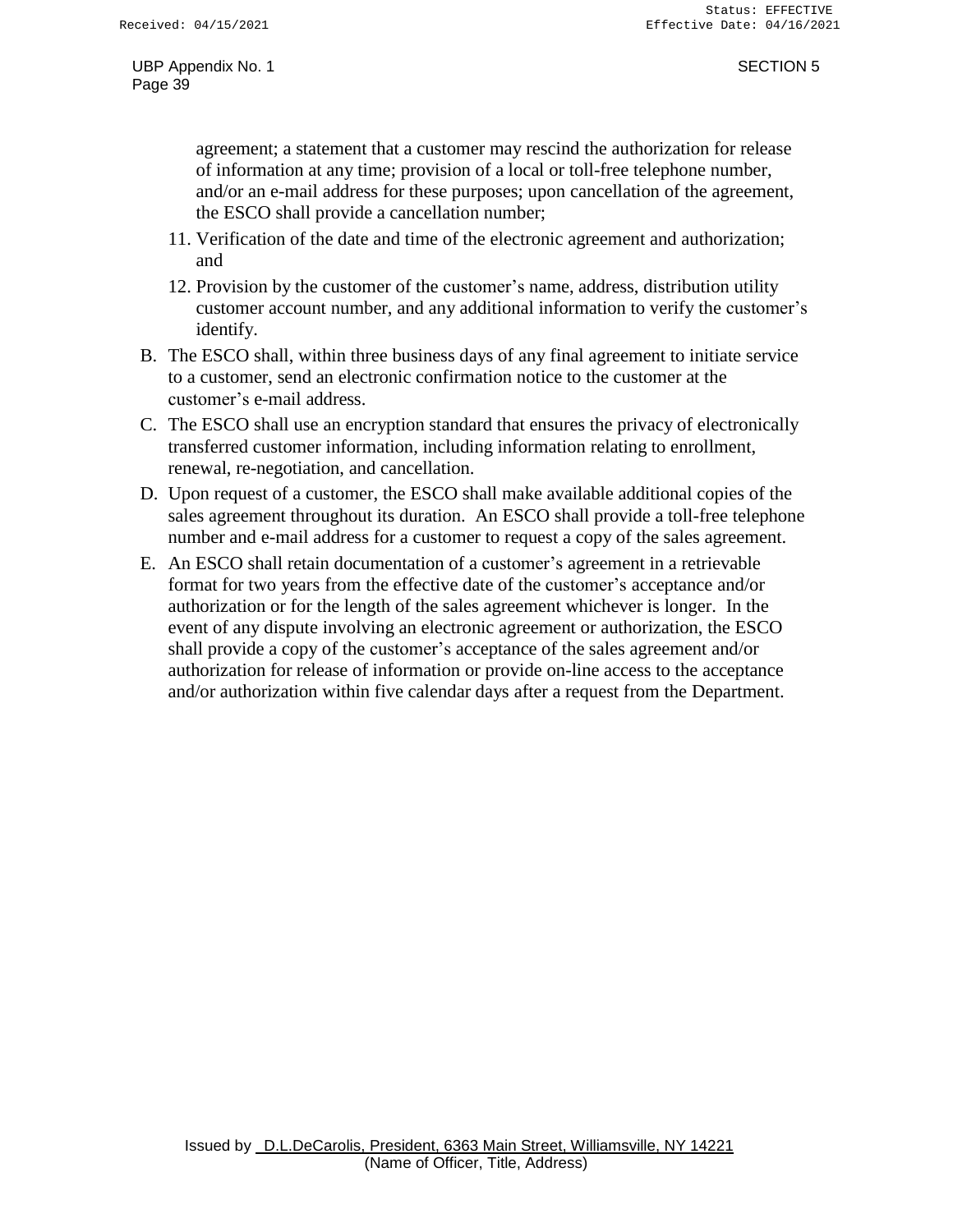agreement; a statement that a customer may rescind the authorization for release of information at any time; provision of a local or toll-free telephone number, and/or an e-mail address for these purposes; upon cancellation of the agreement, the ESCO shall provide a cancellation number;

- 11. Verification of the date and time of the electronic agreement and authorization; and
- 12. Provision by the customer of the customer's name, address, distribution utility customer account number, and any additional information to verify the customer's identify.
- B. The ESCO shall, within three business days of any final agreement to initiate service to a customer, send an electronic confirmation notice to the customer at the customer's e-mail address.
- C. The ESCO shall use an encryption standard that ensures the privacy of electronically transferred customer information, including information relating to enrollment, renewal, re-negotiation, and cancellation.
- D. Upon request of a customer, the ESCO shall make available additional copies of the sales agreement throughout its duration. An ESCO shall provide a toll-free telephone number and e-mail address for a customer to request a copy of the sales agreement.
- E. An ESCO shall retain documentation of a customer's agreement in a retrievable format for two years from the effective date of the customer's acceptance and/or authorization or for the length of the sales agreement whichever is longer. In the event of any dispute involving an electronic agreement or authorization, the ESCO shall provide a copy of the customer's acceptance of the sales agreement and/or authorization for release of information or provide on-line access to the acceptance and/or authorization within five calendar days after a request from the Department.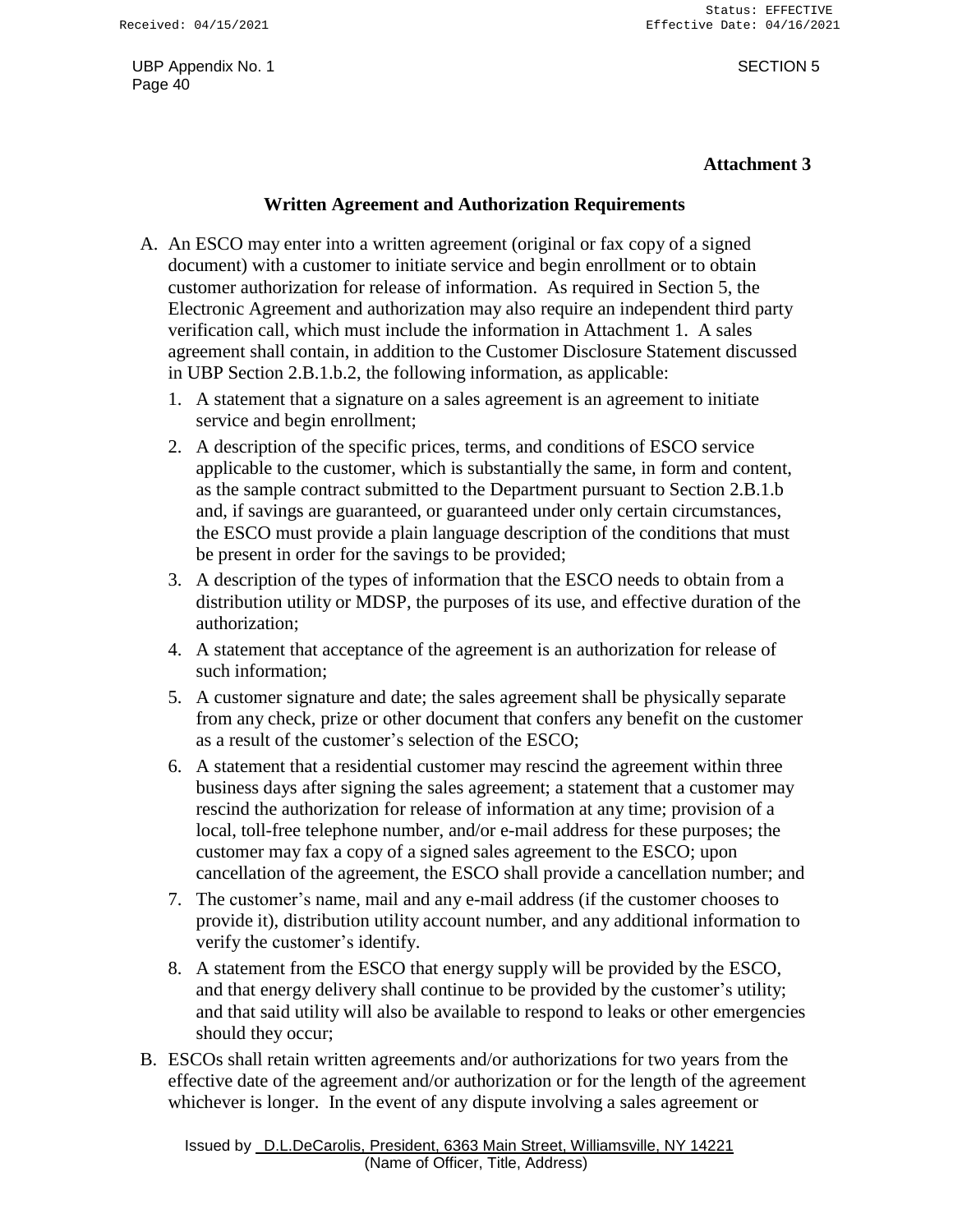### **Attachment 3**

### **Written Agreement and Authorization Requirements**

- A. An ESCO may enter into a written agreement (original or fax copy of a signed document) with a customer to initiate service and begin enrollment or to obtain customer authorization for release of information. As required in Section 5, the Electronic Agreement and authorization may also require an independent third party verification call, which must include the information in Attachment 1. A sales agreement shall contain, in addition to the Customer Disclosure Statement discussed in UBP Section 2.B.1.b.2, the following information, as applicable:
	- 1. A statement that a signature on a sales agreement is an agreement to initiate service and begin enrollment;
	- 2. A description of the specific prices, terms, and conditions of ESCO service applicable to the customer, which is substantially the same, in form and content, as the sample contract submitted to the Department pursuant to Section 2.B.1.b and, if savings are guaranteed, or guaranteed under only certain circumstances, the ESCO must provide a plain language description of the conditions that must be present in order for the savings to be provided;
	- 3. A description of the types of information that the ESCO needs to obtain from a distribution utility or MDSP, the purposes of its use, and effective duration of the authorization;
	- 4. A statement that acceptance of the agreement is an authorization for release of such information;
	- 5. A customer signature and date; the sales agreement shall be physically separate from any check, prize or other document that confers any benefit on the customer as a result of the customer's selection of the ESCO;
	- 6. A statement that a residential customer may rescind the agreement within three business days after signing the sales agreement; a statement that a customer may rescind the authorization for release of information at any time; provision of a local, toll-free telephone number, and/or e-mail address for these purposes; the customer may fax a copy of a signed sales agreement to the ESCO; upon cancellation of the agreement, the ESCO shall provide a cancellation number; and
	- 7. The customer's name, mail and any e-mail address (if the customer chooses to provide it), distribution utility account number, and any additional information to verify the customer's identify.
	- 8. A statement from the ESCO that energy supply will be provided by the ESCO, and that energy delivery shall continue to be provided by the customer's utility; and that said utility will also be available to respond to leaks or other emergencies should they occur;
- B. ESCOs shall retain written agreements and/or authorizations for two years from the effective date of the agreement and/or authorization or for the length of the agreement whichever is longer. In the event of any dispute involving a sales agreement or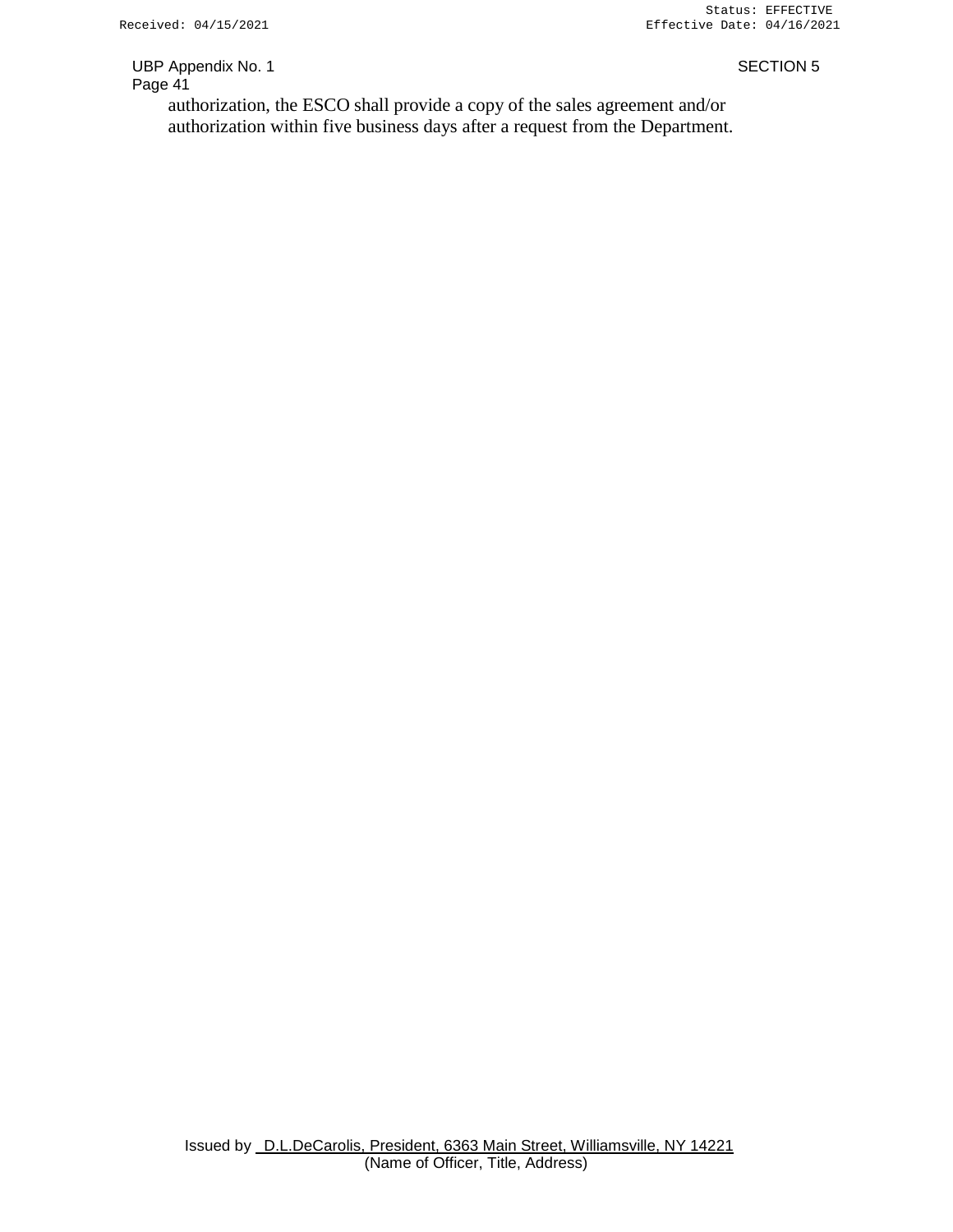authorization, the ESCO shall provide a copy of the sales agreement and/or authorization within five business days after a request from the Department.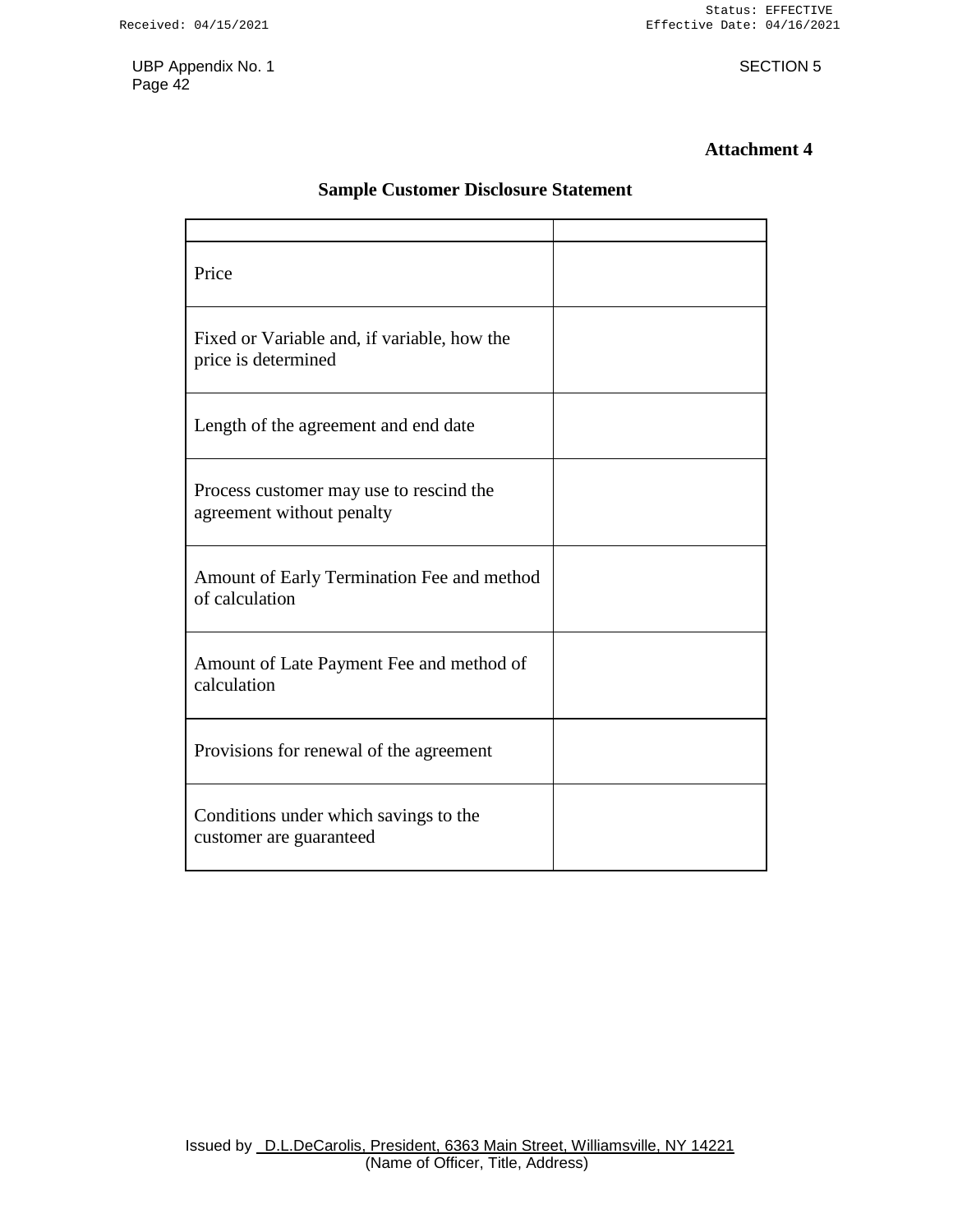### **Attachment 4**

### **Sample Customer Disclosure Statement**

| Price                                                                |  |
|----------------------------------------------------------------------|--|
| Fixed or Variable and, if variable, how the<br>price is determined   |  |
| Length of the agreement and end date                                 |  |
| Process customer may use to rescind the<br>agreement without penalty |  |
| Amount of Early Termination Fee and method<br>of calculation         |  |
| Amount of Late Payment Fee and method of<br>calculation              |  |
| Provisions for renewal of the agreement                              |  |
| Conditions under which savings to the<br>customer are guaranteed     |  |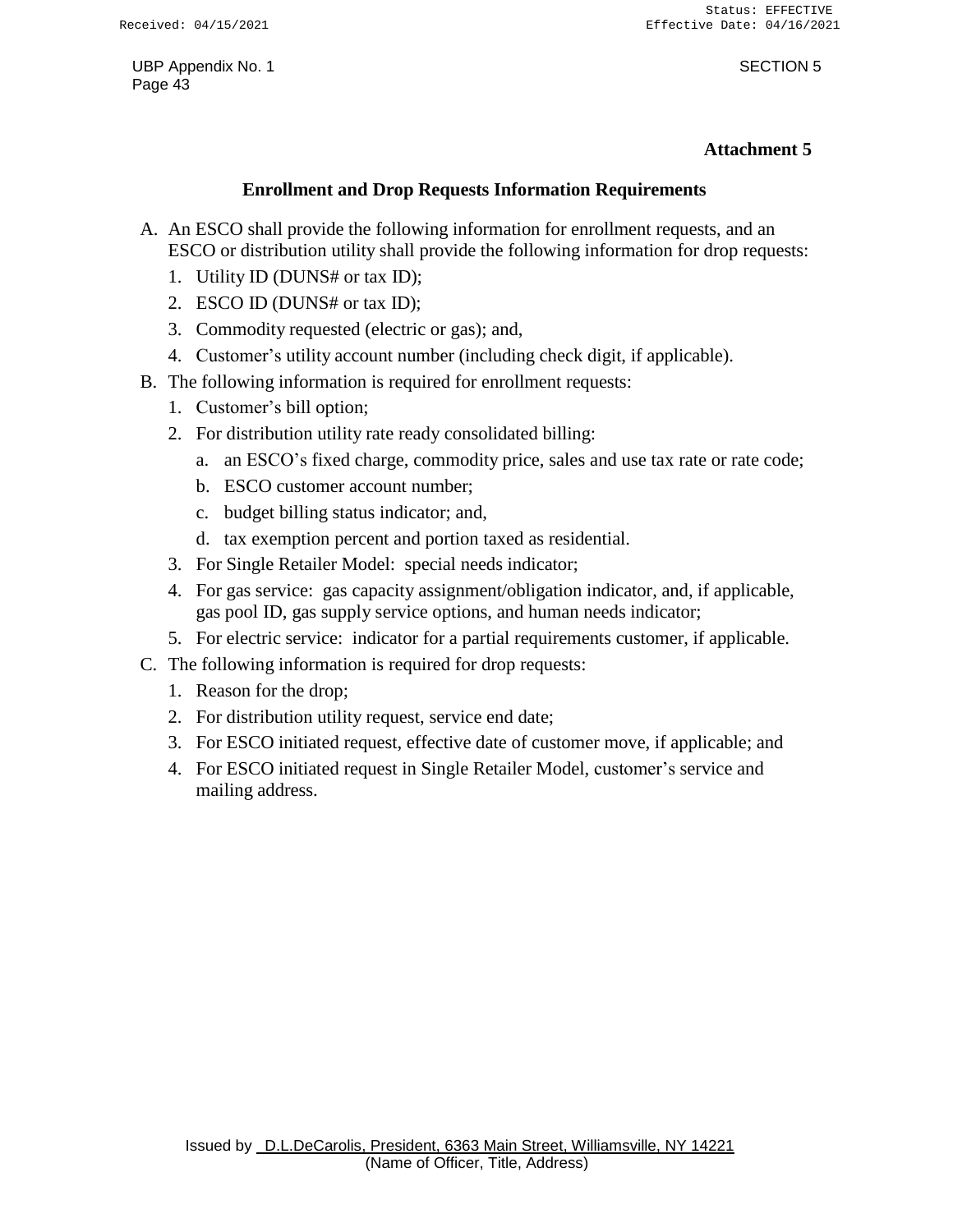#### **Attachment 5**

### **Enrollment and Drop Requests Information Requirements**

- A. An ESCO shall provide the following information for enrollment requests, and an ESCO or distribution utility shall provide the following information for drop requests:
	- 1. Utility ID (DUNS# or tax ID);
	- 2. ESCO ID (DUNS# or tax ID);
	- 3. Commodity requested (electric or gas); and,
	- 4. Customer's utility account number (including check digit, if applicable).
- B. The following information is required for enrollment requests:
	- 1. Customer's bill option;
	- 2. For distribution utility rate ready consolidated billing:
		- a. an ESCO's fixed charge, commodity price, sales and use tax rate or rate code;
		- b. ESCO customer account number;
		- c. budget billing status indicator; and,
		- d. tax exemption percent and portion taxed as residential.
	- 3. For Single Retailer Model: special needs indicator;
	- 4. For gas service: gas capacity assignment/obligation indicator, and, if applicable, gas pool ID, gas supply service options, and human needs indicator;
	- 5. For electric service: indicator for a partial requirements customer, if applicable.
- C. The following information is required for drop requests:
	- 1. Reason for the drop;
	- 2. For distribution utility request, service end date;
	- 3. For ESCO initiated request, effective date of customer move, if applicable; and
	- 4. For ESCO initiated request in Single Retailer Model, customer's service and mailing address.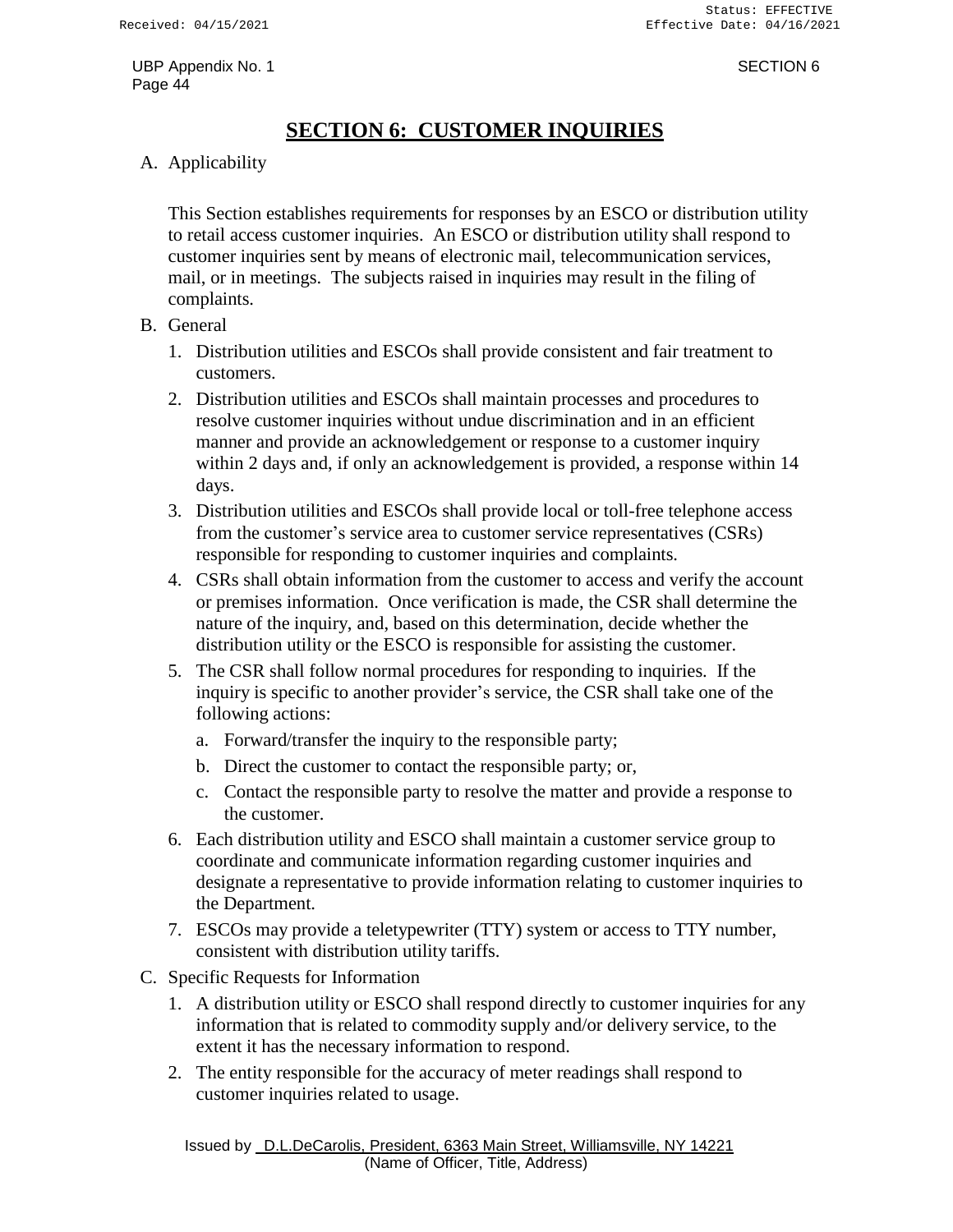# **SECTION 6: CUSTOMER INQUIRIES**

<span id="page-45-0"></span>A. Applicability

This Section establishes requirements for responses by an ESCO or distribution utility to retail access customer inquiries. An ESCO or distribution utility shall respond to customer inquiries sent by means of electronic mail, telecommunication services, mail, or in meetings. The subjects raised in inquiries may result in the filing of complaints.

- B. General
	- 1. Distribution utilities and ESCOs shall provide consistent and fair treatment to customers.
	- 2. Distribution utilities and ESCOs shall maintain processes and procedures to resolve customer inquiries without undue discrimination and in an efficient manner and provide an acknowledgement or response to a customer inquiry within 2 days and, if only an acknowledgement is provided, a response within 14 days.
	- 3. Distribution utilities and ESCOs shall provide local or toll-free telephone access from the customer's service area to customer service representatives (CSRs) responsible for responding to customer inquiries and complaints.
	- 4. CSRs shall obtain information from the customer to access and verify the account or premises information. Once verification is made, the CSR shall determine the nature of the inquiry, and, based on this determination, decide whether the distribution utility or the ESCO is responsible for assisting the customer.
	- 5. The CSR shall follow normal procedures for responding to inquiries. If the inquiry is specific to another provider's service, the CSR shall take one of the following actions:
		- a. Forward/transfer the inquiry to the responsible party;
		- b. Direct the customer to contact the responsible party; or,
		- c. Contact the responsible party to resolve the matter and provide a response to the customer.
	- 6. Each distribution utility and ESCO shall maintain a customer service group to coordinate and communicate information regarding customer inquiries and designate a representative to provide information relating to customer inquiries to the Department.
	- 7. ESCOs may provide a teletypewriter (TTY) system or access to TTY number, consistent with distribution utility tariffs.
- C. Specific Requests for Information
	- 1. A distribution utility or ESCO shall respond directly to customer inquiries for any information that is related to commodity supply and/or delivery service, to the extent it has the necessary information to respond.
	- 2. The entity responsible for the accuracy of meter readings shall respond to customer inquiries related to usage.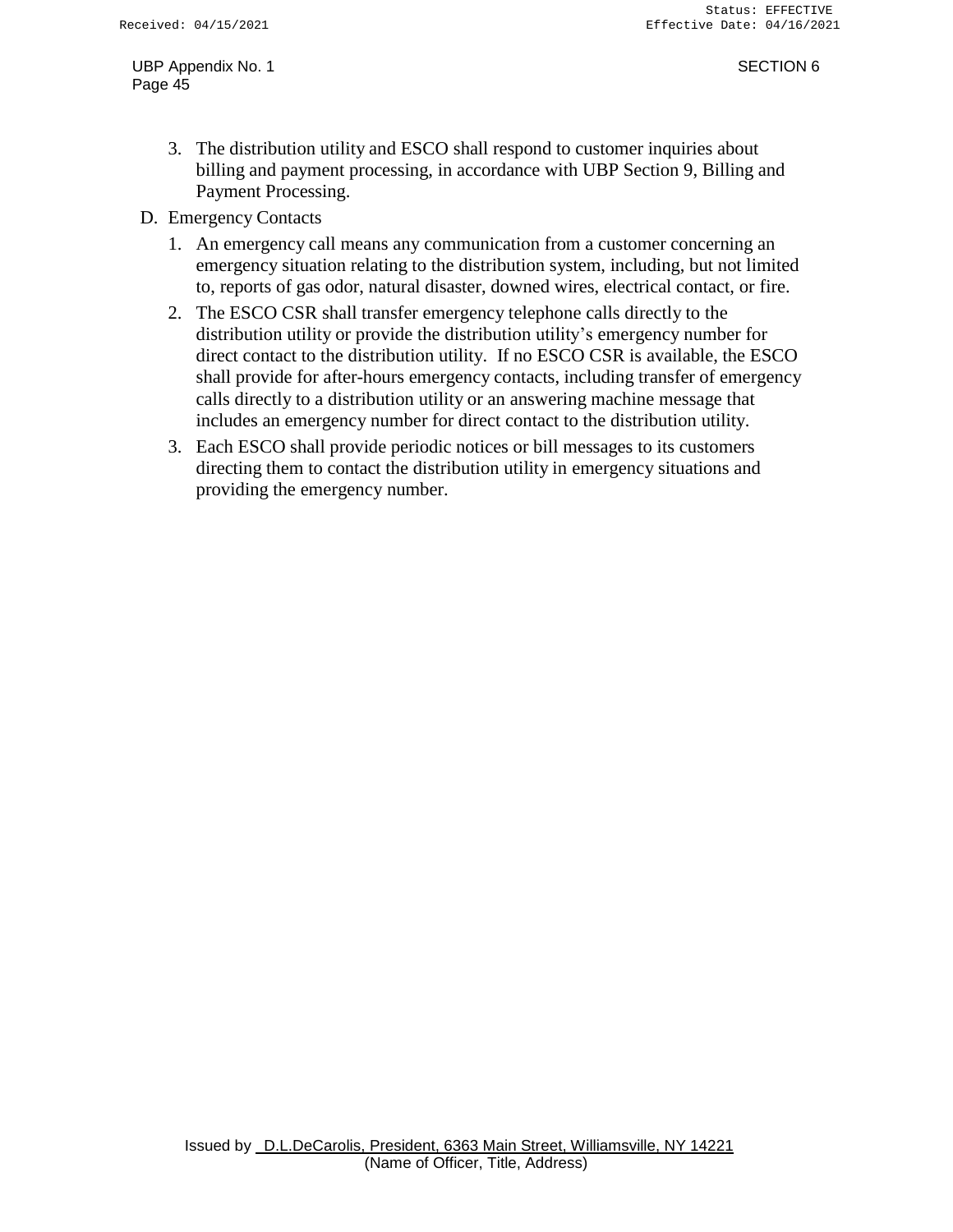- 3. The distribution utility and ESCO shall respond to customer inquiries about billing and payment processing, in accordance with UBP Section 9, Billing and Payment Processing.
- D. Emergency Contacts
	- 1. An emergency call means any communication from a customer concerning an emergency situation relating to the distribution system, including, but not limited to, reports of gas odor, natural disaster, downed wires, electrical contact, or fire.
	- 2. The ESCO CSR shall transfer emergency telephone calls directly to the distribution utility or provide the distribution utility's emergency number for direct contact to the distribution utility. If no ESCO CSR is available, the ESCO shall provide for after-hours emergency contacts, including transfer of emergency calls directly to a distribution utility or an answering machine message that includes an emergency number for direct contact to the distribution utility.
	- 3. Each ESCO shall provide periodic notices or bill messages to its customers directing them to contact the distribution utility in emergency situations and providing the emergency number.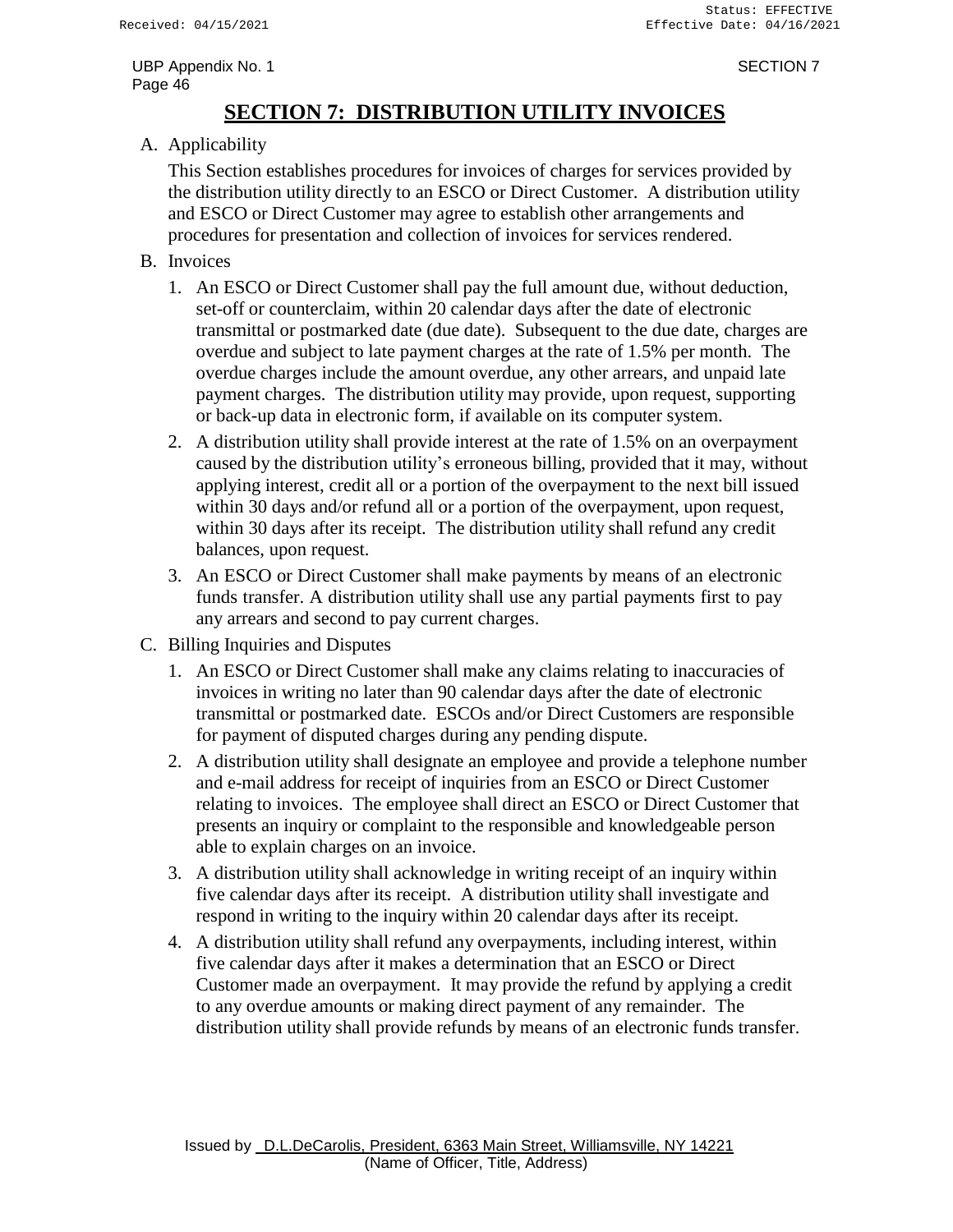# **SECTION 7: DISTRIBUTION UTILITY INVOICES**

<span id="page-47-0"></span>A. Applicability

This Section establishes procedures for invoices of charges for services provided by the distribution utility directly to an ESCO or Direct Customer. A distribution utility and ESCO or Direct Customer may agree to establish other arrangements and procedures for presentation and collection of invoices for services rendered.

- B. Invoices
	- 1. An ESCO or Direct Customer shall pay the full amount due, without deduction, set-off or counterclaim, within 20 calendar days after the date of electronic transmittal or postmarked date (due date). Subsequent to the due date, charges are overdue and subject to late payment charges at the rate of 1.5% per month. The overdue charges include the amount overdue, any other arrears, and unpaid late payment charges. The distribution utility may provide, upon request, supporting or back-up data in electronic form, if available on its computer system.
	- 2. A distribution utility shall provide interest at the rate of 1.5% on an overpayment caused by the distribution utility's erroneous billing, provided that it may, without applying interest, credit all or a portion of the overpayment to the next bill issued within 30 days and/or refund all or a portion of the overpayment, upon request, within 30 days after its receipt. The distribution utility shall refund any credit balances, upon request.
	- 3. An ESCO or Direct Customer shall make payments by means of an electronic funds transfer. A distribution utility shall use any partial payments first to pay any arrears and second to pay current charges.
- C. Billing Inquiries and Disputes
	- 1. An ESCO or Direct Customer shall make any claims relating to inaccuracies of invoices in writing no later than 90 calendar days after the date of electronic transmittal or postmarked date. ESCOs and/or Direct Customers are responsible for payment of disputed charges during any pending dispute.
	- 2. A distribution utility shall designate an employee and provide a telephone number and e-mail address for receipt of inquiries from an ESCO or Direct Customer relating to invoices. The employee shall direct an ESCO or Direct Customer that presents an inquiry or complaint to the responsible and knowledgeable person able to explain charges on an invoice.
	- 3. A distribution utility shall acknowledge in writing receipt of an inquiry within five calendar days after its receipt. A distribution utility shall investigate and respond in writing to the inquiry within 20 calendar days after its receipt.
	- 4. A distribution utility shall refund any overpayments, including interest, within five calendar days after it makes a determination that an ESCO or Direct Customer made an overpayment. It may provide the refund by applying a credit to any overdue amounts or making direct payment of any remainder. The distribution utility shall provide refunds by means of an electronic funds transfer.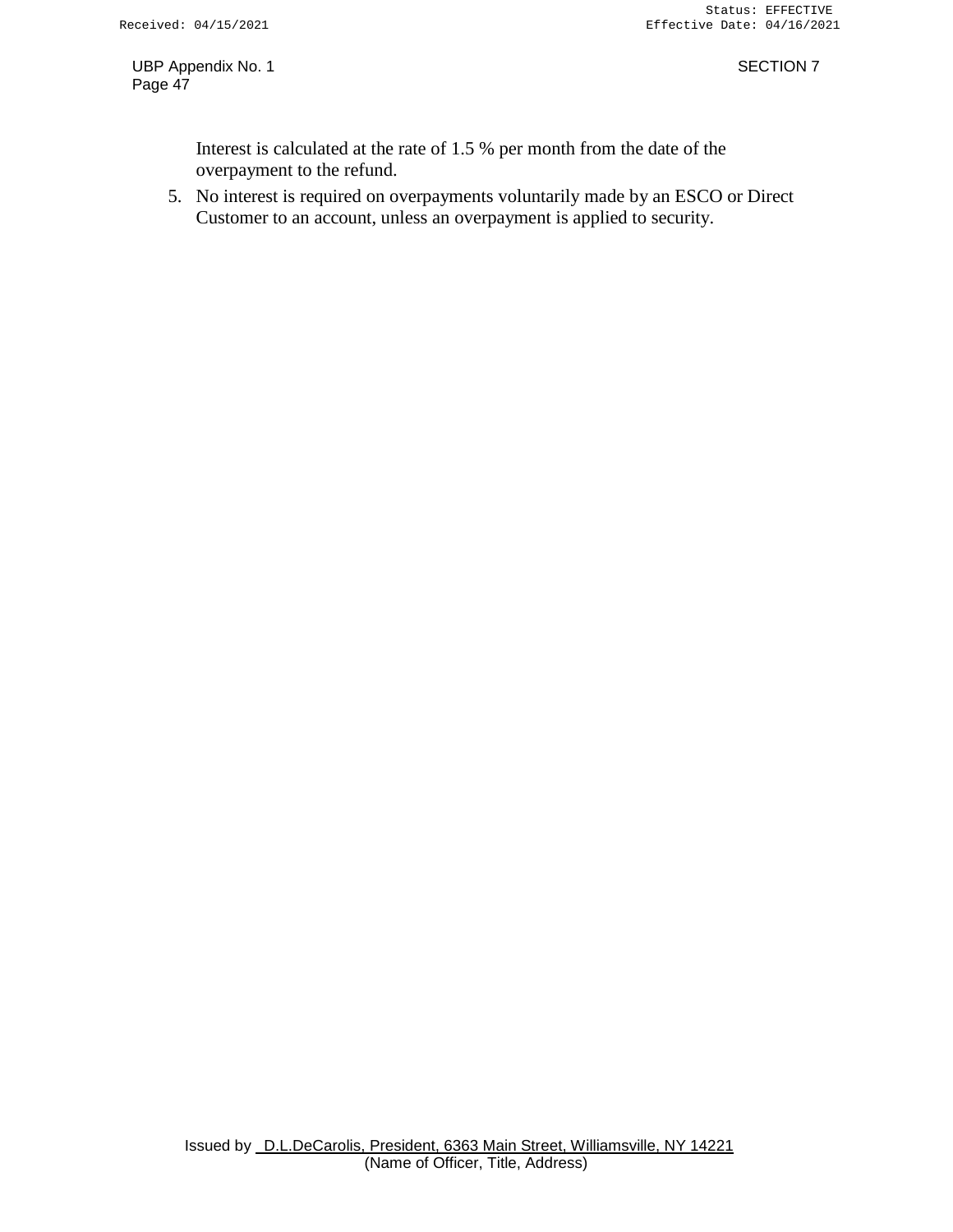Interest is calculated at the rate of 1.5 % per month from the date of the overpayment to the refund.

5. No interest is required on overpayments voluntarily made by an ESCO or Direct Customer to an account, unless an overpayment is applied to security.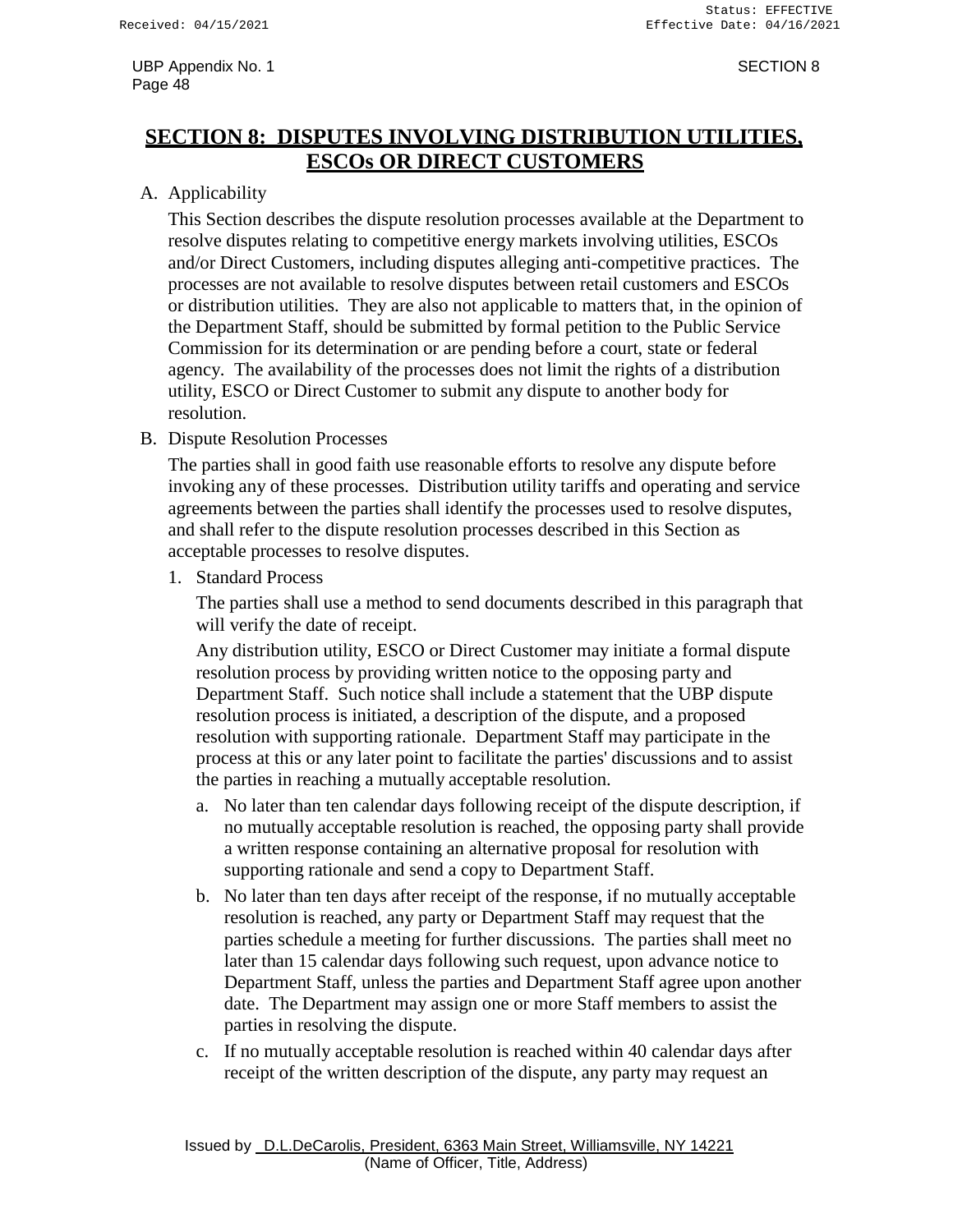# <span id="page-49-0"></span>**SECTION 8: DISPUTES INVOLVING DISTRIBUTION UTILITIES, ESCOs OR DIRECT CUSTOMERS**

### A. Applicability

This Section describes the dispute resolution processes available at the Department to resolve disputes relating to competitive energy markets involving utilities, ESCOs and/or Direct Customers, including disputes alleging anti-competitive practices. The processes are not available to resolve disputes between retail customers and ESCOs or distribution utilities. They are also not applicable to matters that, in the opinion of the Department Staff, should be submitted by formal petition to the Public Service Commission for its determination or are pending before a court, state or federal agency. The availability of the processes does not limit the rights of a distribution utility, ESCO or Direct Customer to submit any dispute to another body for resolution.

B. Dispute Resolution Processes

The parties shall in good faith use reasonable efforts to resolve any dispute before invoking any of these processes. Distribution utility tariffs and operating and service agreements between the parties shall identify the processes used to resolve disputes, and shall refer to the dispute resolution processes described in this Section as acceptable processes to resolve disputes.

1. Standard Process

The parties shall use a method to send documents described in this paragraph that will verify the date of receipt.

Any distribution utility, ESCO or Direct Customer may initiate a formal dispute resolution process by providing written notice to the opposing party and Department Staff. Such notice shall include a statement that the UBP dispute resolution process is initiated, a description of the dispute, and a proposed resolution with supporting rationale. Department Staff may participate in the process at this or any later point to facilitate the parties' discussions and to assist the parties in reaching a mutually acceptable resolution.

- a. No later than ten calendar days following receipt of the dispute description, if no mutually acceptable resolution is reached, the opposing party shall provide a written response containing an alternative proposal for resolution with supporting rationale and send a copy to Department Staff.
- b. No later than ten days after receipt of the response, if no mutually acceptable resolution is reached, any party or Department Staff may request that the parties schedule a meeting for further discussions. The parties shall meet no later than 15 calendar days following such request, upon advance notice to Department Staff, unless the parties and Department Staff agree upon another date. The Department may assign one or more Staff members to assist the parties in resolving the dispute.
- c. If no mutually acceptable resolution is reached within 40 calendar days after receipt of the written description of the dispute, any party may request an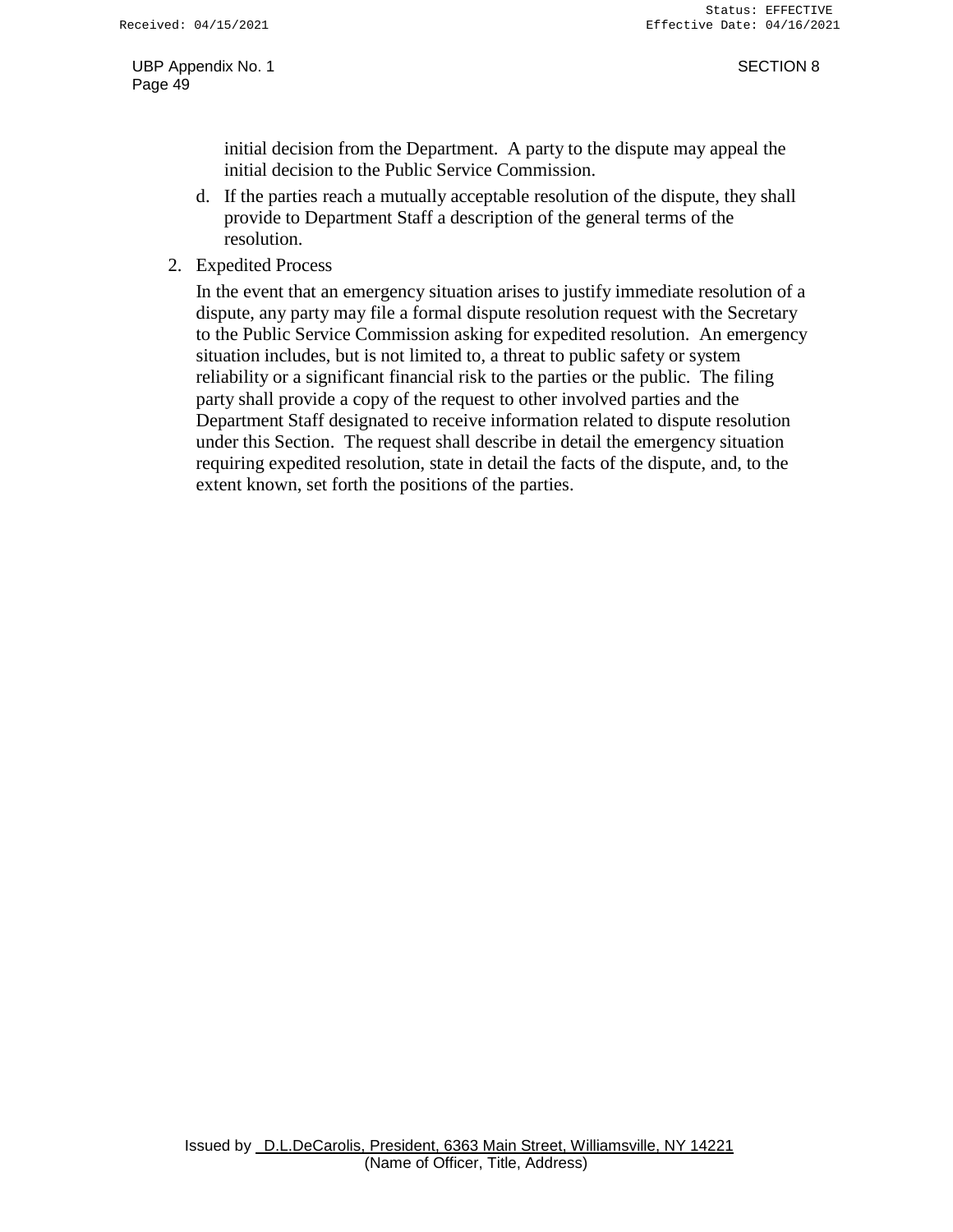initial decision from the Department. A party to the dispute may appeal the initial decision to the Public Service Commission.

- d. If the parties reach a mutually acceptable resolution of the dispute, they shall provide to Department Staff a description of the general terms of the resolution.
- 2. Expedited Process

In the event that an emergency situation arises to justify immediate resolution of a dispute, any party may file a formal dispute resolution request with the Secretary to the Public Service Commission asking for expedited resolution. An emergency situation includes, but is not limited to, a threat to public safety or system reliability or a significant financial risk to the parties or the public. The filing party shall provide a copy of the request to other involved parties and the Department Staff designated to receive information related to dispute resolution under this Section. The request shall describe in detail the emergency situation requiring expedited resolution, state in detail the facts of the dispute, and, to the extent known, set forth the positions of the parties.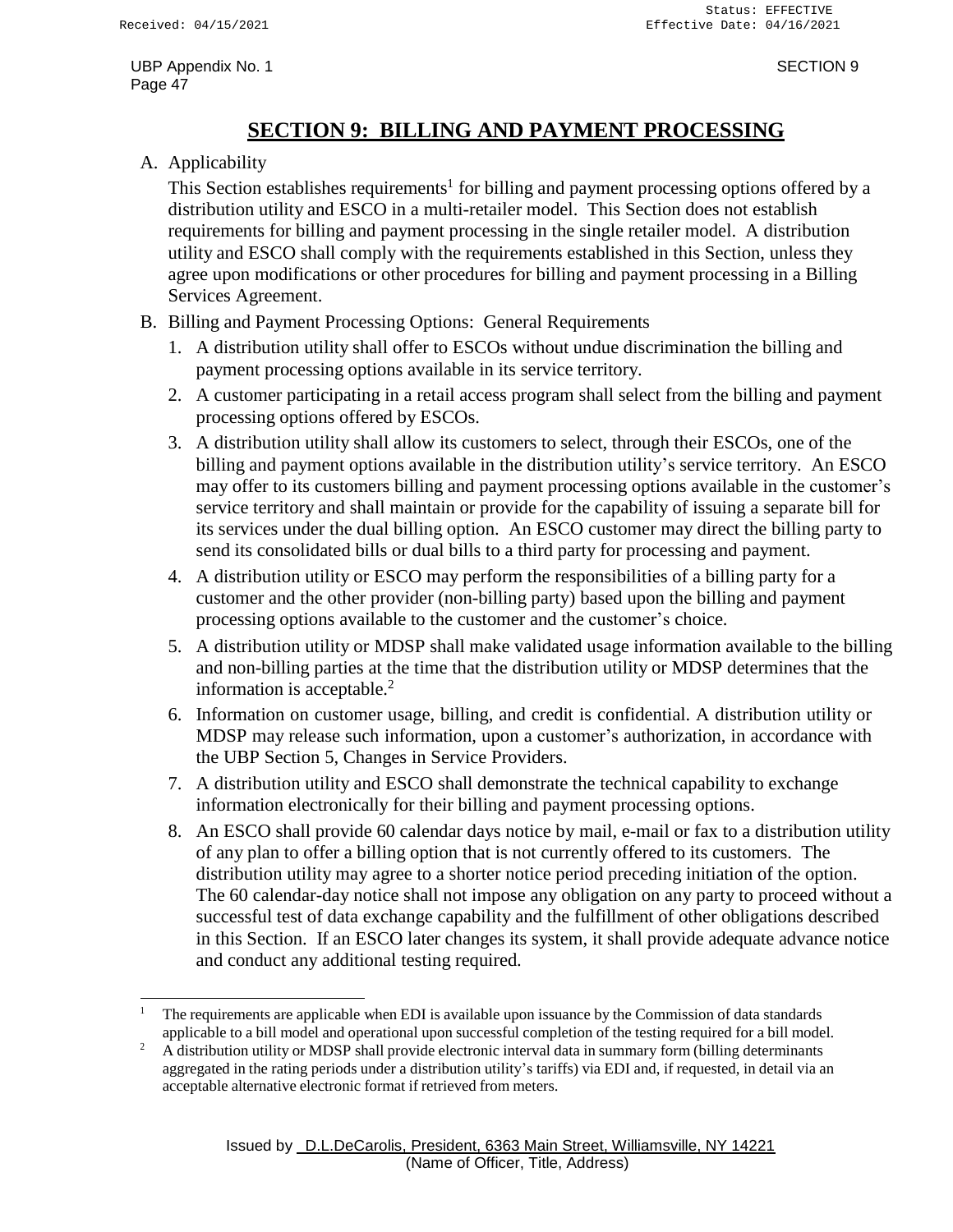# **SECTION 9: BILLING AND PAYMENT PROCESSING**

### <span id="page-51-0"></span>A. Applicability

This Section establishes requirements<sup>1</sup> for billing and payment processing options offered by a distribution utility and ESCO in a multi-retailer model. This Section does not establish requirements for billing and payment processing in the single retailer model. A distribution utility and ESCO shall comply with the requirements established in this Section, unless they agree upon modifications or other procedures for billing and payment processing in a Billing Services Agreement.

- B. Billing and Payment Processing Options: General Requirements
	- 1. A distribution utility shall offer to ESCOs without undue discrimination the billing and payment processing options available in its service territory.
	- 2. A customer participating in a retail access program shall select from the billing and payment processing options offered by ESCOs.
	- 3. A distribution utility shall allow its customers to select, through their ESCOs, one of the billing and payment options available in the distribution utility's service territory. An ESCO may offer to its customers billing and payment processing options available in the customer's service territory and shall maintain or provide for the capability of issuing a separate bill for its services under the dual billing option. An ESCO customer may direct the billing party to send its consolidated bills or dual bills to a third party for processing and payment.
	- 4. A distribution utility or ESCO may perform the responsibilities of a billing party for a customer and the other provider (non-billing party) based upon the billing and payment processing options available to the customer and the customer's choice.
	- 5. A distribution utility or MDSP shall make validated usage information available to the billing and non-billing parties at the time that the distribution utility or MDSP determines that the information is acceptable. $<sup>2</sup>$ </sup>
	- 6. Information on customer usage, billing, and credit is confidential. A distribution utility or MDSP may release such information, upon a customer's authorization, in accordance with the UBP Section 5, Changes in Service Providers.
	- 7. A distribution utility and ESCO shall demonstrate the technical capability to exchange information electronically for their billing and payment processing options.
	- 8. An ESCO shall provide 60 calendar days notice by mail, e-mail or fax to a distribution utility of any plan to offer a billing option that is not currently offered to its customers. The distribution utility may agree to a shorter notice period preceding initiation of the option. The 60 calendar-day notice shall not impose any obligation on any party to proceed without a successful test of data exchange capability and the fulfillment of other obligations described in this Section. If an ESCO later changes its system, it shall provide adequate advance notice and conduct any additional testing required.

<sup>1</sup> The requirements are applicable when EDI is available upon issuance by the Commission of data standards applicable to a bill model and operational upon successful completion of the testing required for a bill model.

<sup>&</sup>lt;sup>2</sup> A distribution utility or MDSP shall provide electronic interval data in summary form (billing determinants aggregated in the rating periods under a distribution utility's tariffs) via EDI and, if requested, in detail via an acceptable alternative electronic format if retrieved from meters.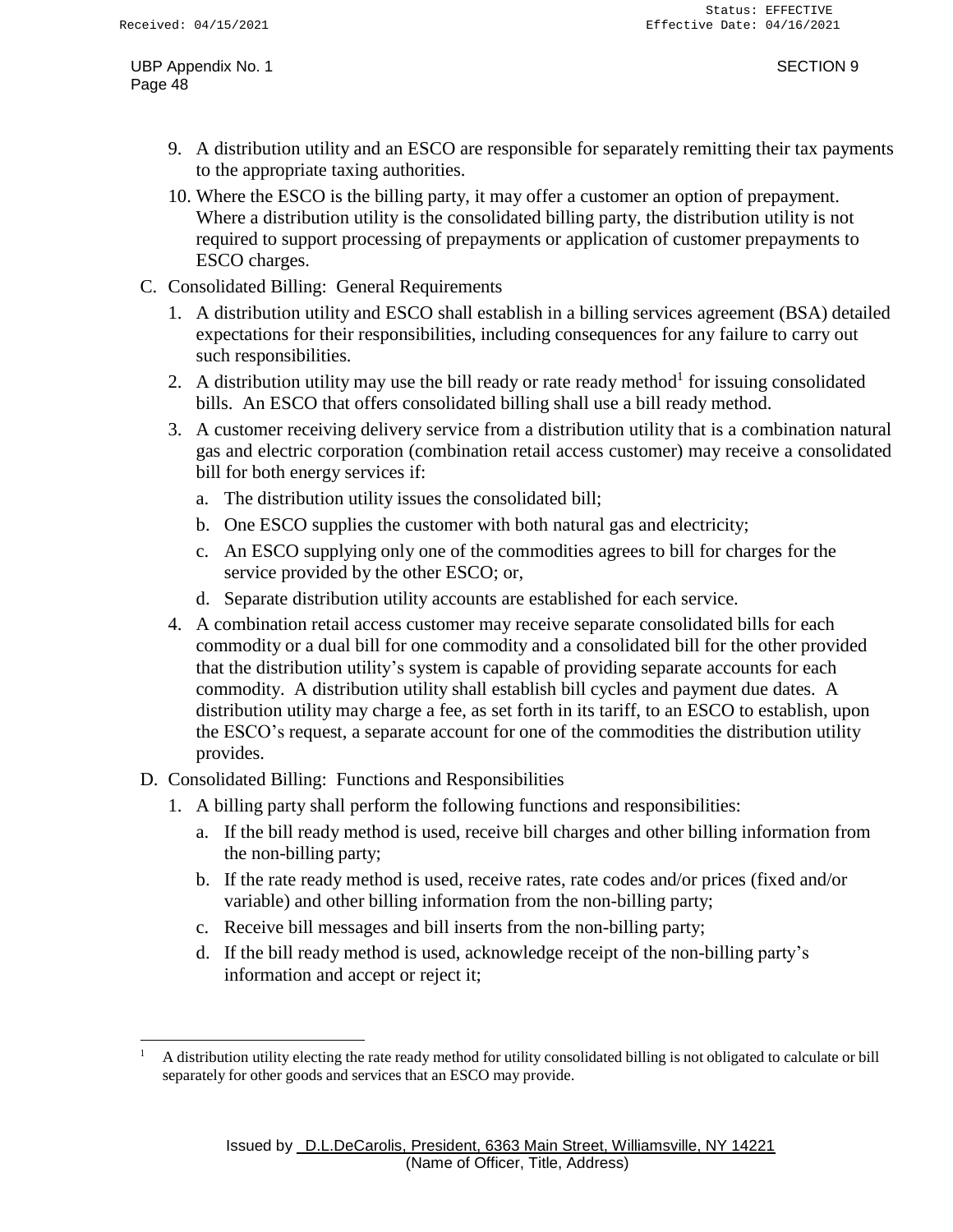- 9. A distribution utility and an ESCO are responsible for separately remitting their tax payments to the appropriate taxing authorities.
- 10. Where the ESCO is the billing party, it may offer a customer an option of prepayment. Where a distribution utility is the consolidated billing party, the distribution utility is not required to support processing of prepayments or application of customer prepayments to ESCO charges.
- C. Consolidated Billing: General Requirements
	- 1. A distribution utility and ESCO shall establish in a billing services agreement (BSA) detailed expectations for their responsibilities, including consequences for any failure to carry out such responsibilities.
	- 2. A distribution utility may use the bill ready or rate ready method<sup>1</sup> for issuing consolidated bills. An ESCO that offers consolidated billing shall use a bill ready method.
	- 3. A customer receiving delivery service from a distribution utility that is a combination natural gas and electric corporation (combination retail access customer) may receive a consolidated bill for both energy services if:
		- a. The distribution utility issues the consolidated bill;
		- b. One ESCO supplies the customer with both natural gas and electricity;
		- c. An ESCO supplying only one of the commodities agrees to bill for charges for the service provided by the other ESCO; or,
		- d. Separate distribution utility accounts are established for each service.
	- 4. A combination retail access customer may receive separate consolidated bills for each commodity or a dual bill for one commodity and a consolidated bill for the other provided that the distribution utility's system is capable of providing separate accounts for each commodity. A distribution utility shall establish bill cycles and payment due dates. A distribution utility may charge a fee, as set forth in its tariff, to an ESCO to establish, upon the ESCO's request, a separate account for one of the commodities the distribution utility provides.
- D. Consolidated Billing: Functions and Responsibilities
	- 1. A billing party shall perform the following functions and responsibilities:
		- a. If the bill ready method is used, receive bill charges and other billing information from the non-billing party;
		- b. If the rate ready method is used, receive rates, rate codes and/or prices (fixed and/or variable) and other billing information from the non-billing party;
		- c. Receive bill messages and bill inserts from the non-billing party;
		- d. If the bill ready method is used, acknowledge receipt of the non-billing party's information and accept or reject it;

 $1$  A distribution utility electing the rate ready method for utility consolidated billing is not obligated to calculate or bill separately for other goods and services that an ESCO may provide.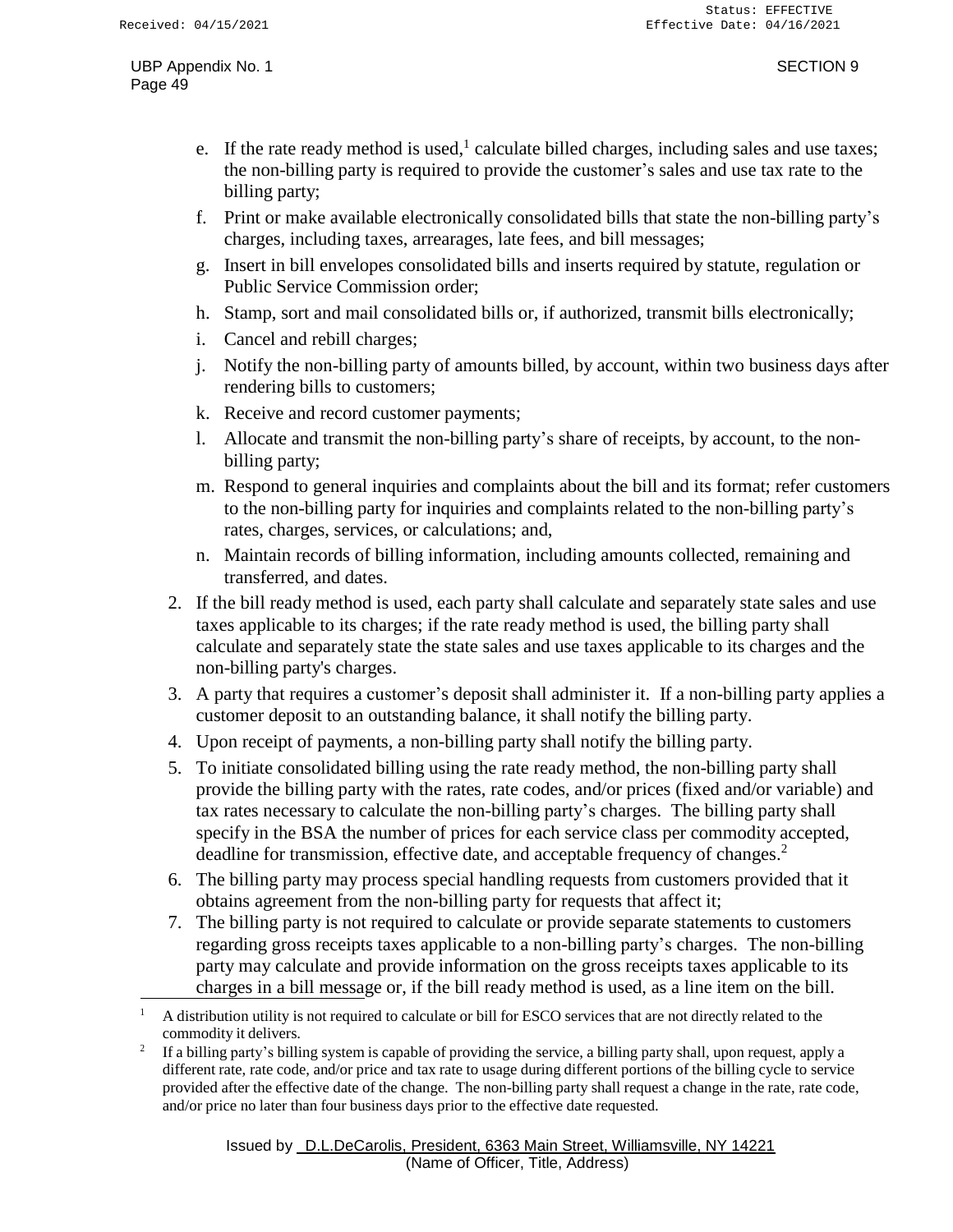- e. If the rate ready method is used,<sup>1</sup> calculate billed charges, including sales and use taxes; the non-billing party is required to provide the customer's sales and use tax rate to the billing party;
- f. Print or make available electronically consolidated bills that state the non-billing party's charges, including taxes, arrearages, late fees, and bill messages;
- g. Insert in bill envelopes consolidated bills and inserts required by statute, regulation or Public Service Commission order;
- h. Stamp, sort and mail consolidated bills or, if authorized, transmit bills electronically;
- i. Cancel and rebill charges;
- j. Notify the non-billing party of amounts billed, by account, within two business days after rendering bills to customers;
- k. Receive and record customer payments;
- l. Allocate and transmit the non-billing party's share of receipts, by account, to the nonbilling party;
- m. Respond to general inquiries and complaints about the bill and its format; refer customers to the non-billing party for inquiries and complaints related to the non-billing party's rates, charges, services, or calculations; and,
- n. Maintain records of billing information, including amounts collected, remaining and transferred, and dates.
- 2. If the bill ready method is used, each party shall calculate and separately state sales and use taxes applicable to its charges; if the rate ready method is used, the billing party shall calculate and separately state the state sales and use taxes applicable to its charges and the non-billing party's charges.
- 3. A party that requires a customer's deposit shall administer it. If a non-billing party applies a customer deposit to an outstanding balance, it shall notify the billing party.
- 4. Upon receipt of payments, a non-billing party shall notify the billing party.
- 5. To initiate consolidated billing using the rate ready method, the non-billing party shall provide the billing party with the rates, rate codes, and/or prices (fixed and/or variable) and tax rates necessary to calculate the non-billing party's charges. The billing party shall specify in the BSA the number of prices for each service class per commodity accepted, deadline for transmission, effective date, and acceptable frequency of changes.<sup>2</sup>
- 6. The billing party may process special handling requests from customers provided that it obtains agreement from the non-billing party for requests that affect it;
- 7. The billing party is not required to calculate or provide separate statements to customers regarding gross receipts taxes applicable to a non-billing party's charges. The non-billing party may calculate and provide information on the gross receipts taxes applicable to its charges in a bill message or, if the bill ready method is used, as a line item on the bill.

<sup>1</sup> A distribution utility is not required to calculate or bill for ESCO services that are not directly related to the commodity it delivers.

<sup>2</sup> If a billing party's billing system is capable of providing the service, a billing party shall, upon request, apply a different rate, rate code, and/or price and tax rate to usage during different portions of the billing cycle to service provided after the effective date of the change. The non-billing party shall request a change in the rate, rate code, and/or price no later than four business days prior to the effective date requested.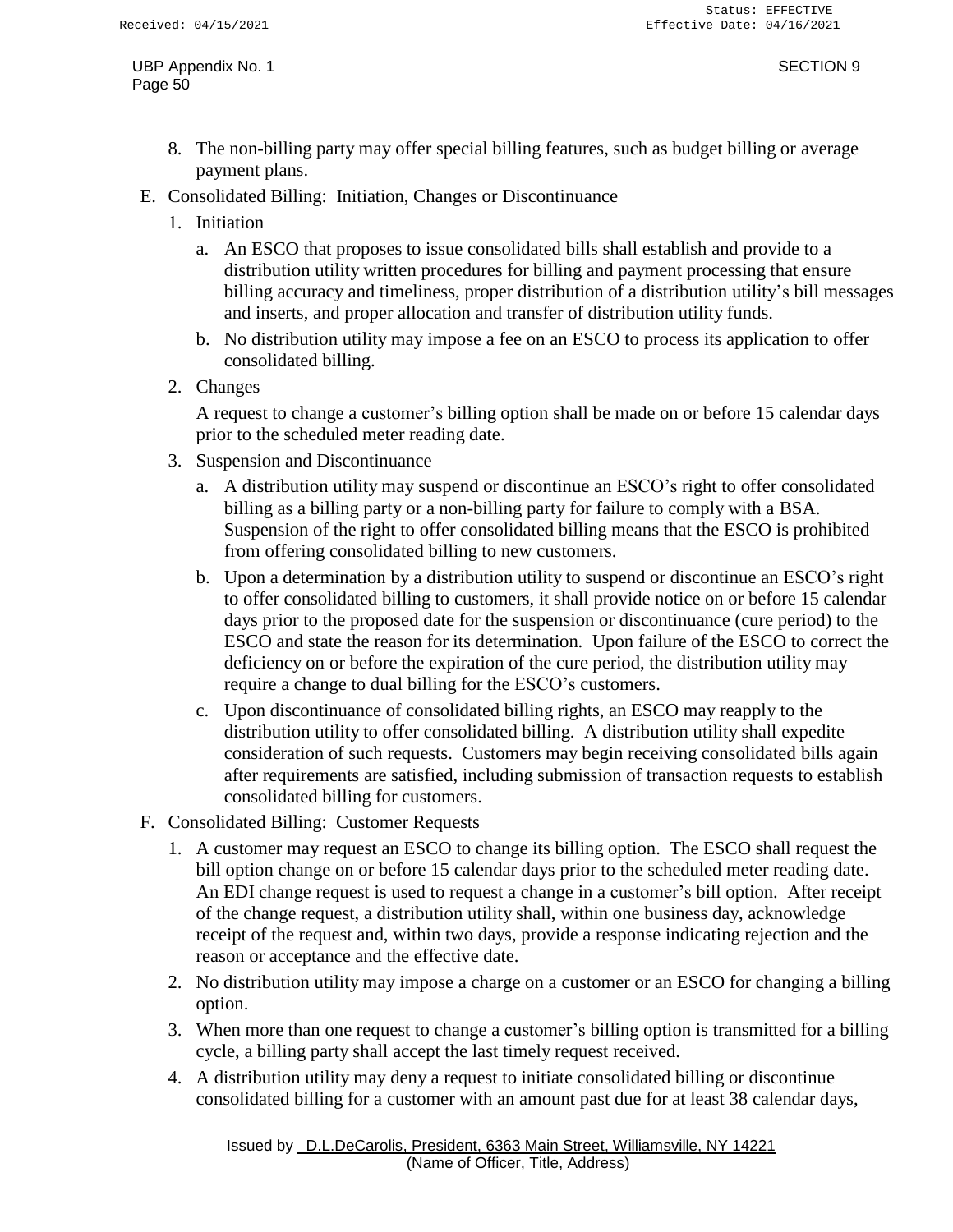- 8. The non-billing party may offer special billing features, such as budget billing or average payment plans.
- E. Consolidated Billing: Initiation, Changes or Discontinuance
	- 1. Initiation
		- a. An ESCO that proposes to issue consolidated bills shall establish and provide to a distribution utility written procedures for billing and payment processing that ensure billing accuracy and timeliness, proper distribution of a distribution utility's bill messages and inserts, and proper allocation and transfer of distribution utility funds.
		- b. No distribution utility may impose a fee on an ESCO to process its application to offer consolidated billing.
	- 2. Changes

A request to change a customer's billing option shall be made on or before 15 calendar days prior to the scheduled meter reading date.

- 3. Suspension and Discontinuance
	- a. A distribution utility may suspend or discontinue an ESCO's right to offer consolidated billing as a billing party or a non-billing party for failure to comply with a BSA. Suspension of the right to offer consolidated billing means that the ESCO is prohibited from offering consolidated billing to new customers.
	- b. Upon a determination by a distribution utility to suspend or discontinue an ESCO's right to offer consolidated billing to customers, it shall provide notice on or before 15 calendar days prior to the proposed date for the suspension or discontinuance (cure period) to the ESCO and state the reason for its determination. Upon failure of the ESCO to correct the deficiency on or before the expiration of the cure period, the distribution utility may require a change to dual billing for the ESCO's customers.
	- c. Upon discontinuance of consolidated billing rights, an ESCO may reapply to the distribution utility to offer consolidated billing. A distribution utility shall expedite consideration of such requests. Customers may begin receiving consolidated bills again after requirements are satisfied, including submission of transaction requests to establish consolidated billing for customers.
- F. Consolidated Billing: Customer Requests
	- 1. A customer may request an ESCO to change its billing option. The ESCO shall request the bill option change on or before 15 calendar days prior to the scheduled meter reading date. An EDI change request is used to request a change in a customer's bill option. After receipt of the change request, a distribution utility shall, within one business day, acknowledge receipt of the request and, within two days, provide a response indicating rejection and the reason or acceptance and the effective date.
	- 2. No distribution utility may impose a charge on a customer or an ESCO for changing a billing option.
	- 3. When more than one request to change a customer's billing option is transmitted for a billing cycle, a billing party shall accept the last timely request received.
	- 4. A distribution utility may deny a request to initiate consolidated billing or discontinue consolidated billing for a customer with an amount past due for at least 38 calendar days,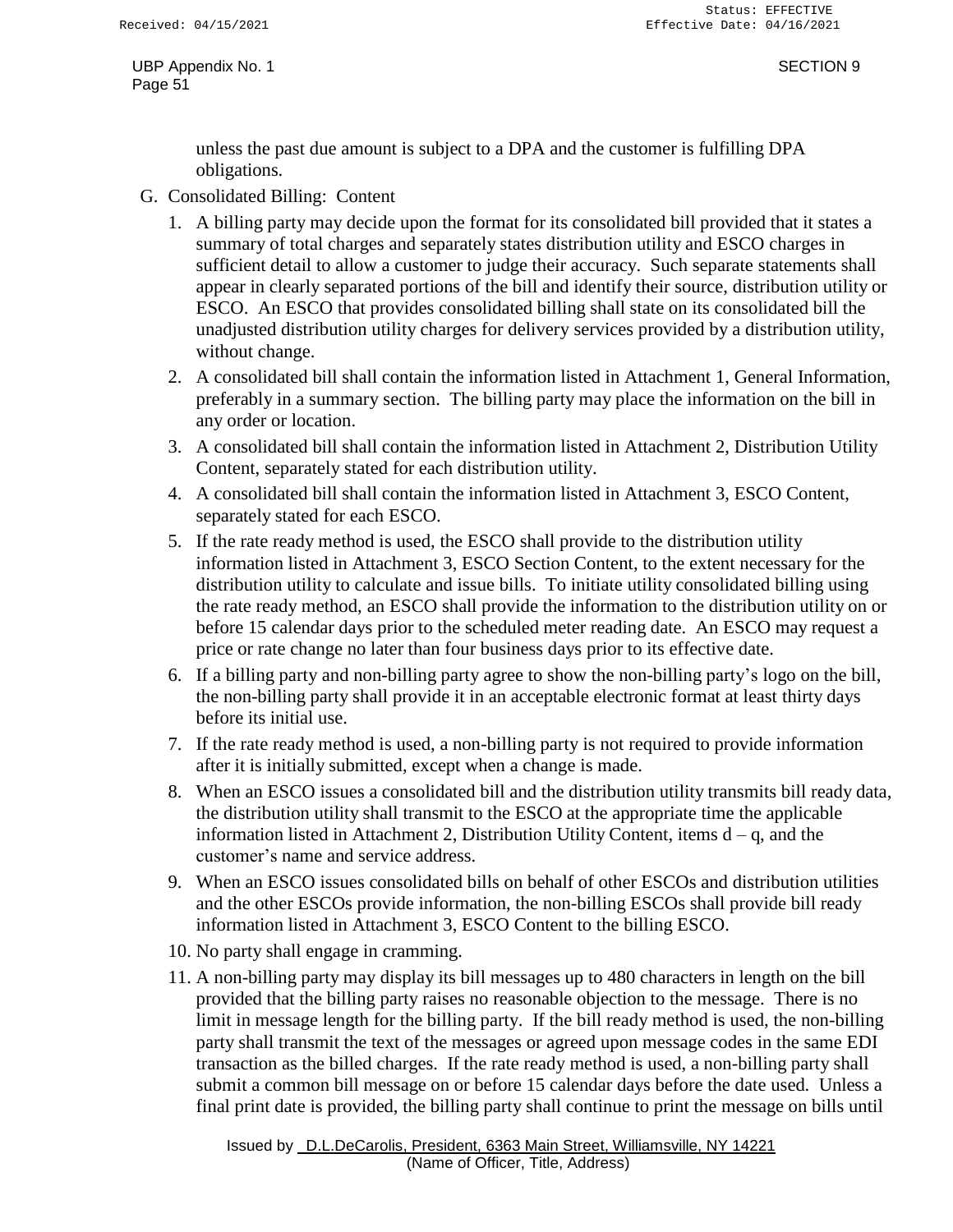unless the past due amount is subject to a DPA and the customer is fulfilling DPA obligations.

- G. Consolidated Billing: Content
	- 1. A billing party may decide upon the format for its consolidated bill provided that it states a summary of total charges and separately states distribution utility and ESCO charges in sufficient detail to allow a customer to judge their accuracy. Such separate statements shall appear in clearly separated portions of the bill and identify their source, distribution utility or ESCO. An ESCO that provides consolidated billing shall state on its consolidated bill the unadjusted distribution utility charges for delivery services provided by a distribution utility, without change.
	- 2. A consolidated bill shall contain the information listed in Attachment 1, General Information, preferably in a summary section. The billing party may place the information on the bill in any order or location.
	- 3. A consolidated bill shall contain the information listed in Attachment 2, Distribution Utility Content, separately stated for each distribution utility.
	- 4. A consolidated bill shall contain the information listed in Attachment 3, ESCO Content, separately stated for each ESCO.
	- 5. If the rate ready method is used, the ESCO shall provide to the distribution utility information listed in Attachment 3, ESCO Section Content, to the extent necessary for the distribution utility to calculate and issue bills. To initiate utility consolidated billing using the rate ready method, an ESCO shall provide the information to the distribution utility on or before 15 calendar days prior to the scheduled meter reading date. An ESCO may request a price or rate change no later than four business days prior to its effective date.
	- 6. If a billing party and non-billing party agree to show the non-billing party's logo on the bill, the non-billing party shall provide it in an acceptable electronic format at least thirty days before its initial use.
	- 7. If the rate ready method is used, a non-billing party is not required to provide information after it is initially submitted, except when a change is made.
	- 8. When an ESCO issues a consolidated bill and the distribution utility transmits bill ready data, the distribution utility shall transmit to the ESCO at the appropriate time the applicable information listed in Attachment 2, Distribution Utility Content, items  $d - q$ , and the customer's name and service address.
	- 9. When an ESCO issues consolidated bills on behalf of other ESCOs and distribution utilities and the other ESCOs provide information, the non-billing ESCOs shall provide bill ready information listed in Attachment 3, ESCO Content to the billing ESCO.
	- 10. No party shall engage in cramming.
	- 11. A non-billing party may display its bill messages up to 480 characters in length on the bill provided that the billing party raises no reasonable objection to the message. There is no limit in message length for the billing party. If the bill ready method is used, the non-billing party shall transmit the text of the messages or agreed upon message codes in the same EDI transaction as the billed charges. If the rate ready method is used, a non-billing party shall submit a common bill message on or before 15 calendar days before the date used. Unless a final print date is provided, the billing party shall continue to print the message on bills until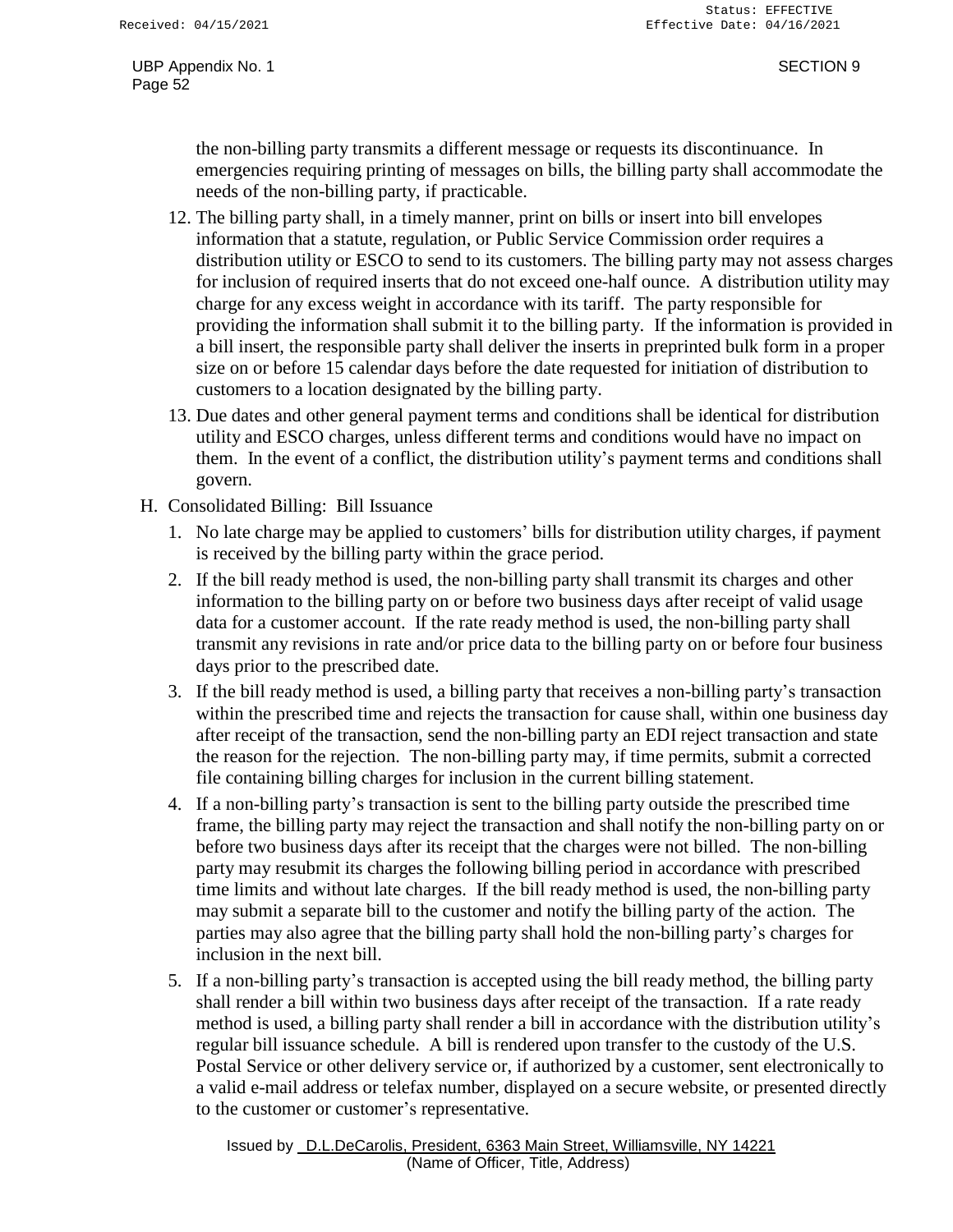the non-billing party transmits a different message or requests its discontinuance. In emergencies requiring printing of messages on bills, the billing party shall accommodate the needs of the non-billing party, if practicable.

- 12. The billing party shall, in a timely manner, print on bills or insert into bill envelopes information that a statute, regulation, or Public Service Commission order requires a distribution utility or ESCO to send to its customers. The billing party may not assess charges for inclusion of required inserts that do not exceed one-half ounce. A distribution utility may charge for any excess weight in accordance with its tariff. The party responsible for providing the information shall submit it to the billing party. If the information is provided in a bill insert, the responsible party shall deliver the inserts in preprinted bulk form in a proper size on or before 15 calendar days before the date requested for initiation of distribution to customers to a location designated by the billing party.
- 13. Due dates and other general payment terms and conditions shall be identical for distribution utility and ESCO charges, unless different terms and conditions would have no impact on them. In the event of a conflict, the distribution utility's payment terms and conditions shall govern.
- H. Consolidated Billing: Bill Issuance
	- 1. No late charge may be applied to customers' bills for distribution utility charges, if payment is received by the billing party within the grace period.
	- 2. If the bill ready method is used, the non-billing party shall transmit its charges and other information to the billing party on or before two business days after receipt of valid usage data for a customer account. If the rate ready method is used, the non-billing party shall transmit any revisions in rate and/or price data to the billing party on or before four business days prior to the prescribed date.
	- 3. If the bill ready method is used, a billing party that receives a non-billing party's transaction within the prescribed time and rejects the transaction for cause shall, within one business day after receipt of the transaction, send the non-billing party an EDI reject transaction and state the reason for the rejection. The non-billing party may, if time permits, submit a corrected file containing billing charges for inclusion in the current billing statement.
	- 4. If a non-billing party's transaction is sent to the billing party outside the prescribed time frame, the billing party may reject the transaction and shall notify the non-billing party on or before two business days after its receipt that the charges were not billed. The non-billing party may resubmit its charges the following billing period in accordance with prescribed time limits and without late charges. If the bill ready method is used, the non-billing party may submit a separate bill to the customer and notify the billing party of the action. The parties may also agree that the billing party shall hold the non-billing party's charges for inclusion in the next bill.
	- 5. If a non-billing party's transaction is accepted using the bill ready method, the billing party shall render a bill within two business days after receipt of the transaction. If a rate ready method is used, a billing party shall render a bill in accordance with the distribution utility's regular bill issuance schedule. A bill is rendered upon transfer to the custody of the U.S. Postal Service or other delivery service or, if authorized by a customer, sent electronically to a valid e-mail address or telefax number, displayed on a secure website, or presented directly to the customer or customer's representative.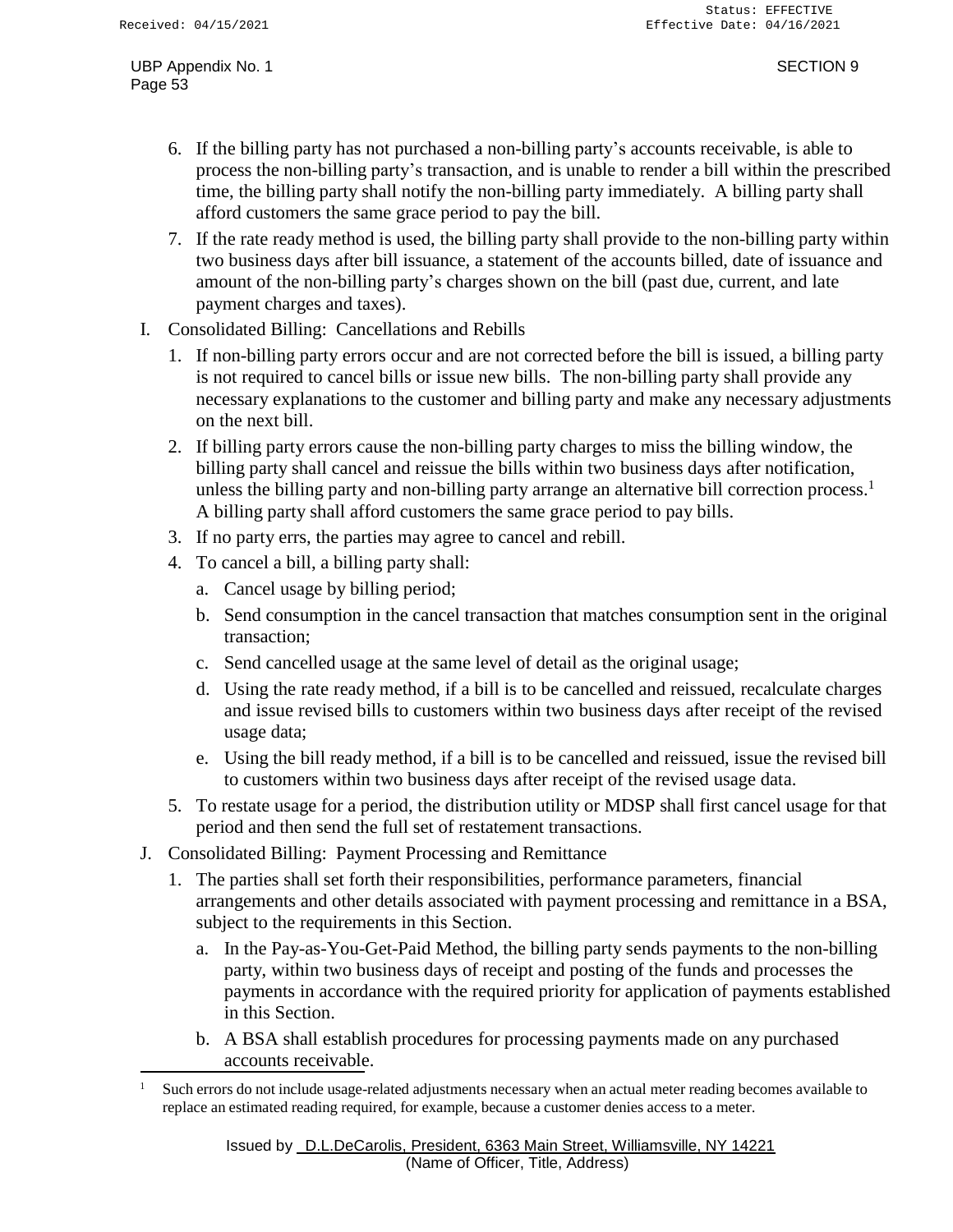- 6. If the billing party has not purchased a non-billing party's accounts receivable, is able to process the non-billing party's transaction, and is unable to render a bill within the prescribed time, the billing party shall notify the non-billing party immediately. A billing party shall afford customers the same grace period to pay the bill.
- 7. If the rate ready method is used, the billing party shall provide to the non-billing party within two business days after bill issuance, a statement of the accounts billed, date of issuance and amount of the non-billing party's charges shown on the bill (past due, current, and late payment charges and taxes).
- I. Consolidated Billing: Cancellations and Rebills
	- 1. If non-billing party errors occur and are not corrected before the bill is issued, a billing party is not required to cancel bills or issue new bills. The non-billing party shall provide any necessary explanations to the customer and billing party and make any necessary adjustments on the next bill.
	- 2. If billing party errors cause the non-billing party charges to miss the billing window, the billing party shall cancel and reissue the bills within two business days after notification, unless the billing party and non-billing party arrange an alternative bill correction process.<sup>1</sup> A billing party shall afford customers the same grace period to pay bills.
	- 3. If no party errs, the parties may agree to cancel and rebill.
	- 4. To cancel a bill, a billing party shall:
		- a. Cancel usage by billing period;
		- b. Send consumption in the cancel transaction that matches consumption sent in the original transaction;
		- c. Send cancelled usage at the same level of detail as the original usage;
		- d. Using the rate ready method, if a bill is to be cancelled and reissued, recalculate charges and issue revised bills to customers within two business days after receipt of the revised usage data;
		- e. Using the bill ready method, if a bill is to be cancelled and reissued, issue the revised bill to customers within two business days after receipt of the revised usage data.
	- 5. To restate usage for a period, the distribution utility or MDSP shall first cancel usage for that period and then send the full set of restatement transactions.
- J. Consolidated Billing: Payment Processing and Remittance
	- 1. The parties shall set forth their responsibilities, performance parameters, financial arrangements and other details associated with payment processing and remittance in a BSA, subject to the requirements in this Section.
		- a. In the Pay-as-You-Get-Paid Method, the billing party sends payments to the non-billing party, within two business days of receipt and posting of the funds and processes the payments in accordance with the required priority for application of payments established in this Section.
		- b. A BSA shall establish procedures for processing payments made on any purchased accounts receivable.

<sup>&</sup>lt;sup>1</sup> Such errors do not include usage-related adjustments necessary when an actual meter reading becomes available to replace an estimated reading required, for example, because a customer denies access to a meter.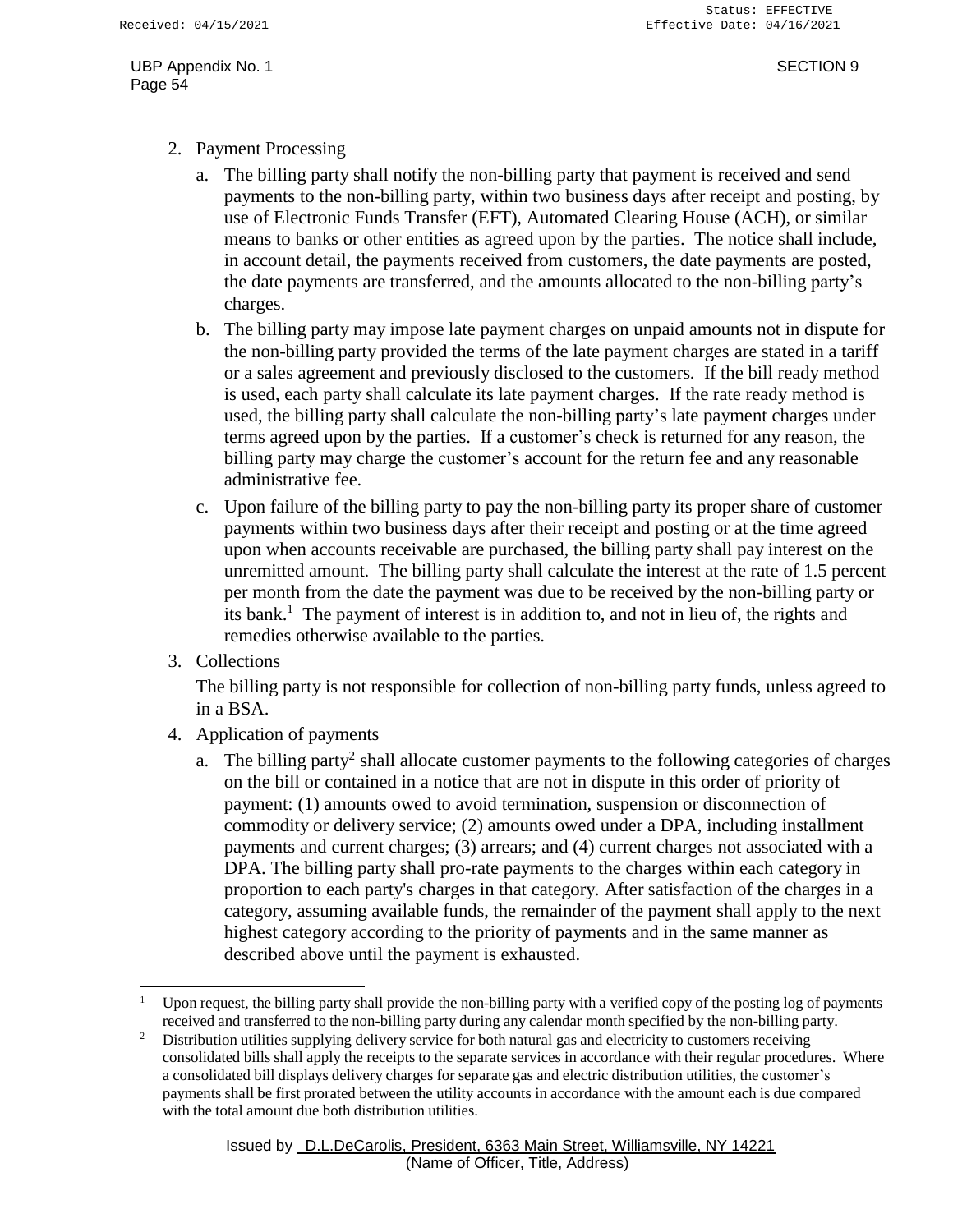- 2. Payment Processing
	- a. The billing party shall notify the non-billing party that payment is received and send payments to the non-billing party, within two business days after receipt and posting, by use of Electronic Funds Transfer (EFT), Automated Clearing House (ACH), or similar means to banks or other entities as agreed upon by the parties. The notice shall include, in account detail, the payments received from customers, the date payments are posted, the date payments are transferred, and the amounts allocated to the non-billing party's charges.
	- b. The billing party may impose late payment charges on unpaid amounts not in dispute for the non-billing party provided the terms of the late payment charges are stated in a tariff or a sales agreement and previously disclosed to the customers. If the bill ready method is used, each party shall calculate its late payment charges. If the rate ready method is used, the billing party shall calculate the non-billing party's late payment charges under terms agreed upon by the parties. If a customer's check is returned for any reason, the billing party may charge the customer's account for the return fee and any reasonable administrative fee.
	- c. Upon failure of the billing party to pay the non-billing party its proper share of customer payments within two business days after their receipt and posting or at the time agreed upon when accounts receivable are purchased, the billing party shall pay interest on the unremitted amount. The billing party shall calculate the interest at the rate of 1.5 percent per month from the date the payment was due to be received by the non-billing party or its bank.<sup>1</sup> The payment of interest is in addition to, and not in lieu of, the rights and remedies otherwise available to the parties.
- 3. Collections

The billing party is not responsible for collection of non-billing party funds, unless agreed to in a BSA.

- 4. Application of payments
	- a. The billing party<sup>2</sup> shall allocate customer payments to the following categories of charges on the bill or contained in a notice that are not in dispute in this order of priority of payment: (1) amounts owed to avoid termination, suspension or disconnection of commodity or delivery service; (2) amounts owed under a DPA, including installment payments and current charges; (3) arrears; and (4) current charges not associated with a DPA. The billing party shall pro-rate payments to the charges within each category in proportion to each party's charges in that category. After satisfaction of the charges in a category, assuming available funds, the remainder of the payment shall apply to the next highest category according to the priority of payments and in the same manner as described above until the payment is exhausted.

<sup>1</sup> Upon request, the billing party shall provide the non-billing party with a verified copy of the posting log of payments received and transferred to the non-billing party during any calendar month specified by the non-billing party.

<sup>&</sup>lt;sup>2</sup> Distribution utilities supplying delivery service for both natural gas and electricity to customers receiving consolidated bills shall apply the receipts to the separate services in accordance with their regular procedures. Where a consolidated bill displays delivery charges for separate gas and electric distribution utilities, the customer's payments shall be first prorated between the utility accounts in accordance with the amount each is due compared with the total amount due both distribution utilities.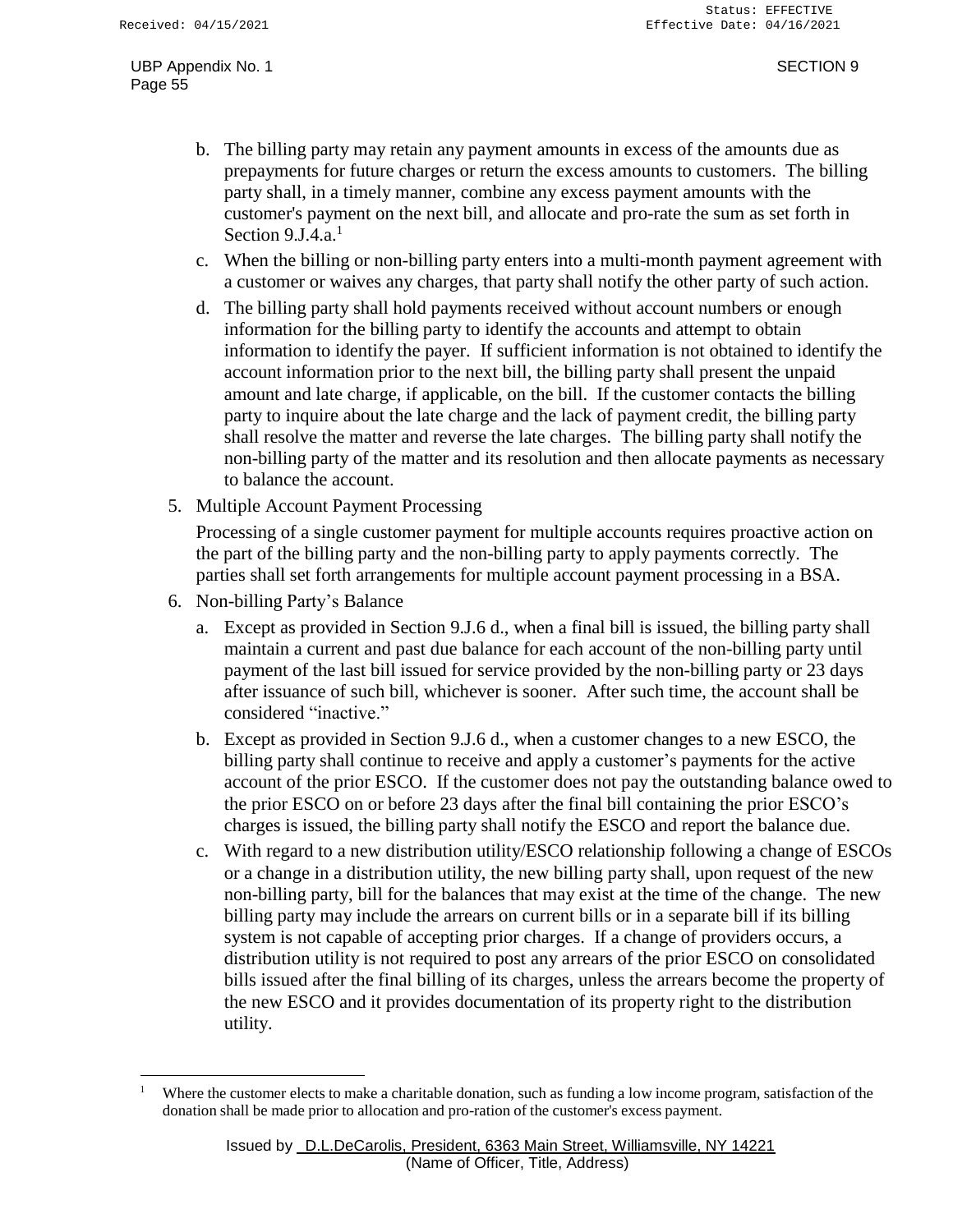- b. The billing party may retain any payment amounts in excess of the amounts due as prepayments for future charges or return the excess amounts to customers. The billing party shall, in a timely manner, combine any excess payment amounts with the customer's payment on the next bill, and allocate and pro-rate the sum as set forth in Section  $9 \text{J}4 \text{a}^1$
- c. When the billing or non-billing party enters into a multi-month payment agreement with a customer or waives any charges, that party shall notify the other party of such action.
- d. The billing party shall hold payments received without account numbers or enough information for the billing party to identify the accounts and attempt to obtain information to identify the payer. If sufficient information is not obtained to identify the account information prior to the next bill, the billing party shall present the unpaid amount and late charge, if applicable, on the bill. If the customer contacts the billing party to inquire about the late charge and the lack of payment credit, the billing party shall resolve the matter and reverse the late charges. The billing party shall notify the non-billing party of the matter and its resolution and then allocate payments as necessary to balance the account.
- 5. Multiple Account Payment Processing

Processing of a single customer payment for multiple accounts requires proactive action on the part of the billing party and the non-billing party to apply payments correctly. The parties shall set forth arrangements for multiple account payment processing in a BSA.

- 6. Non-billing Party's Balance
	- a. Except as provided in Section 9.J.6 d., when a final bill is issued, the billing party shall maintain a current and past due balance for each account of the non-billing party until payment of the last bill issued for service provided by the non-billing party or 23 days after issuance of such bill, whichever is sooner. After such time, the account shall be considered "inactive."
	- b. Except as provided in Section 9.J.6 d., when a customer changes to a new ESCO, the billing party shall continue to receive and apply a customer's payments for the active account of the prior ESCO. If the customer does not pay the outstanding balance owed to the prior ESCO on or before 23 days after the final bill containing the prior ESCO's charges is issued, the billing party shall notify the ESCO and report the balance due.
	- c. With regard to a new distribution utility/ESCO relationship following a change of ESCOs or a change in a distribution utility, the new billing party shall, upon request of the new non-billing party, bill for the balances that may exist at the time of the change. The new billing party may include the arrears on current bills or in a separate bill if its billing system is not capable of accepting prior charges. If a change of providers occurs, a distribution utility is not required to post any arrears of the prior ESCO on consolidated bills issued after the final billing of its charges, unless the arrears become the property of the new ESCO and it provides documentation of its property right to the distribution utility.

<sup>&</sup>lt;sup>1</sup> Where the customer elects to make a charitable donation, such as funding a low income program, satisfaction of the donation shall be made prior to allocation and pro-ration of the customer's excess payment.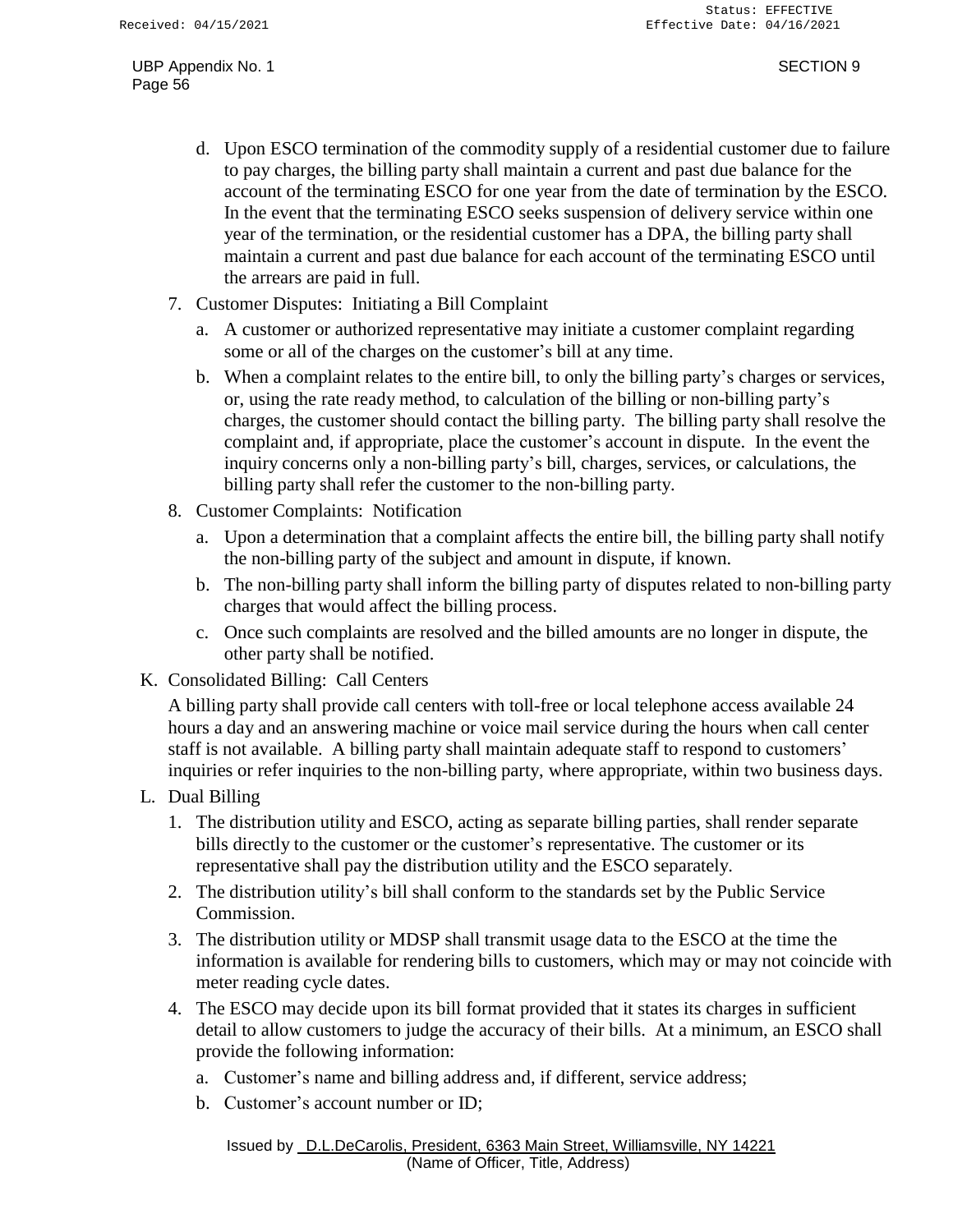- d. Upon ESCO termination of the commodity supply of a residential customer due to failure to pay charges, the billing party shall maintain a current and past due balance for the account of the terminating ESCO for one year from the date of termination by the ESCO. In the event that the terminating ESCO seeks suspension of delivery service within one year of the termination, or the residential customer has a DPA, the billing party shall maintain a current and past due balance for each account of the terminating ESCO until the arrears are paid in full.
- 7. Customer Disputes: Initiating a Bill Complaint
	- a. A customer or authorized representative may initiate a customer complaint regarding some or all of the charges on the customer's bill at any time.
	- b. When a complaint relates to the entire bill, to only the billing party's charges or services, or, using the rate ready method, to calculation of the billing or non-billing party's charges, the customer should contact the billing party. The billing party shall resolve the complaint and, if appropriate, place the customer's account in dispute. In the event the inquiry concerns only a non-billing party's bill, charges, services, or calculations, the billing party shall refer the customer to the non-billing party.
- 8. Customer Complaints: Notification
	- a. Upon a determination that a complaint affects the entire bill, the billing party shall notify the non-billing party of the subject and amount in dispute, if known.
	- b. The non-billing party shall inform the billing party of disputes related to non-billing party charges that would affect the billing process.
	- c. Once such complaints are resolved and the billed amounts are no longer in dispute, the other party shall be notified.
- K. Consolidated Billing: Call Centers

A billing party shall provide call centers with toll-free or local telephone access available 24 hours a day and an answering machine or voice mail service during the hours when call center staff is not available. A billing party shall maintain adequate staff to respond to customers' inquiries or refer inquiries to the non-billing party, where appropriate, within two business days.

- L. Dual Billing
	- 1. The distribution utility and ESCO, acting as separate billing parties, shall render separate bills directly to the customer or the customer's representative. The customer or its representative shall pay the distribution utility and the ESCO separately.
	- 2. The distribution utility's bill shall conform to the standards set by the Public Service Commission.
	- 3. The distribution utility or MDSP shall transmit usage data to the ESCO at the time the information is available for rendering bills to customers, which may or may not coincide with meter reading cycle dates.
	- 4. The ESCO may decide upon its bill format provided that it states its charges in sufficient detail to allow customers to judge the accuracy of their bills. At a minimum, an ESCO shall provide the following information:
		- a. Customer's name and billing address and, if different, service address;
		- b. Customer's account number or ID;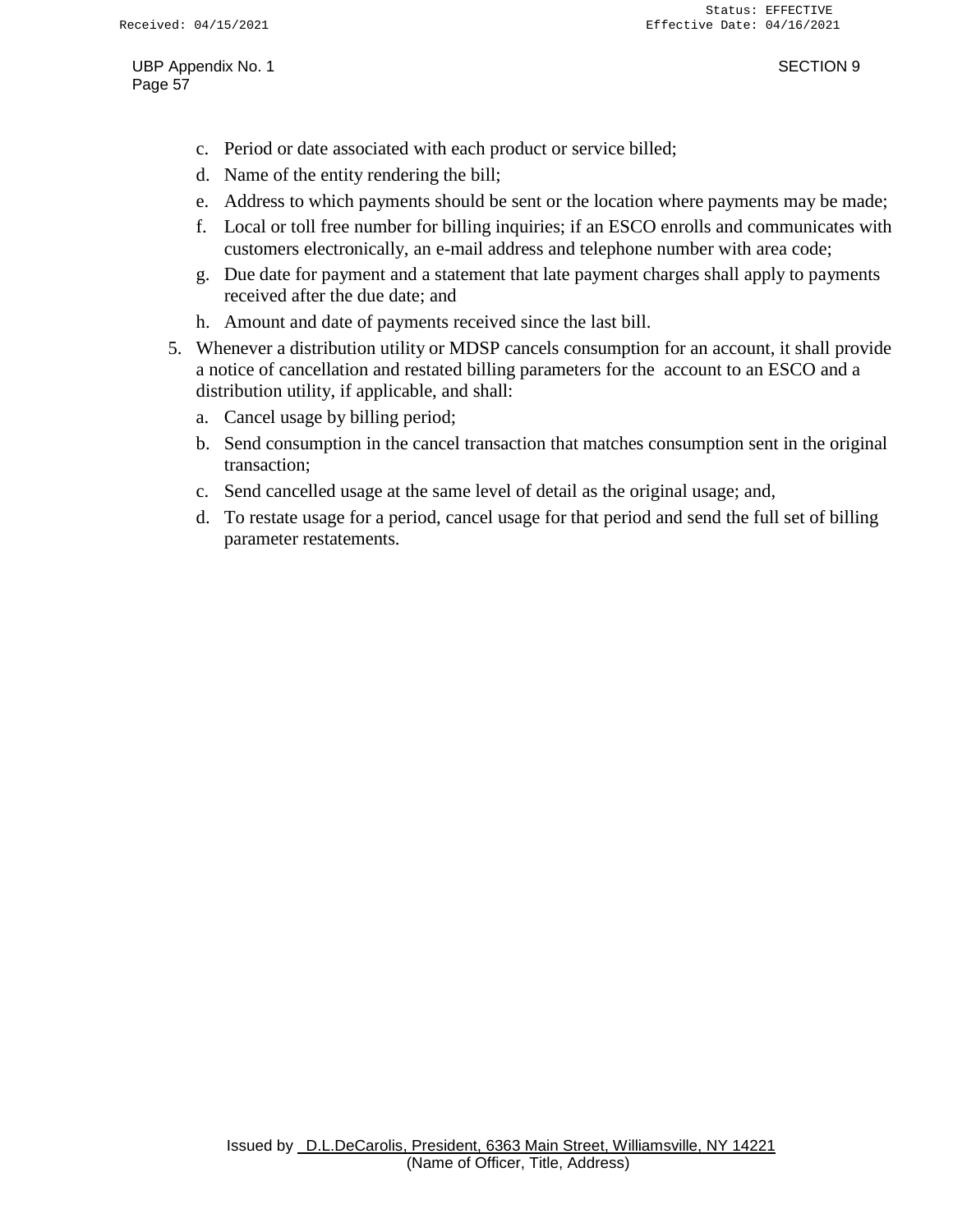- c. Period or date associated with each product or service billed;
- d. Name of the entity rendering the bill;
- e. Address to which payments should be sent or the location where payments may be made;
- f. Local or toll free number for billing inquiries; if an ESCO enrolls and communicates with customers electronically, an e-mail address and telephone number with area code;
- g. Due date for payment and a statement that late payment charges shall apply to payments received after the due date; and
- h. Amount and date of payments received since the last bill.
- 5. Whenever a distribution utility or MDSP cancels consumption for an account, it shall provide a notice of cancellation and restated billing parameters for the account to an ESCO and a distribution utility, if applicable, and shall:
	- a. Cancel usage by billing period;
	- b. Send consumption in the cancel transaction that matches consumption sent in the original transaction;
	- c. Send cancelled usage at the same level of detail as the original usage; and,
	- d. To restate usage for a period, cancel usage for that period and send the full set of billing parameter restatements.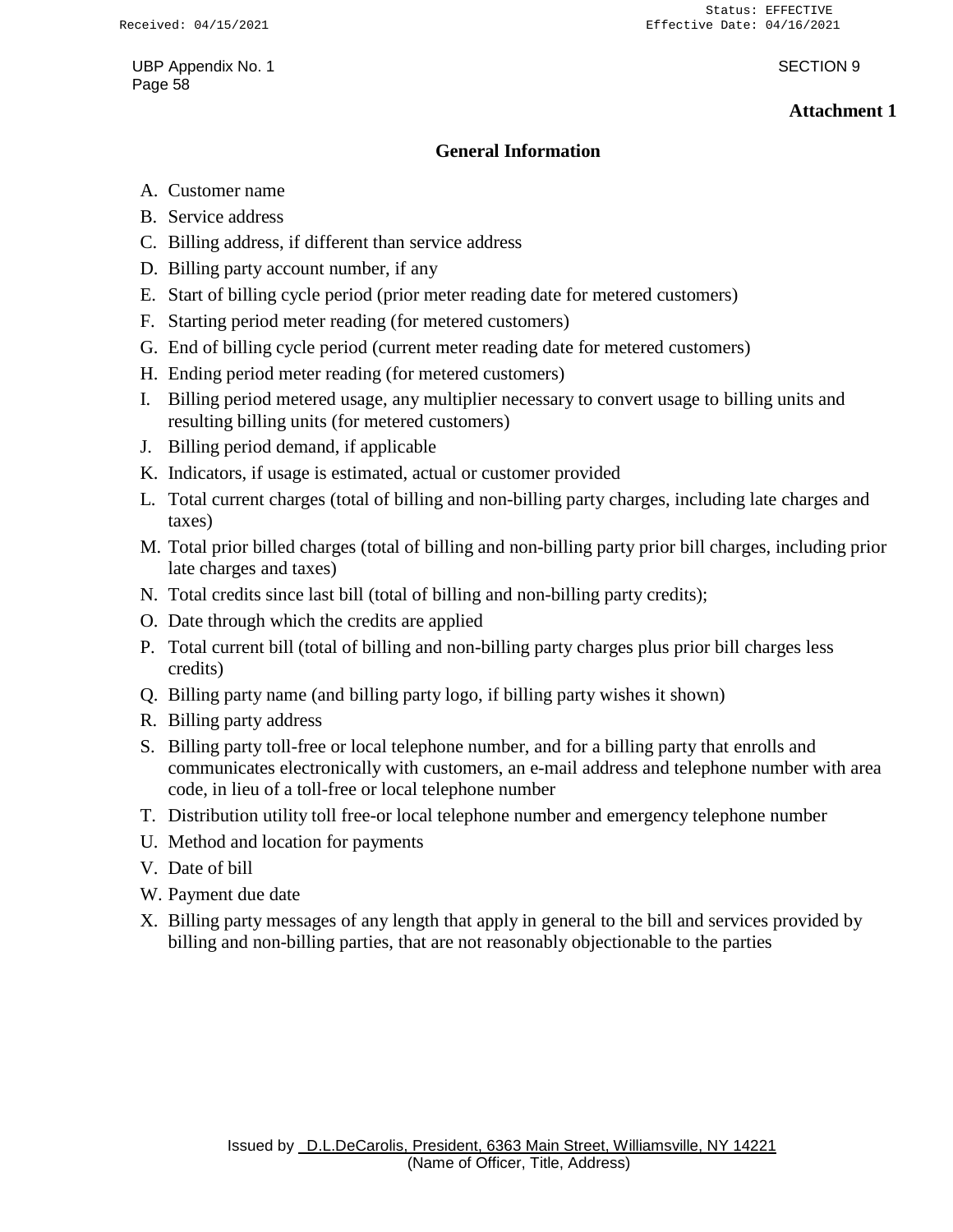### **Attachment 1**

### **General Information**

- A. Customer name
- B. Service address
- C. Billing address, if different than service address
- D. Billing party account number, if any
- E. Start of billing cycle period (prior meter reading date for metered customers)
- F. Starting period meter reading (for metered customers)
- G. End of billing cycle period (current meter reading date for metered customers)
- H. Ending period meter reading (for metered customers)
- I. Billing period metered usage, any multiplier necessary to convert usage to billing units and resulting billing units (for metered customers)
- J. Billing period demand, if applicable
- K. Indicators, if usage is estimated, actual or customer provided
- L. Total current charges (total of billing and non-billing party charges, including late charges and taxes)
- M. Total prior billed charges (total of billing and non-billing party prior bill charges, including prior late charges and taxes)
- N. Total credits since last bill (total of billing and non-billing party credits);
- O. Date through which the credits are applied
- P. Total current bill (total of billing and non-billing party charges plus prior bill charges less credits)
- Q. Billing party name (and billing party logo, if billing party wishes it shown)
- R. Billing party address
- S. Billing party toll-free or local telephone number, and for a billing party that enrolls and communicates electronically with customers, an e-mail address and telephone number with area code, in lieu of a toll-free or local telephone number
- T. Distribution utility toll free-or local telephone number and emergency telephone number
- U. Method and location for payments
- V. Date of bill
- W. Payment due date
- X. Billing party messages of any length that apply in general to the bill and services provided by billing and non-billing parties, that are not reasonably objectionable to the parties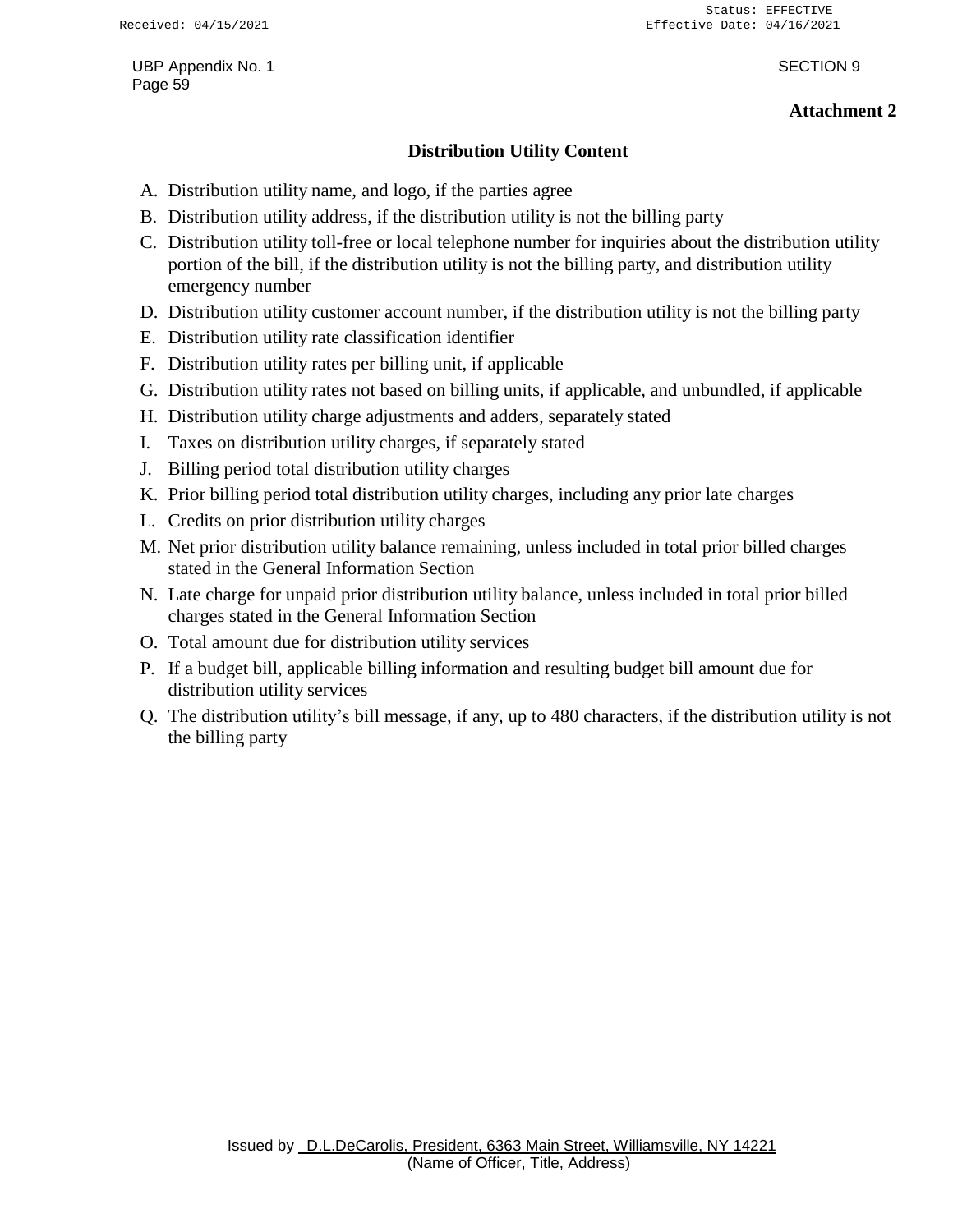### **Attachment 2**

### **Distribution Utility Content**

- A. Distribution utility name, and logo, if the parties agree
- B. Distribution utility address, if the distribution utility is not the billing party
- C. Distribution utility toll-free or local telephone number for inquiries about the distribution utility portion of the bill, if the distribution utility is not the billing party, and distribution utility emergency number
- D. Distribution utility customer account number, if the distribution utility is not the billing party
- E. Distribution utility rate classification identifier
- F. Distribution utility rates per billing unit, if applicable
- G. Distribution utility rates not based on billing units, if applicable, and unbundled, if applicable
- H. Distribution utility charge adjustments and adders, separately stated
- I. Taxes on distribution utility charges, if separately stated
- J. Billing period total distribution utility charges
- K. Prior billing period total distribution utility charges, including any prior late charges
- L. Credits on prior distribution utility charges
- M. Net prior distribution utility balance remaining, unless included in total prior billed charges stated in the General Information Section
- N. Late charge for unpaid prior distribution utility balance, unless included in total prior billed charges stated in the General Information Section
- O. Total amount due for distribution utility services
- P. If a budget bill, applicable billing information and resulting budget bill amount due for distribution utility services
- Q. The distribution utility's bill message, if any, up to 480 characters, if the distribution utility is not the billing party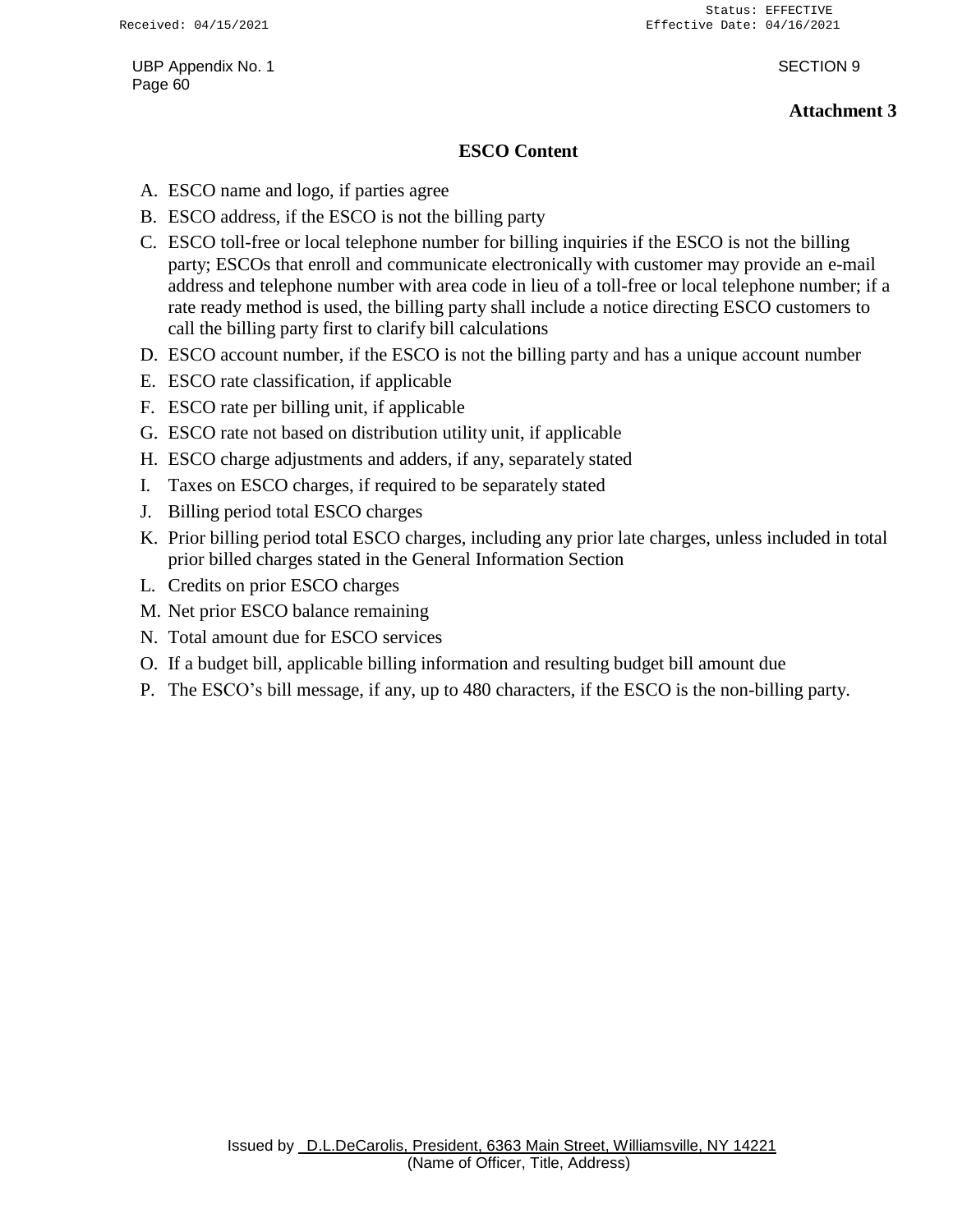### **Attachment 3**

## **ESCO Content**

- A. ESCO name and logo, if parties agree
- B. ESCO address, if the ESCO is not the billing party
- C. ESCO toll-free or local telephone number for billing inquiries if the ESCO is not the billing party; ESCOs that enroll and communicate electronically with customer may provide an e-mail address and telephone number with area code in lieu of a toll-free or local telephone number; if a rate ready method is used, the billing party shall include a notice directing ESCO customers to call the billing party first to clarify bill calculations
- D. ESCO account number, if the ESCO is not the billing party and has a unique account number
- E. ESCO rate classification, if applicable
- F. ESCO rate per billing unit, if applicable
- G. ESCO rate not based on distribution utility unit, if applicable
- H. ESCO charge adjustments and adders, if any, separately stated
- I. Taxes on ESCO charges, if required to be separately stated
- J. Billing period total ESCO charges
- K. Prior billing period total ESCO charges, including any prior late charges, unless included in total prior billed charges stated in the General Information Section
- L. Credits on prior ESCO charges
- M. Net prior ESCO balance remaining
- N. Total amount due for ESCO services
- O. If a budget bill, applicable billing information and resulting budget bill amount due
- P. The ESCO's bill message, if any, up to 480 characters, if the ESCO is the non-billing party.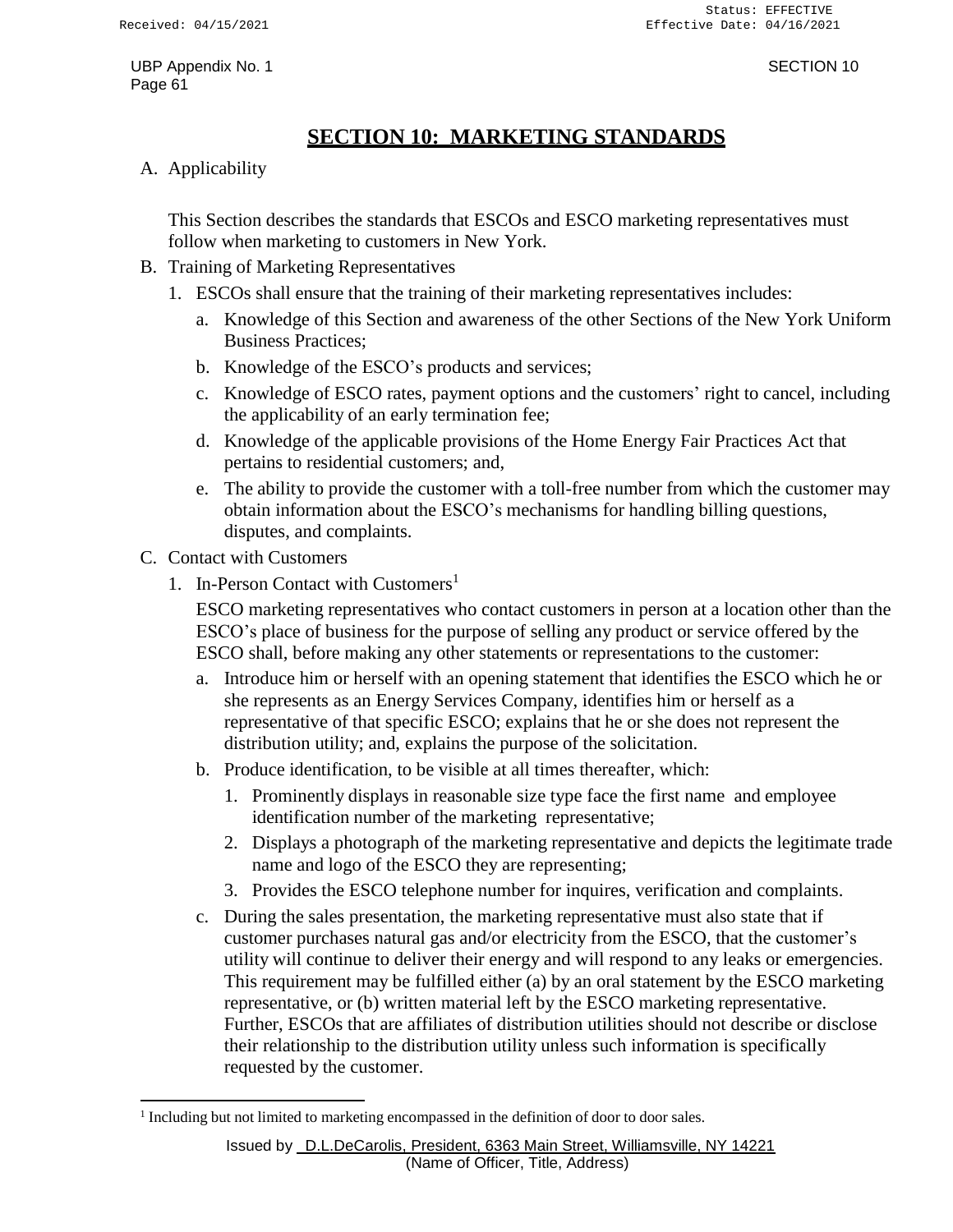# **SECTION 10: MARKETING STANDARDS**

<span id="page-65-0"></span>A. Applicability

This Section describes the standards that ESCOs and ESCO marketing representatives must follow when marketing to customers in New York.

- B. Training of Marketing Representatives
	- 1. ESCOs shall ensure that the training of their marketing representatives includes:
		- a. Knowledge of this Section and awareness of the other Sections of the New York Uniform Business Practices;
		- b. Knowledge of the ESCO's products and services;
		- c. Knowledge of ESCO rates, payment options and the customers' right to cancel, including the applicability of an early termination fee;
		- d. Knowledge of the applicable provisions of the Home Energy Fair Practices Act that pertains to residential customers; and,
		- e. The ability to provide the customer with a toll-free number from which the customer may obtain information about the ESCO's mechanisms for handling billing questions, disputes, and complaints.
- C. Contact with Customers
	- 1. In-Person Contact with Customers<sup>1</sup>

ESCO marketing representatives who contact customers in person at a location other than the ESCO's place of business for the purpose of selling any product or service offered by the ESCO shall, before making any other statements or representations to the customer:

- a. Introduce him or herself with an opening statement that identifies the ESCO which he or she represents as an Energy Services Company, identifies him or herself as a representative of that specific ESCO; explains that he or she does not represent the distribution utility; and, explains the purpose of the solicitation.
- b. Produce identification, to be visible at all times thereafter, which:
	- 1. Prominently displays in reasonable size type face the first name and employee identification number of the marketing representative;
	- 2. Displays a photograph of the marketing representative and depicts the legitimate trade name and logo of the ESCO they are representing;
	- 3. Provides the ESCO telephone number for inquires, verification and complaints.
- c. During the sales presentation, the marketing representative must also state that if customer purchases natural gas and/or electricity from the ESCO, that the customer's utility will continue to deliver their energy and will respond to any leaks or emergencies. This requirement may be fulfilled either (a) by an oral statement by the ESCO marketing representative, or (b) written material left by the ESCO marketing representative. Further, ESCOs that are affiliates of distribution utilities should not describe or disclose their relationship to the distribution utility unless such information is specifically requested by the customer.

<sup>&</sup>lt;sup>1</sup> Including but not limited to marketing encompassed in the definition of door to door sales.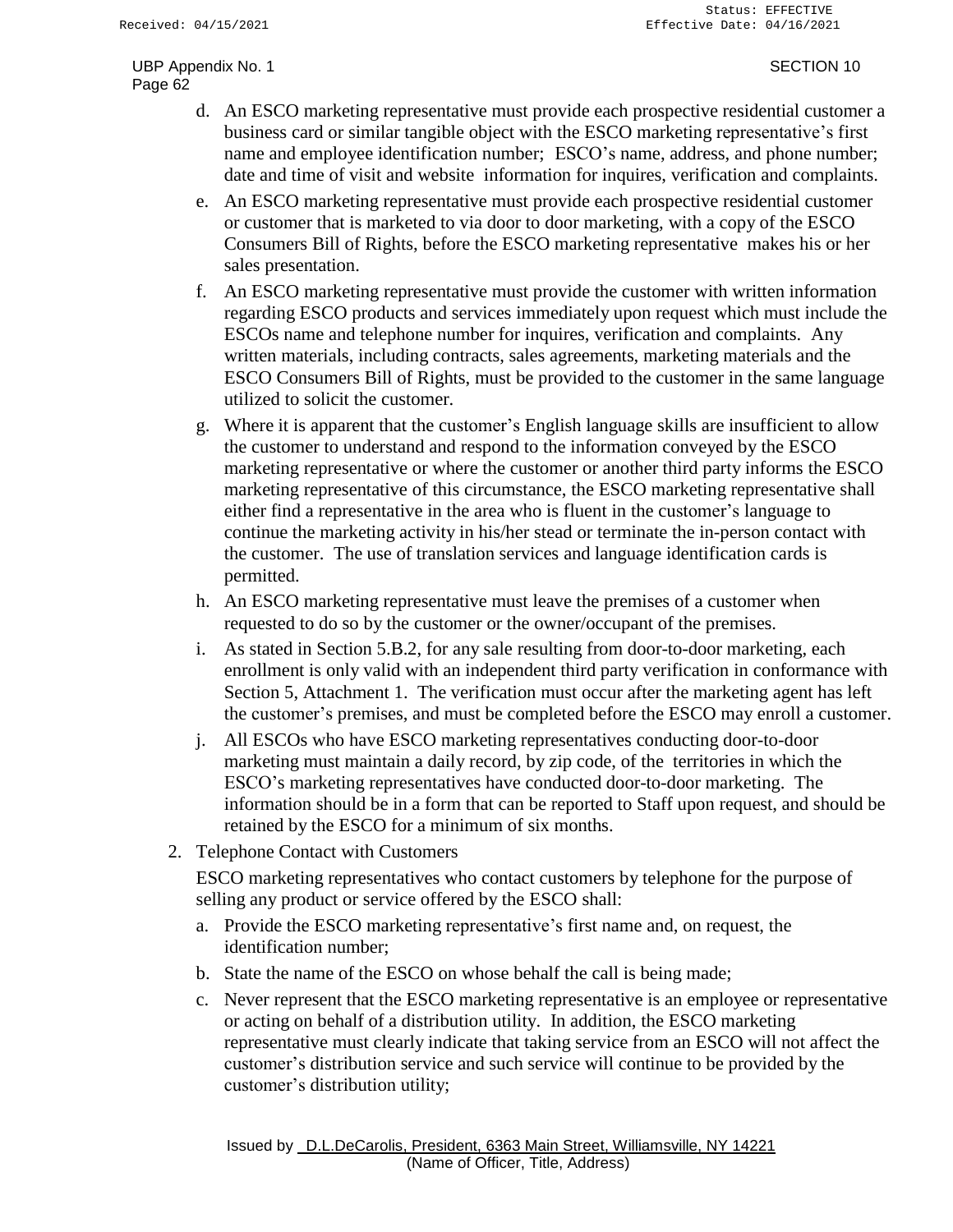- d. An ESCO marketing representative must provide each prospective residential customer a business card or similar tangible object with the ESCO marketing representative's first name and employee identification number; ESCO's name, address, and phone number; date and time of visit and website information for inquires, verification and complaints.
- e. An ESCO marketing representative must provide each prospective residential customer or customer that is marketed to via door to door marketing, with a copy of the ESCO Consumers Bill of Rights, before the ESCO marketing representative makes his or her sales presentation.
- f. An ESCO marketing representative must provide the customer with written information regarding ESCO products and services immediately upon request which must include the ESCOs name and telephone number for inquires, verification and complaints. Any written materials, including contracts, sales agreements, marketing materials and the ESCO Consumers Bill of Rights, must be provided to the customer in the same language utilized to solicit the customer.
- g. Where it is apparent that the customer's English language skills are insufficient to allow the customer to understand and respond to the information conveyed by the ESCO marketing representative or where the customer or another third party informs the ESCO marketing representative of this circumstance, the ESCO marketing representative shall either find a representative in the area who is fluent in the customer's language to continue the marketing activity in his/her stead or terminate the in-person contact with the customer. The use of translation services and language identification cards is permitted.
- h. An ESCO marketing representative must leave the premises of a customer when requested to do so by the customer or the owner/occupant of the premises.
- i. As stated in Section 5.B.2, for any sale resulting from door-to-door marketing, each enrollment is only valid with an independent third party verification in conformance with Section 5, Attachment 1. The verification must occur after the marketing agent has left the customer's premises, and must be completed before the ESCO may enroll a customer.
- j. All ESCOs who have ESCO marketing representatives conducting door-to-door marketing must maintain a daily record, by zip code, of the territories in which the ESCO's marketing representatives have conducted door-to-door marketing. The information should be in a form that can be reported to Staff upon request, and should be retained by the ESCO for a minimum of six months.
- 2. Telephone Contact with Customers

ESCO marketing representatives who contact customers by telephone for the purpose of selling any product or service offered by the ESCO shall:

- a. Provide the ESCO marketing representative's first name and, on request, the identification number;
- b. State the name of the ESCO on whose behalf the call is being made;
- c. Never represent that the ESCO marketing representative is an employee or representative or acting on behalf of a distribution utility. In addition, the ESCO marketing representative must clearly indicate that taking service from an ESCO will not affect the customer's distribution service and such service will continue to be provided by the customer's distribution utility;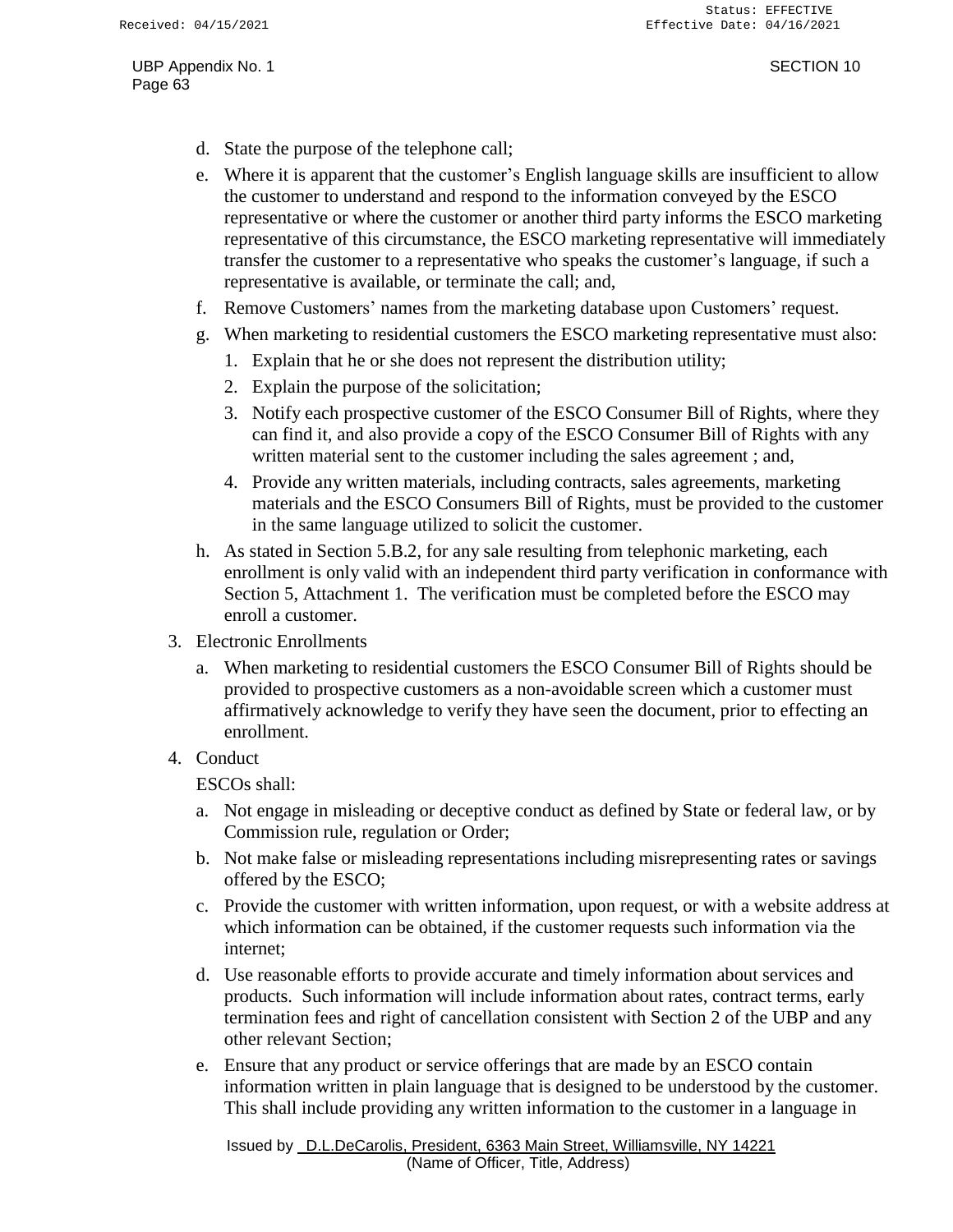- d. State the purpose of the telephone call;
- e. Where it is apparent that the customer's English language skills are insufficient to allow the customer to understand and respond to the information conveyed by the ESCO representative or where the customer or another third party informs the ESCO marketing representative of this circumstance, the ESCO marketing representative will immediately transfer the customer to a representative who speaks the customer's language, if such a representative is available, or terminate the call; and,
- f. Remove Customers' names from the marketing database upon Customers' request.
- g. When marketing to residential customers the ESCO marketing representative must also:
	- 1. Explain that he or she does not represent the distribution utility;
	- 2. Explain the purpose of the solicitation;
	- 3. Notify each prospective customer of the ESCO Consumer Bill of Rights, where they can find it, and also provide a copy of the ESCO Consumer Bill of Rights with any written material sent to the customer including the sales agreement ; and,
	- 4. Provide any written materials, including contracts, sales agreements, marketing materials and the ESCO Consumers Bill of Rights, must be provided to the customer in the same language utilized to solicit the customer.
- h. As stated in Section 5.B.2, for any sale resulting from telephonic marketing, each enrollment is only valid with an independent third party verification in conformance with Section 5, Attachment 1. The verification must be completed before the ESCO may enroll a customer.
- 3. Electronic Enrollments
	- a. When marketing to residential customers the ESCO Consumer Bill of Rights should be provided to prospective customers as a non-avoidable screen which a customer must affirmatively acknowledge to verify they have seen the document, prior to effecting an enrollment.
- 4. Conduct

ESCOs shall:

- a. Not engage in misleading or deceptive conduct as defined by State or federal law, or by Commission rule, regulation or Order;
- b. Not make false or misleading representations including misrepresenting rates or savings offered by the ESCO;
- c. Provide the customer with written information, upon request, or with a website address at which information can be obtained, if the customer requests such information via the internet;
- d. Use reasonable efforts to provide accurate and timely information about services and products. Such information will include information about rates, contract terms, early termination fees and right of cancellation consistent with Section 2 of the UBP and any other relevant Section;
- e. Ensure that any product or service offerings that are made by an ESCO contain information written in plain language that is designed to be understood by the customer. This shall include providing any written information to the customer in a language in